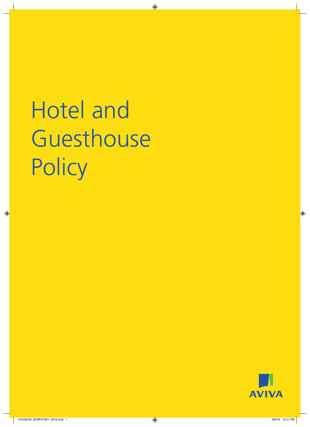# Hotel and Guesthouse **Policy**

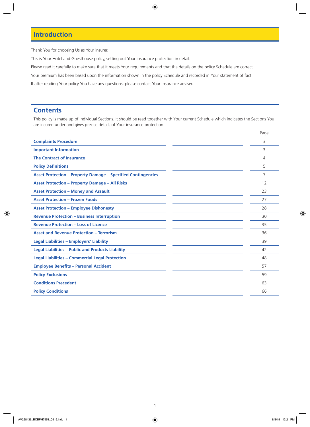### **Introduction**

Thank You for choosing Us as Your insurer.

This is Your Hotel and Guesthouse policy, setting out Your insurance protection in detail.

Please read it carefully to make sure that it meets Your requirements and that the details on the policy Schedule are correct.

Your premium has been based upon the information shown in the policy Schedule and recorded in Your statement of fact.

If after reading Your policy You have any questions, please contact Your insurance adviser.

### **Contents**

This policy is made up of individual Sections. It should be read together with Your current Schedule which indicates the Sections You are insured under and gives precise details of Your insurance protection.

|                                                                     | Page           |
|---------------------------------------------------------------------|----------------|
| <b>Complaints Procedure</b>                                         | 3              |
| <b>Important Information</b>                                        | 3              |
| <b>The Contract of Insurance</b>                                    | 4              |
| <b>Policy Definitions</b>                                           | 5              |
| <b>Asset Protection - Property Damage - Specified Contingencies</b> | $\overline{7}$ |
| <b>Asset Protection - Property Damage - All Risks</b>               | 12             |
| <b>Asset Protection - Money and Assault</b>                         | 23             |
| <b>Asset Protection - Frozen Foods</b>                              | 27             |
| <b>Asset Protection - Employee Dishonesty</b>                       | 28             |
| <b>Revenue Protection - Business Interruption</b>                   | 30             |
| <b>Revenue Protection - Loss of Licence</b>                         | 35             |
| <b>Asset and Revenue Protection - Terrorism</b>                     | 36             |
| <b>Legal Liabilities - Employers' Liability</b>                     | 39             |
| <b>Legal Liabilities - Public and Products Liability</b>            | 42             |
| <b>Legal Liabilities - Commercial Legal Protection</b>              | 48             |
| <b>Employee Benefits - Personal Accident</b>                        | 57             |
| <b>Policy Exclusions</b>                                            | 59             |
| <b>Conditions Precedent</b>                                         | 63             |
| <b>Policy Conditions</b>                                            | 66             |
|                                                                     |                |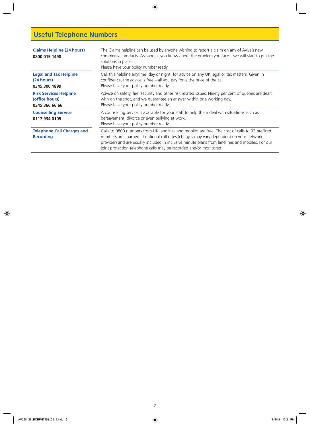# **Useful Telephone Numbers**

| <b>Claims Helpline (24 hours)</b><br>0800 015 1498                | The Claims helpline can be used by anyone wishing to report a claim on any of Aviva's new<br>commercial products. As soon as you know about the problem you face – we will start to put the<br>solutions in place.<br>Please have your policy number ready.                                                                                                        |
|-------------------------------------------------------------------|--------------------------------------------------------------------------------------------------------------------------------------------------------------------------------------------------------------------------------------------------------------------------------------------------------------------------------------------------------------------|
| <b>Legal and Tax Helpline</b><br>(24 hours)<br>0345 300 1899      | Call this helpline anytime, day or night, for advice on any UK legal or tax matters. Given in<br>confidence, the advice is free $-$ all you pay for is the price of the call.<br>Please have your policy number ready.                                                                                                                                             |
| <b>Risk Services Helpline</b><br>(office hours)<br>0345 366 66 66 | Advice on safety, fire, security and other risk related issues. Ninety per cent of queries are dealt<br>with on the spot, and we guarantee an answer within one working day.<br>Please have your policy number ready.                                                                                                                                              |
| <b>Counselling Service</b><br>0117 934 0105                       | A counselling service is available for your staff to help them deal with situations such as<br>bereavement, divorce or even bullying at work.<br>Please have your policy number ready.                                                                                                                                                                             |
| <b>Telephone Call Charges and</b><br><b>Recording</b>             | Calls to 0800 numbers from UK landlines and mobiles are free. The cost of calls to 03 prefixed<br>numbers are charged at national call rates (charges may vary dependent on your network<br>provider) and are usually included in inclusive minute plans from landlines and mobiles. For our<br>joint protection telephone calls may be recorded and/or monitored. |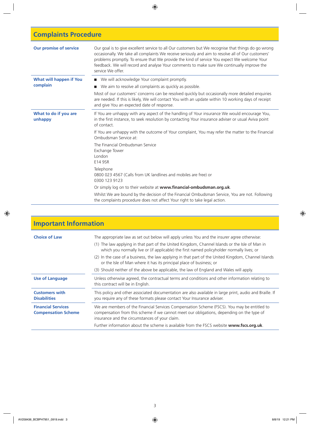# **Complaints Procedure**

| <b>Our promise of service</b>    | Our goal is to give excellent service to all Our customers but We recognise that things do go wrong<br>occasionally. We take all complaints We receive seriously and aim to resolve all of Our customers'<br>problems promptly. To ensure that We provide the kind of service You expect We welcome Your<br>feedback. We will record and analyse Your comments to make sure We continually improve the<br>service We offer. |
|----------------------------------|-----------------------------------------------------------------------------------------------------------------------------------------------------------------------------------------------------------------------------------------------------------------------------------------------------------------------------------------------------------------------------------------------------------------------------|
| What will happen if You          | ■ We will acknowledge Your complaint promptly.                                                                                                                                                                                                                                                                                                                                                                              |
| complain                         | We aim to resolve all complaints as quickly as possible.<br>ш                                                                                                                                                                                                                                                                                                                                                               |
|                                  | Most of our customers' concerns can be resolved quickly but occasionally more detailed enquiries<br>are needed. If this is likely, We will contact You with an update within 10 working days of receipt<br>and give You an expected date of response.                                                                                                                                                                       |
| What to do if you are<br>unhappy | If You are unhappy with any aspect of the handling of Your insurance We would encourage You,<br>in the first instance, to seek resolution by contacting Your insurance adviser or usual Aviva point<br>of contact.                                                                                                                                                                                                          |
|                                  | If You are unhappy with the outcome of Your complaint, You may refer the matter to the Financial<br>Ombudsman Service at:                                                                                                                                                                                                                                                                                                   |
|                                  | The Financial Ombudsman Service<br>Exchange Tower<br>London<br>E14 9SR                                                                                                                                                                                                                                                                                                                                                      |
|                                  | Telephone<br>0800 023 4567 (Calls from UK landlines and mobiles are free) or<br>0300 123 9123                                                                                                                                                                                                                                                                                                                               |
|                                  | Or simply log on to their website at www.financial-ombudsman.org.uk.                                                                                                                                                                                                                                                                                                                                                        |
|                                  | Whilst We are bound by the decision of the Financial Ombudsman Service, You are not. Following<br>the complaints procedure does not affect Your right to take legal action.                                                                                                                                                                                                                                                 |

| <b>Important Information</b>                            |                                                                                                                                                                                                                                                                                             |
|---------------------------------------------------------|---------------------------------------------------------------------------------------------------------------------------------------------------------------------------------------------------------------------------------------------------------------------------------------------|
| <b>Choice of Law</b>                                    | The appropriate law as set out below will apply unless You and the insurer agree otherwise:<br>(1) The law applying in that part of the United Kingdom, Channel Islands or the Isle of Man in<br>which you normally live or (if applicable) the first named policyholder normally lives; or |
|                                                         | (2) In the case of a business, the law applying in that part of the United Kingdom, Channel Islands<br>or the Isle of Man where it has its principal place of business; or                                                                                                                  |
|                                                         | (3) Should neither of the above be applicable, the law of England and Wales will apply.                                                                                                                                                                                                     |
| <b>Use of Language</b>                                  | Unless otherwise agreed, the contractual terms and conditions and other information relating to<br>this contract will be in English.                                                                                                                                                        |
| <b>Customers with</b><br><b>Disabilities</b>            | This policy and other associated documentation are also available in large print, audio and Braille. If<br>you require any of these formats please contact Your Insurance adviser.                                                                                                          |
| <b>Financial Services</b><br><b>Compensation Scheme</b> | We are members of the Financial Services Compensation Scheme (FSCS). You may be entitled to<br>compensation from this scheme if we cannot meet our obligations, depending on the type of<br>insurance and the circumstances of your claim.                                                  |
|                                                         | Further information about the scheme is available from the FSCS website www.fscs.org.uk.                                                                                                                                                                                                    |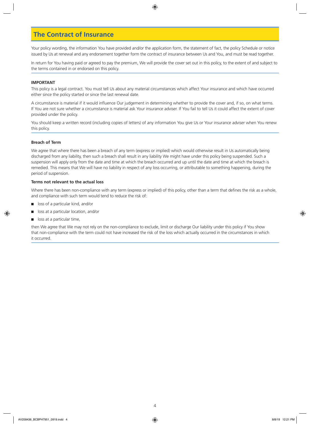### **The Contract of Insurance**

Your policy wording, the information You have provided and/or the application form, the statement of fact, the policy Schedule or notice issued by Us at renewal and any endorsement together form the contract of insurance between Us and You, and must be read together.

In return for You having paid or agreed to pay the premium, We will provide the cover set out in this policy, to the extent of and subject to the terms contained in or endorsed on this policy.

### **IMPORTANT**

This policy is a legal contract. You must tell Us about any material circumstances which affect Your insurance and which have occurred either since the policy started or since the last renewal date.

A circumstance is material if it would influence Our judgement in determining whether to provide the cover and, if so, on what terms. If You are not sure whether a circumstance is material ask Your insurance adviser. If You fail to tell Us it could affect the extent of cover provided under the policy.

You should keep a written record (including copies of letters) of any information You give Us or Your insurance adviser when You renew this policy.

### **Breach of Term**

We agree that where there has been a breach of any term (express or implied) which would otherwise result in Us automatically being discharged from any liability, then such a breach shall result in any liability We might have under this policy being suspended. Such a suspension will apply only from the date and time at which the breach occurred and up until the date and time at which the breach is remedied. This means that We will have no liability in respect of any loss occurring, or attributable to something happening, during the period of suspension.

### **Terms not relevant to the actual loss**

Where there has been non-compliance with any term (express or implied) of this policy, other than a term that defines the risk as a whole, and compliance with such term would tend to reduce the risk of:

- loss of a particular kind, and/or
- loss at a particular location, and/or
- $\Box$  loss at a particular time,

then We agree that We may not rely on the non-compliance to exclude, limit or discharge Our liability under this policy if You show that non-compliance with the term could not have increased the risk of the loss which actually occurred in the circumstances in which it occurred.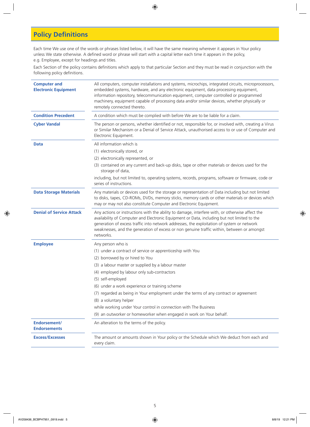### **Policy Definitions**

Each time We use one of the words or phrases listed below, it will have the same meaning wherever it appears in Your policy unless We state otherwise. A defined word or phrase will start with a capital letter each time it appears in the policy, e.g. Employee, except for headings and titles.

Each Section of the policy contains definitions which apply to that particular Section and they must be read in conjunction with the following policy definitions.

| <b>Computer and</b><br><b>Electronic Equipment</b> | All computers, computer installations and systems, microchips, integrated circuits, microprocessors,<br>embedded systems, hardware, and any electronic equipment, data processing equipment,<br>information repository, telecommunication equipment, computer controlled or programmed<br>machinery, equipment capable of processing data and/or similar devices, whether physically or<br>remotely connected thereto. |
|----------------------------------------------------|------------------------------------------------------------------------------------------------------------------------------------------------------------------------------------------------------------------------------------------------------------------------------------------------------------------------------------------------------------------------------------------------------------------------|
| <b>Condition Precedent</b>                         | A condition which must be complied with before We are to be liable for a claim.                                                                                                                                                                                                                                                                                                                                        |
| <b>Cyber Vandal</b>                                | The person or persons, whether identified or not, responsible for, or involved with, creating a Virus<br>or Similar Mechanism or a Denial of Service Attack, unauthorised access to or use of Computer and<br>Electronic Equipment.                                                                                                                                                                                    |
| <b>Data</b>                                        | All information which is                                                                                                                                                                                                                                                                                                                                                                                               |
|                                                    | (1) electronically stored, or                                                                                                                                                                                                                                                                                                                                                                                          |
|                                                    | (2) electronically represented, or                                                                                                                                                                                                                                                                                                                                                                                     |
|                                                    | (3) contained on any current and back-up disks, tape or other materials or devices used for the<br>storage of data,                                                                                                                                                                                                                                                                                                    |
|                                                    | including, but not limited to, operating systems, records, programs, software or firmware, code or<br>series of instructions.                                                                                                                                                                                                                                                                                          |
| <b>Data Storage Materials</b>                      | Any materials or devices used for the storage or representation of Data including but not limited<br>to disks, tapes, CD-ROMs, DVDs, memory sticks, memory cards or other materials or devices which<br>may or may not also constitute Computer and Electronic Equipment.                                                                                                                                              |
| <b>Denial of Service Attack</b>                    | Any actions or instructions with the ability to damage, interfere with, or otherwise affect the<br>availability of Computer and Electronic Equipment or Data, including but not limited to the<br>generation of excess traffic into network addresses, the exploitation of system or network<br>weaknesses, and the generation of excess or non genuine traffic within, between or amongst<br>networks.                |
| <b>Employee</b>                                    | Any person who is                                                                                                                                                                                                                                                                                                                                                                                                      |
|                                                    | (1) under a contract of service or apprenticeship with You                                                                                                                                                                                                                                                                                                                                                             |
|                                                    | (2) borrowed by or hired to You                                                                                                                                                                                                                                                                                                                                                                                        |
|                                                    | (3) a labour master or supplied by a labour master                                                                                                                                                                                                                                                                                                                                                                     |
|                                                    | (4) employed by labour only sub-contractors                                                                                                                                                                                                                                                                                                                                                                            |
|                                                    | (5) self-employed                                                                                                                                                                                                                                                                                                                                                                                                      |
|                                                    | (6) under a work experience or training scheme                                                                                                                                                                                                                                                                                                                                                                         |
|                                                    | (7) regarded as being in Your employment under the terms of any contract or agreement                                                                                                                                                                                                                                                                                                                                  |
|                                                    | (8) a voluntary helper                                                                                                                                                                                                                                                                                                                                                                                                 |
|                                                    | while working under Your control in connection with The Business                                                                                                                                                                                                                                                                                                                                                       |
|                                                    | (9) an outworker or homeworker when engaged in work on Your behalf.                                                                                                                                                                                                                                                                                                                                                    |
| Endorsement/<br><b>Endorsements</b>                | An alteration to the terms of the policy.                                                                                                                                                                                                                                                                                                                                                                              |
| <b>Excess/Excesses</b>                             | The amount or amounts shown in Your policy or the Schedule which We deduct from each and<br>every claim.                                                                                                                                                                                                                                                                                                               |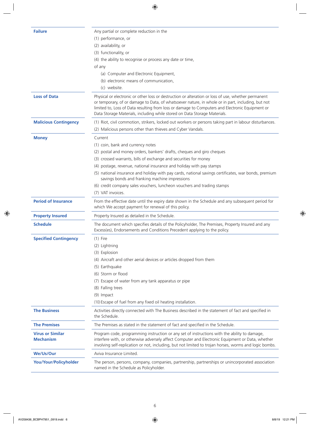| <b>Failure</b><br>Any partial or complete reduction in the<br>(1) performance, or<br>(2) availability, or<br>(3) functionality, or<br>(4) the ability to recognise or process any date or time,<br>of any<br>(a) Computer and Electronic Equipment,<br>(b) electronic means of communication,<br>(c) website.<br>Physical or electronic or other loss or destruction or alteration or loss of use, whether permanent<br><b>Loss of Data</b><br>or temporary, of or damage to Data, of whatsoever nature, in whole or in part, including, but not<br>limited to, Loss of Data resulting from loss or damage to Computers and Electronic Equipment or<br>Data Storage Materials, including while stored on Data Storage Materials.<br><b>Malicious Contingency</b><br>(1) Riot, civil commotion, strikers, locked out workers or persons taking part in labour disturbances.<br>(2) Malicious persons other than thieves and Cyber Vandals.<br>Current<br><b>Money</b><br>(1) coin, bank and currency notes<br>(2) postal and money orders, bankers' drafts, cheques and giro cheques<br>(3) crossed warrants, bills of exchange and securities for money<br>(4) postage, revenue, national insurance and holiday with pay stamps<br>(5) national insurance and holiday with pay cards, national savings certificates, war bonds, premium<br>savings bonds and franking machine impressions<br>(6) credit company sales vouchers, luncheon vouchers and trading stamps<br>(7) VAT invoices.<br><b>Period of Insurance</b><br>From the effective date until the expiry date shown in the Schedule and any subsequent period for<br>which We accept payment for renewal of this policy.<br>Property Insured as detailed in the Schedule.<br><b>Property Insured</b><br>The document which specifies details of the Policyholder, The Premises, Property Insured and any<br><b>Schedule</b><br>Excess(es), Endorsements and Conditions Precedent applying to the policy.<br>$(1)$ Fire<br><b>Specified Contingency</b><br>(2) Lightning<br>(3) Explosion<br>(4) Aircraft and other aerial devices or articles dropped from them<br>(5) Earthquake<br>(6) Storm or flood<br>(7) Escape of water from any tank apparatus or pipe<br>(8) Falling trees<br>(9) Impact<br>(10) Escape of fuel from any fixed oil heating installation.<br><b>The Business</b><br>Activities directly connected with The Business described in the statement of fact and specified in<br>the Schedule.<br>The Premises as stated in the statement of fact and specified in the Schedule.<br><b>The Premises</b><br><b>Virus or Similar</b><br>Program code, programming instruction or any set of instructions with the ability to damage,<br>interfere with, or otherwise adversely affect Computer and Electronic Equipment or Data, whether<br><b>Mechanism</b><br>involving self-replication or not, including, but not limited to trojan horses, worms and logic bombs.<br>We/Us/Our<br>Aviva Insurance Limited.<br>You/Your/Policyholder<br>The person, persons, company, companies, partnership, partnerships or unincorporated association<br>named in the Schedule as Policyholder. |  |
|-------------------------------------------------------------------------------------------------------------------------------------------------------------------------------------------------------------------------------------------------------------------------------------------------------------------------------------------------------------------------------------------------------------------------------------------------------------------------------------------------------------------------------------------------------------------------------------------------------------------------------------------------------------------------------------------------------------------------------------------------------------------------------------------------------------------------------------------------------------------------------------------------------------------------------------------------------------------------------------------------------------------------------------------------------------------------------------------------------------------------------------------------------------------------------------------------------------------------------------------------------------------------------------------------------------------------------------------------------------------------------------------------------------------------------------------------------------------------------------------------------------------------------------------------------------------------------------------------------------------------------------------------------------------------------------------------------------------------------------------------------------------------------------------------------------------------------------------------------------------------------------------------------------------------------------------------------------------------------------------------------------------------------------------------------------------------------------------------------------------------------------------------------------------------------------------------------------------------------------------------------------------------------------------------------------------------------------------------------------------------------------------------------------------------------------------------------------------------------------------------------------------------------------------------------------------------------------------------------------------------------------------------------------------------------------------------------------------------------------------------------------------------------------------------------------------------------------------------------------------------------------------------------------------------------------------------------------------------------------------------------------------------------------------------------------------------------------------------------------------------------------------------------------------|--|
|                                                                                                                                                                                                                                                                                                                                                                                                                                                                                                                                                                                                                                                                                                                                                                                                                                                                                                                                                                                                                                                                                                                                                                                                                                                                                                                                                                                                                                                                                                                                                                                                                                                                                                                                                                                                                                                                                                                                                                                                                                                                                                                                                                                                                                                                                                                                                                                                                                                                                                                                                                                                                                                                                                                                                                                                                                                                                                                                                                                                                                                                                                                                                                   |  |
|                                                                                                                                                                                                                                                                                                                                                                                                                                                                                                                                                                                                                                                                                                                                                                                                                                                                                                                                                                                                                                                                                                                                                                                                                                                                                                                                                                                                                                                                                                                                                                                                                                                                                                                                                                                                                                                                                                                                                                                                                                                                                                                                                                                                                                                                                                                                                                                                                                                                                                                                                                                                                                                                                                                                                                                                                                                                                                                                                                                                                                                                                                                                                                   |  |
|                                                                                                                                                                                                                                                                                                                                                                                                                                                                                                                                                                                                                                                                                                                                                                                                                                                                                                                                                                                                                                                                                                                                                                                                                                                                                                                                                                                                                                                                                                                                                                                                                                                                                                                                                                                                                                                                                                                                                                                                                                                                                                                                                                                                                                                                                                                                                                                                                                                                                                                                                                                                                                                                                                                                                                                                                                                                                                                                                                                                                                                                                                                                                                   |  |
|                                                                                                                                                                                                                                                                                                                                                                                                                                                                                                                                                                                                                                                                                                                                                                                                                                                                                                                                                                                                                                                                                                                                                                                                                                                                                                                                                                                                                                                                                                                                                                                                                                                                                                                                                                                                                                                                                                                                                                                                                                                                                                                                                                                                                                                                                                                                                                                                                                                                                                                                                                                                                                                                                                                                                                                                                                                                                                                                                                                                                                                                                                                                                                   |  |
|                                                                                                                                                                                                                                                                                                                                                                                                                                                                                                                                                                                                                                                                                                                                                                                                                                                                                                                                                                                                                                                                                                                                                                                                                                                                                                                                                                                                                                                                                                                                                                                                                                                                                                                                                                                                                                                                                                                                                                                                                                                                                                                                                                                                                                                                                                                                                                                                                                                                                                                                                                                                                                                                                                                                                                                                                                                                                                                                                                                                                                                                                                                                                                   |  |
|                                                                                                                                                                                                                                                                                                                                                                                                                                                                                                                                                                                                                                                                                                                                                                                                                                                                                                                                                                                                                                                                                                                                                                                                                                                                                                                                                                                                                                                                                                                                                                                                                                                                                                                                                                                                                                                                                                                                                                                                                                                                                                                                                                                                                                                                                                                                                                                                                                                                                                                                                                                                                                                                                                                                                                                                                                                                                                                                                                                                                                                                                                                                                                   |  |
|                                                                                                                                                                                                                                                                                                                                                                                                                                                                                                                                                                                                                                                                                                                                                                                                                                                                                                                                                                                                                                                                                                                                                                                                                                                                                                                                                                                                                                                                                                                                                                                                                                                                                                                                                                                                                                                                                                                                                                                                                                                                                                                                                                                                                                                                                                                                                                                                                                                                                                                                                                                                                                                                                                                                                                                                                                                                                                                                                                                                                                                                                                                                                                   |  |
|                                                                                                                                                                                                                                                                                                                                                                                                                                                                                                                                                                                                                                                                                                                                                                                                                                                                                                                                                                                                                                                                                                                                                                                                                                                                                                                                                                                                                                                                                                                                                                                                                                                                                                                                                                                                                                                                                                                                                                                                                                                                                                                                                                                                                                                                                                                                                                                                                                                                                                                                                                                                                                                                                                                                                                                                                                                                                                                                                                                                                                                                                                                                                                   |  |
|                                                                                                                                                                                                                                                                                                                                                                                                                                                                                                                                                                                                                                                                                                                                                                                                                                                                                                                                                                                                                                                                                                                                                                                                                                                                                                                                                                                                                                                                                                                                                                                                                                                                                                                                                                                                                                                                                                                                                                                                                                                                                                                                                                                                                                                                                                                                                                                                                                                                                                                                                                                                                                                                                                                                                                                                                                                                                                                                                                                                                                                                                                                                                                   |  |
|                                                                                                                                                                                                                                                                                                                                                                                                                                                                                                                                                                                                                                                                                                                                                                                                                                                                                                                                                                                                                                                                                                                                                                                                                                                                                                                                                                                                                                                                                                                                                                                                                                                                                                                                                                                                                                                                                                                                                                                                                                                                                                                                                                                                                                                                                                                                                                                                                                                                                                                                                                                                                                                                                                                                                                                                                                                                                                                                                                                                                                                                                                                                                                   |  |
|                                                                                                                                                                                                                                                                                                                                                                                                                                                                                                                                                                                                                                                                                                                                                                                                                                                                                                                                                                                                                                                                                                                                                                                                                                                                                                                                                                                                                                                                                                                                                                                                                                                                                                                                                                                                                                                                                                                                                                                                                                                                                                                                                                                                                                                                                                                                                                                                                                                                                                                                                                                                                                                                                                                                                                                                                                                                                                                                                                                                                                                                                                                                                                   |  |
|                                                                                                                                                                                                                                                                                                                                                                                                                                                                                                                                                                                                                                                                                                                                                                                                                                                                                                                                                                                                                                                                                                                                                                                                                                                                                                                                                                                                                                                                                                                                                                                                                                                                                                                                                                                                                                                                                                                                                                                                                                                                                                                                                                                                                                                                                                                                                                                                                                                                                                                                                                                                                                                                                                                                                                                                                                                                                                                                                                                                                                                                                                                                                                   |  |
|                                                                                                                                                                                                                                                                                                                                                                                                                                                                                                                                                                                                                                                                                                                                                                                                                                                                                                                                                                                                                                                                                                                                                                                                                                                                                                                                                                                                                                                                                                                                                                                                                                                                                                                                                                                                                                                                                                                                                                                                                                                                                                                                                                                                                                                                                                                                                                                                                                                                                                                                                                                                                                                                                                                                                                                                                                                                                                                                                                                                                                                                                                                                                                   |  |
|                                                                                                                                                                                                                                                                                                                                                                                                                                                                                                                                                                                                                                                                                                                                                                                                                                                                                                                                                                                                                                                                                                                                                                                                                                                                                                                                                                                                                                                                                                                                                                                                                                                                                                                                                                                                                                                                                                                                                                                                                                                                                                                                                                                                                                                                                                                                                                                                                                                                                                                                                                                                                                                                                                                                                                                                                                                                                                                                                                                                                                                                                                                                                                   |  |
|                                                                                                                                                                                                                                                                                                                                                                                                                                                                                                                                                                                                                                                                                                                                                                                                                                                                                                                                                                                                                                                                                                                                                                                                                                                                                                                                                                                                                                                                                                                                                                                                                                                                                                                                                                                                                                                                                                                                                                                                                                                                                                                                                                                                                                                                                                                                                                                                                                                                                                                                                                                                                                                                                                                                                                                                                                                                                                                                                                                                                                                                                                                                                                   |  |
|                                                                                                                                                                                                                                                                                                                                                                                                                                                                                                                                                                                                                                                                                                                                                                                                                                                                                                                                                                                                                                                                                                                                                                                                                                                                                                                                                                                                                                                                                                                                                                                                                                                                                                                                                                                                                                                                                                                                                                                                                                                                                                                                                                                                                                                                                                                                                                                                                                                                                                                                                                                                                                                                                                                                                                                                                                                                                                                                                                                                                                                                                                                                                                   |  |
|                                                                                                                                                                                                                                                                                                                                                                                                                                                                                                                                                                                                                                                                                                                                                                                                                                                                                                                                                                                                                                                                                                                                                                                                                                                                                                                                                                                                                                                                                                                                                                                                                                                                                                                                                                                                                                                                                                                                                                                                                                                                                                                                                                                                                                                                                                                                                                                                                                                                                                                                                                                                                                                                                                                                                                                                                                                                                                                                                                                                                                                                                                                                                                   |  |
|                                                                                                                                                                                                                                                                                                                                                                                                                                                                                                                                                                                                                                                                                                                                                                                                                                                                                                                                                                                                                                                                                                                                                                                                                                                                                                                                                                                                                                                                                                                                                                                                                                                                                                                                                                                                                                                                                                                                                                                                                                                                                                                                                                                                                                                                                                                                                                                                                                                                                                                                                                                                                                                                                                                                                                                                                                                                                                                                                                                                                                                                                                                                                                   |  |
|                                                                                                                                                                                                                                                                                                                                                                                                                                                                                                                                                                                                                                                                                                                                                                                                                                                                                                                                                                                                                                                                                                                                                                                                                                                                                                                                                                                                                                                                                                                                                                                                                                                                                                                                                                                                                                                                                                                                                                                                                                                                                                                                                                                                                                                                                                                                                                                                                                                                                                                                                                                                                                                                                                                                                                                                                                                                                                                                                                                                                                                                                                                                                                   |  |
|                                                                                                                                                                                                                                                                                                                                                                                                                                                                                                                                                                                                                                                                                                                                                                                                                                                                                                                                                                                                                                                                                                                                                                                                                                                                                                                                                                                                                                                                                                                                                                                                                                                                                                                                                                                                                                                                                                                                                                                                                                                                                                                                                                                                                                                                                                                                                                                                                                                                                                                                                                                                                                                                                                                                                                                                                                                                                                                                                                                                                                                                                                                                                                   |  |
|                                                                                                                                                                                                                                                                                                                                                                                                                                                                                                                                                                                                                                                                                                                                                                                                                                                                                                                                                                                                                                                                                                                                                                                                                                                                                                                                                                                                                                                                                                                                                                                                                                                                                                                                                                                                                                                                                                                                                                                                                                                                                                                                                                                                                                                                                                                                                                                                                                                                                                                                                                                                                                                                                                                                                                                                                                                                                                                                                                                                                                                                                                                                                                   |  |
|                                                                                                                                                                                                                                                                                                                                                                                                                                                                                                                                                                                                                                                                                                                                                                                                                                                                                                                                                                                                                                                                                                                                                                                                                                                                                                                                                                                                                                                                                                                                                                                                                                                                                                                                                                                                                                                                                                                                                                                                                                                                                                                                                                                                                                                                                                                                                                                                                                                                                                                                                                                                                                                                                                                                                                                                                                                                                                                                                                                                                                                                                                                                                                   |  |
|                                                                                                                                                                                                                                                                                                                                                                                                                                                                                                                                                                                                                                                                                                                                                                                                                                                                                                                                                                                                                                                                                                                                                                                                                                                                                                                                                                                                                                                                                                                                                                                                                                                                                                                                                                                                                                                                                                                                                                                                                                                                                                                                                                                                                                                                                                                                                                                                                                                                                                                                                                                                                                                                                                                                                                                                                                                                                                                                                                                                                                                                                                                                                                   |  |
|                                                                                                                                                                                                                                                                                                                                                                                                                                                                                                                                                                                                                                                                                                                                                                                                                                                                                                                                                                                                                                                                                                                                                                                                                                                                                                                                                                                                                                                                                                                                                                                                                                                                                                                                                                                                                                                                                                                                                                                                                                                                                                                                                                                                                                                                                                                                                                                                                                                                                                                                                                                                                                                                                                                                                                                                                                                                                                                                                                                                                                                                                                                                                                   |  |
|                                                                                                                                                                                                                                                                                                                                                                                                                                                                                                                                                                                                                                                                                                                                                                                                                                                                                                                                                                                                                                                                                                                                                                                                                                                                                                                                                                                                                                                                                                                                                                                                                                                                                                                                                                                                                                                                                                                                                                                                                                                                                                                                                                                                                                                                                                                                                                                                                                                                                                                                                                                                                                                                                                                                                                                                                                                                                                                                                                                                                                                                                                                                                                   |  |
|                                                                                                                                                                                                                                                                                                                                                                                                                                                                                                                                                                                                                                                                                                                                                                                                                                                                                                                                                                                                                                                                                                                                                                                                                                                                                                                                                                                                                                                                                                                                                                                                                                                                                                                                                                                                                                                                                                                                                                                                                                                                                                                                                                                                                                                                                                                                                                                                                                                                                                                                                                                                                                                                                                                                                                                                                                                                                                                                                                                                                                                                                                                                                                   |  |
|                                                                                                                                                                                                                                                                                                                                                                                                                                                                                                                                                                                                                                                                                                                                                                                                                                                                                                                                                                                                                                                                                                                                                                                                                                                                                                                                                                                                                                                                                                                                                                                                                                                                                                                                                                                                                                                                                                                                                                                                                                                                                                                                                                                                                                                                                                                                                                                                                                                                                                                                                                                                                                                                                                                                                                                                                                                                                                                                                                                                                                                                                                                                                                   |  |
|                                                                                                                                                                                                                                                                                                                                                                                                                                                                                                                                                                                                                                                                                                                                                                                                                                                                                                                                                                                                                                                                                                                                                                                                                                                                                                                                                                                                                                                                                                                                                                                                                                                                                                                                                                                                                                                                                                                                                                                                                                                                                                                                                                                                                                                                                                                                                                                                                                                                                                                                                                                                                                                                                                                                                                                                                                                                                                                                                                                                                                                                                                                                                                   |  |
|                                                                                                                                                                                                                                                                                                                                                                                                                                                                                                                                                                                                                                                                                                                                                                                                                                                                                                                                                                                                                                                                                                                                                                                                                                                                                                                                                                                                                                                                                                                                                                                                                                                                                                                                                                                                                                                                                                                                                                                                                                                                                                                                                                                                                                                                                                                                                                                                                                                                                                                                                                                                                                                                                                                                                                                                                                                                                                                                                                                                                                                                                                                                                                   |  |
|                                                                                                                                                                                                                                                                                                                                                                                                                                                                                                                                                                                                                                                                                                                                                                                                                                                                                                                                                                                                                                                                                                                                                                                                                                                                                                                                                                                                                                                                                                                                                                                                                                                                                                                                                                                                                                                                                                                                                                                                                                                                                                                                                                                                                                                                                                                                                                                                                                                                                                                                                                                                                                                                                                                                                                                                                                                                                                                                                                                                                                                                                                                                                                   |  |
|                                                                                                                                                                                                                                                                                                                                                                                                                                                                                                                                                                                                                                                                                                                                                                                                                                                                                                                                                                                                                                                                                                                                                                                                                                                                                                                                                                                                                                                                                                                                                                                                                                                                                                                                                                                                                                                                                                                                                                                                                                                                                                                                                                                                                                                                                                                                                                                                                                                                                                                                                                                                                                                                                                                                                                                                                                                                                                                                                                                                                                                                                                                                                                   |  |
|                                                                                                                                                                                                                                                                                                                                                                                                                                                                                                                                                                                                                                                                                                                                                                                                                                                                                                                                                                                                                                                                                                                                                                                                                                                                                                                                                                                                                                                                                                                                                                                                                                                                                                                                                                                                                                                                                                                                                                                                                                                                                                                                                                                                                                                                                                                                                                                                                                                                                                                                                                                                                                                                                                                                                                                                                                                                                                                                                                                                                                                                                                                                                                   |  |
|                                                                                                                                                                                                                                                                                                                                                                                                                                                                                                                                                                                                                                                                                                                                                                                                                                                                                                                                                                                                                                                                                                                                                                                                                                                                                                                                                                                                                                                                                                                                                                                                                                                                                                                                                                                                                                                                                                                                                                                                                                                                                                                                                                                                                                                                                                                                                                                                                                                                                                                                                                                                                                                                                                                                                                                                                                                                                                                                                                                                                                                                                                                                                                   |  |
|                                                                                                                                                                                                                                                                                                                                                                                                                                                                                                                                                                                                                                                                                                                                                                                                                                                                                                                                                                                                                                                                                                                                                                                                                                                                                                                                                                                                                                                                                                                                                                                                                                                                                                                                                                                                                                                                                                                                                                                                                                                                                                                                                                                                                                                                                                                                                                                                                                                                                                                                                                                                                                                                                                                                                                                                                                                                                                                                                                                                                                                                                                                                                                   |  |
|                                                                                                                                                                                                                                                                                                                                                                                                                                                                                                                                                                                                                                                                                                                                                                                                                                                                                                                                                                                                                                                                                                                                                                                                                                                                                                                                                                                                                                                                                                                                                                                                                                                                                                                                                                                                                                                                                                                                                                                                                                                                                                                                                                                                                                                                                                                                                                                                                                                                                                                                                                                                                                                                                                                                                                                                                                                                                                                                                                                                                                                                                                                                                                   |  |
|                                                                                                                                                                                                                                                                                                                                                                                                                                                                                                                                                                                                                                                                                                                                                                                                                                                                                                                                                                                                                                                                                                                                                                                                                                                                                                                                                                                                                                                                                                                                                                                                                                                                                                                                                                                                                                                                                                                                                                                                                                                                                                                                                                                                                                                                                                                                                                                                                                                                                                                                                                                                                                                                                                                                                                                                                                                                                                                                                                                                                                                                                                                                                                   |  |
|                                                                                                                                                                                                                                                                                                                                                                                                                                                                                                                                                                                                                                                                                                                                                                                                                                                                                                                                                                                                                                                                                                                                                                                                                                                                                                                                                                                                                                                                                                                                                                                                                                                                                                                                                                                                                                                                                                                                                                                                                                                                                                                                                                                                                                                                                                                                                                                                                                                                                                                                                                                                                                                                                                                                                                                                                                                                                                                                                                                                                                                                                                                                                                   |  |
|                                                                                                                                                                                                                                                                                                                                                                                                                                                                                                                                                                                                                                                                                                                                                                                                                                                                                                                                                                                                                                                                                                                                                                                                                                                                                                                                                                                                                                                                                                                                                                                                                                                                                                                                                                                                                                                                                                                                                                                                                                                                                                                                                                                                                                                                                                                                                                                                                                                                                                                                                                                                                                                                                                                                                                                                                                                                                                                                                                                                                                                                                                                                                                   |  |
|                                                                                                                                                                                                                                                                                                                                                                                                                                                                                                                                                                                                                                                                                                                                                                                                                                                                                                                                                                                                                                                                                                                                                                                                                                                                                                                                                                                                                                                                                                                                                                                                                                                                                                                                                                                                                                                                                                                                                                                                                                                                                                                                                                                                                                                                                                                                                                                                                                                                                                                                                                                                                                                                                                                                                                                                                                                                                                                                                                                                                                                                                                                                                                   |  |
|                                                                                                                                                                                                                                                                                                                                                                                                                                                                                                                                                                                                                                                                                                                                                                                                                                                                                                                                                                                                                                                                                                                                                                                                                                                                                                                                                                                                                                                                                                                                                                                                                                                                                                                                                                                                                                                                                                                                                                                                                                                                                                                                                                                                                                                                                                                                                                                                                                                                                                                                                                                                                                                                                                                                                                                                                                                                                                                                                                                                                                                                                                                                                                   |  |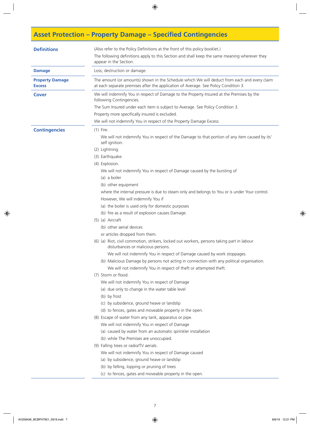# **Asset Protection – Property Damage – Specified Contingencies**

| <b>Definitions</b>                      | (Also refer to the Policy Definitions at the front of this policy booklet.)<br>The following definitions apply to this Section and shall keep the same meaning wherever they<br>appear in the Section.                                                   |
|-----------------------------------------|----------------------------------------------------------------------------------------------------------------------------------------------------------------------------------------------------------------------------------------------------------|
| <b>Damage</b>                           | Loss, destruction or damage.                                                                                                                                                                                                                             |
| <b>Property Damage</b><br><b>Excess</b> | The amount (or amounts) shown in the Schedule which We will deduct from each and every claim<br>at each separate premises after the application of Average. See Policy Condition 3.                                                                      |
| <b>Cover</b>                            | We will indemnify You in respect of Damage to the Property Insured at the Premises by the<br>following Contingencies.<br>The Sum Insured under each item is subject to Average. See Policy Condition 3.                                                  |
|                                         | Property more specifically insured is excluded.<br>We will not indemnify You in respect of the Property Damage Excess.                                                                                                                                   |
| <b>Contingencies</b>                    | $(1)$ Fire.<br>We will not indemnify You in respect of the Damage to that portion of any item caused by its'<br>self ignition.                                                                                                                           |
|                                         | (2) Lightning.<br>(3) Earthquake.<br>(4) Explosion.                                                                                                                                                                                                      |
|                                         | We will not indemnify You in respect of Damage caused by the bursting of<br>(a) a boiler<br>(b) other equipment                                                                                                                                          |
|                                         | where the internal pressure is due to steam only and belongs to You or is under Your control.<br>However, We will indemnify You if<br>(a) the boiler is used only for domestic purposes                                                                  |
|                                         | (b) fire as a result of explosion causes Damage.<br>(5) (a) Aircraft<br>(b) other aerial devices                                                                                                                                                         |
|                                         | or articles dropped from them.<br>(6) (a) Riot, civil commotion, strikers, locked out workers, persons taking part in labour<br>disturbances or malicious persons.                                                                                       |
|                                         | We will not indemnify You in respect of Damage caused by work stoppages.<br>(b) Malicious Damage by persons not acting in connection with any political organisation.<br>We will not indemnify You in respect of theft or attempted theft.               |
|                                         | (7) Storm or flood.<br>We will not indemnify You in respect of Damage<br>(a) due only to change in the water table level<br>(b) by frost<br>(c) by subsidence, ground heave or landslip<br>(d) to fences, gates and moveable property in the open.       |
|                                         | (8) Escape of water from any tank, apparatus or pipe.<br>We will not indemnify You in respect of Damage<br>(a) caused by water from an automatic sprinkler installation<br>(b) while The Premises are unoccupied.                                        |
|                                         | (9) Falling trees or radio/TV aerials.<br>We will not indemnify You in respect of Damage caused<br>(a) by subsidence, ground heave or landslip<br>(b) by felling, lopping or pruning of trees<br>(c) to fences, gates and moveable property in the open. |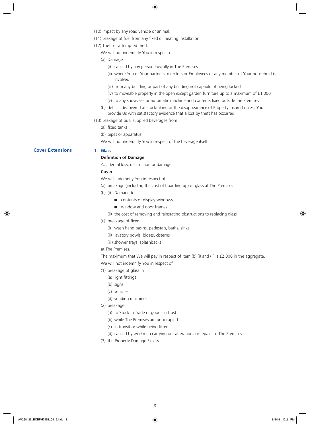|                         | (10) Impact by any road vehicle or animal.                                                                                                                             |
|-------------------------|------------------------------------------------------------------------------------------------------------------------------------------------------------------------|
|                         | (11) Leakage of fuel from any fixed oil heating installation.                                                                                                          |
|                         | (12) Theft or attempted theft.                                                                                                                                         |
|                         | We will not indemnify You in respect of                                                                                                                                |
|                         | (a) Damage                                                                                                                                                             |
|                         | (i) caused by any person lawfully in The Premises                                                                                                                      |
|                         | (ii) where You or Your partners, directors or Employees or any member of Your household is<br>involved                                                                 |
|                         | (iii) from any building or part of any building not capable of being locked                                                                                            |
|                         | (iv) to moveable property in the open except garden furniture up to a maximum of $£1,000$                                                                              |
|                         | (v) to any showcase or automatic machine and contents fixed outside the Premises                                                                                       |
|                         | (b) deficits discovered at stocktaking or the disappearance of Property Insured unless You<br>provide Us with satisfactory evidence that a loss by theft has occurred. |
|                         | (13) Leakage of bulk supplied beverages from                                                                                                                           |
|                         | (a) fixed tanks                                                                                                                                                        |
|                         | (b) pipes or apparatus                                                                                                                                                 |
|                         | We will not indemnify You in respect of the beverage itself.                                                                                                           |
| <b>Cover Extensions</b> | 1. Glass                                                                                                                                                               |
|                         | <b>Definition of Damage</b>                                                                                                                                            |
|                         | Accidental loss, destruction or damage.                                                                                                                                |
|                         | Cover                                                                                                                                                                  |
|                         | We will indemnify You in respect of                                                                                                                                    |
|                         | (a) breakage (including the cost of boarding up) of glass at The Premises                                                                                              |
|                         | (b) (i) Damage to                                                                                                                                                      |
|                         | contents of display windows                                                                                                                                            |
|                         | window and door frames                                                                                                                                                 |
|                         | (ii) the cost of removing and reinstating obstructions to replacing glass                                                                                              |
|                         | (c) breakage of fixed                                                                                                                                                  |
|                         | (i) wash hand basins, pedestals, baths, sinks                                                                                                                          |
|                         | (ii) lavatory bowls, bidets, cisterns                                                                                                                                  |
|                         | (iii) shower trays, splashbacks                                                                                                                                        |
|                         | at The Premises.                                                                                                                                                       |
|                         | The maximum that We will pay in respect of item (b) (i) and (ii) is £2,000 in the aggregate.                                                                           |
|                         | We will not indemnify You in respect of                                                                                                                                |
|                         | (1) breakage of glass in                                                                                                                                               |
|                         | (a) light fittings                                                                                                                                                     |
|                         | (b) signs                                                                                                                                                              |
|                         | (c) vehicles                                                                                                                                                           |
|                         | (d) vending machines                                                                                                                                                   |
|                         | (2) breakage                                                                                                                                                           |
|                         | (a) to Stock in Trade or goods in trust                                                                                                                                |
|                         | (b) while The Premises are unoccupied                                                                                                                                  |
|                         | (c) in transit or while being fitted                                                                                                                                   |
|                         | (d) caused by workmen carrying out alterations or repairs to The Premises                                                                                              |
|                         | (3) the Property Damage Excess.                                                                                                                                        |
|                         |                                                                                                                                                                        |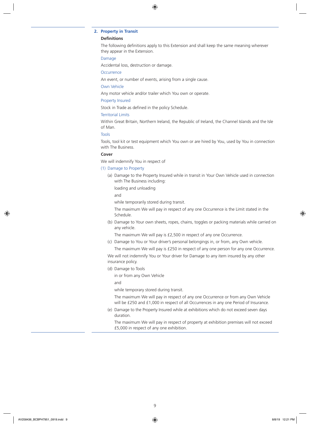### **2. Property in Transit**

### **Definitions**

The following definitions apply to this Extension and shall keep the same meaning wherever they appear in the Extension.

### Damage

Accidental loss, destruction or damage.

**Occurrence** 

An event, or number of events, arising from a single cause.

### Own Vehicle

Any motor vehicle and/or trailer which You own or operate.

### Property Insured

Stock in Trade as defined in the policy Schedule.

### Territorial Limits

Within Great Britain, Northern Ireland, the Republic of Ireland, the Channel Islands and the Isle of Man.

### Tools

Tools, tool kit or test equipment which You own or are hired by You, used by You in connection with The Business.

### **Cover**

We will indemnify You in respect of

### (1) Damage to Property

(a) Damage to the Property Insured while in transit in Your Own Vehicle used in connection with The Business including:

loading and unloading

and

while temporarily stored during transit.

The maximum We will pay in respect of any one Occurrence is the Limit stated in the Schedule.

(b) Damage to Your own sheets, ropes, chains, toggles or packing materials while carried on any vehicle.

The maximum We will pay is £2,500 in respect of any one Occurrence.

(c) Damage to You or Your driver's personal belongings in, or from, any Own vehicle.

The maximum We will pay is £250 in respect of any one person for any one Occurrence.

We will not indemnify You or Your driver for Damage to any item insured by any other insurance policy.

(d) Damage to Tools

in or from any Own Vehicle

and

while temporary stored during transit.

The maximum We will pay in respect of any one Occurrence or from any Own Vehicle will be £250 and £1,000 in respect of all Occurrences in any one Period of Insurance.

(e) Damage to the Property Insured while at exhibitions which do not exceed seven days duration.

The maximum We will pay in respect of property at exhibition premises will not exceed £5,000 in respect of any one exhibition.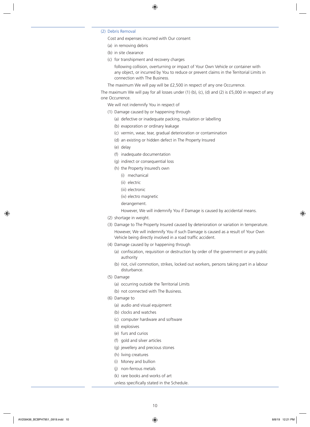### (2) Debris Removal

Cost and expenses incurred with Our consent

- (a) in removing debris
- (b) in site clearance
- (c) for transhipment and recovery charges

following collision, overturning or impact of Your Own Vehicle or container with any object, or incurred by You to reduce or prevent claims in the Territorial Limits in connection with The Business.

The maximum We will pay will be £2,500 in respect of any one Occurrence.

The maximum We will pay for all losses under (1) (b), (c), (d) and (2) is £5,000 in respect of any one Occurrence.

We will not indemnify You in respect of

- (1) Damage caused by or happening through
	- (a) defective or inadequate packing, insulation or labelling
	- (b) evaporation or ordinary leakage
	- (c) vermin, wear, tear, gradual deterioration or contamination
	- (d) an existing or hidden defect in The Property Insured
	- (e) delay
	- (f) inadequate documentation
	- (g) indirect or consequential loss
	- (h) the Property Insured's own
		- (i) mechanical
		- (ii) electric
		- (iii) electronic
		- (iv) electro magnetic
		- derangement.

However, We will indemnify You if Damage is caused by accidental means.

- (2) shortage in weight.
- (3) Damage to The Property Insured caused by deterioration or variation in temperature. However, We will indemnify You if such Damage is caused as a result of Your Own Vehicle being directly involved in a road traffic accident.
- (4) Damage caused by or happening through
	- (a) confiscation, requisition or destruction by order of the government or any public authority
	- (b) riot, civil commotion, strikes, locked out workers, persons taking part in a labour disturbance.
- (5) Damage
	- (a) occurring outside the Territorial Limits
	- (b) not connected with The Business.
- (6) Damage to
	- (a) audio and visual equipment
	- (b) clocks and watches
	- (c) computer hardware and software
	- (d) explosives
	- (e) furs and curios
	- (f) gold and silver articles
	- (g) jewellery and precious stones
	- (h) living creatures
	- (i) Money and bullion
	- (j) non-ferrous metals
	- (k) rare books and works of art
	- unless specifically stated in the Schedule.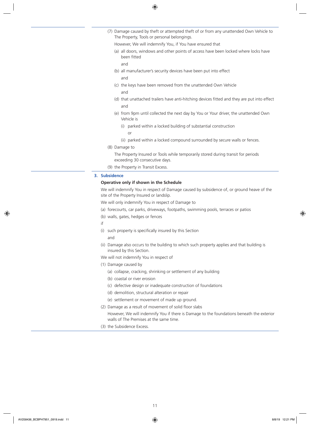- (7) Damage caused by theft or attempted theft of or from any unattended Own Vehicle to The Property, Tools or personal belongings.
	- However, We will indemnify You, if You have ensured that
	- (a) all doors, windows and other points of access have been locked where locks have been fitted

and

and

- (b) all manufacturer's security devices have been put into effect
- (c) the keys have been removed from the unattended Own Vehicle and
- (d) that unattached trailers have anti-hitching devices fitted and they are put into effect and
- (e) from 9pm until collected the next day by You or Your driver, the unattended Own Vehicle is
	- (i) parked within a locked building of substantial construction
		- or
	- (ii) parked within a locked compound surrounded by secure walls or fences.
- (8) Damage to

The Property Insured or Tools while temporarily stored during transit for periods exceeding 30 consecutive days.

(9) the Property in Transit Excess.

### **3. Subsidence**

### **Operative only if shown in the Schedule**

We will indemnify You in respect of Damage caused by subsidence of, or ground heave of the site of the Property Insured or landslip.

We will only indemnify You in respect of Damage to

- (a) forecourts, car parks, driveways, footpaths, swimming pools, terraces or patios
- (b) walls, gates, hedges or fences
- if
- (i) such property is specifically insured by this Section
	- and
- (ii) Damage also occurs to the building to which such property applies and that building is insured by this Section.
- We will not indemnify You in respect of
- (1) Damage caused by
	- (a) collapse, cracking, shrinking or settlement of any building
	- (b) coastal or river erosion
	- (c) defective design or inadequate construction of foundations
	- (d) demolition, structural alteration or repair
	- (e) settlement or movement of made up ground.
- (2) Damage as a result of movement of solid floor slabs
	- However, We will indemnify You if there is Damage to the foundations beneath the exterior walls of The Premises at the same time.
- (3) the Subsidence Excess.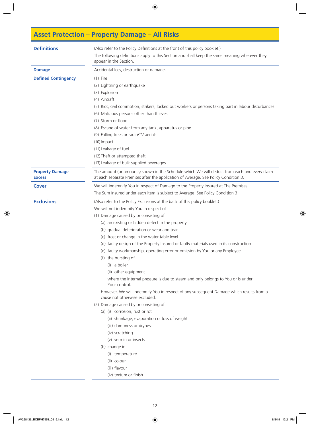# **Asset Protection – Property Damage – All Risks**

| <b>Definitions</b>                      | (Also refer to the Policy Definitions at the front of this policy booklet.)<br>The following definitions apply to this Section and shall keep the same meaning wherever they<br>appear in the Section.                                                                                                                                                                                                                                                                                                                                                                                                                                                                                                                                                                                                                                                                                                                                                                                                                                                                                    |
|-----------------------------------------|-------------------------------------------------------------------------------------------------------------------------------------------------------------------------------------------------------------------------------------------------------------------------------------------------------------------------------------------------------------------------------------------------------------------------------------------------------------------------------------------------------------------------------------------------------------------------------------------------------------------------------------------------------------------------------------------------------------------------------------------------------------------------------------------------------------------------------------------------------------------------------------------------------------------------------------------------------------------------------------------------------------------------------------------------------------------------------------------|
| <b>Damage</b>                           | Accidental loss, destruction or damage.                                                                                                                                                                                                                                                                                                                                                                                                                                                                                                                                                                                                                                                                                                                                                                                                                                                                                                                                                                                                                                                   |
| <b>Defined Contingency</b>              | $(1)$ Fire<br>(2) Lightning or earthquake<br>(3) Explosion<br>(4) Aircraft<br>(5) Riot, civil commotion, strikers, locked out workers or persons taking part in labour disturbances<br>(6) Malicious persons other than thieves<br>(7) Storm or flood<br>(8) Escape of water from any tank, apparatus or pipe<br>(9) Falling trees or radio/TV aerials<br>$(10)$ Impact<br>(11) Leakage of fuel<br>(12) Theft or attempted theft<br>(13) Leakage of bulk supplied beverages.                                                                                                                                                                                                                                                                                                                                                                                                                                                                                                                                                                                                              |
| <b>Property Damage</b><br><b>Excess</b> | The amount (or amounts) shown in the Schedule which We will deduct from each and every claim<br>at each separate Premises after the application of Average. See Policy Condition 3.                                                                                                                                                                                                                                                                                                                                                                                                                                                                                                                                                                                                                                                                                                                                                                                                                                                                                                       |
| <b>Cover</b>                            | We will indemnify You in respect of Damage to the Property Insured at The Premises.<br>The Sum Insured under each item is subject to Average. See Policy Condition 3.                                                                                                                                                                                                                                                                                                                                                                                                                                                                                                                                                                                                                                                                                                                                                                                                                                                                                                                     |
| <b>Exclusions</b>                       | (Also refer to the Policy Exclusions at the back of this policy booklet.)<br>We will not indemnify You in respect of<br>(1) Damage caused by or consisting of<br>(a) an existing or hidden defect in the property<br>(b) gradual deterioration or wear and tear<br>(c) frost or change in the water table level<br>(d) faulty design of the Property Insured or faulty materials used in its construction<br>(e) faulty workmanship, operating error or omission by You or any Employee<br>(f) the bursting of<br>(i) a boiler<br>(ii) other equipment<br>where the internal pressure is due to steam and only belongs to You or is under<br>Your control.<br>However, We will indemnify You in respect of any subsequent Damage which results from a<br>cause not otherwise excluded.<br>(2) Damage caused by or consisting of<br>(a) (i) corrosion, rust or rot<br>(ii) shrinkage, evaporation or loss of weight<br>(iii) dampness or dryness<br>(iv) scratching<br>(v) vermin or insects<br>(b) change in<br>(i) temperature<br>(ii) colour<br>(iii) flavour<br>(iv) texture or finish |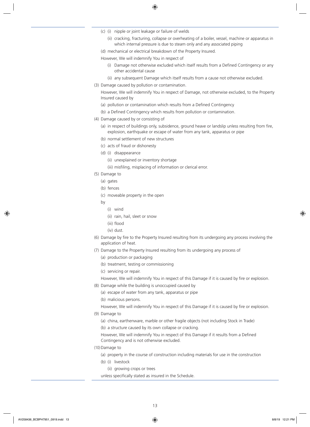- (c) (i) nipple or joint leakage or failure of welds
	- (ii) cracking, fracturing, collapse or overheating of a boiler, vessel, machine or apparatus in which internal pressure is due to steam only and any associated piping
- (d) mechanical or electrical breakdown of the Property Insured.

However, We will indemnify You in respect of

- (i) Damage not otherwise excluded which itself results from a Defined Contingency or any other accidental cause
- (ii) any subsequent Damage which itself results from a cause not otherwise excluded.
- (3) Damage caused by pollution or contamination.

However, We will indemnify You in respect of Damage, not otherwise excluded, to the Property Insured caused by

- (a) pollution or contamination which results from a Defined Contingency
- (b) a Defined Contingency which results from pollution or contamination.
- (4) Damage caused by or consisting of
	- (a) in respect of buildings only, subsidence, ground heave or landslip unless resulting from fire, explosion, earthquake or escape of water from any tank, apparatus or pipe
	- (b) normal settlement of new structures
	- (c) acts of fraud or dishonesty
	- (d) (i) disappearance
		- (ii) unexplained or inventory shortage

(iii) misfiling, misplacing of information or clerical error.

- (5) Damage to
	- (a) gates
	- (b) fences
	- (c) moveable property in the open
	- by
		- (i) wind
		- (ii) rain, hail, sleet or snow
		- (iii) flood
		- (iv) dust.
- (6) Damage by fire to the Property Insured resulting from its undergoing any process involving the application of heat.
- (7) Damage to the Property Insured resulting from its undergoing any process of
	- (a) production or packaging
	- (b) treatment, testing or commissioning
	- (c) servicing or repair.
	- However, We will indemnify You in respect of this Damage if it is caused by fire or explosion.
- (8) Damage while the building is unoccupied caused by
	- (a) escape of water from any tank, apparatus or pipe
	- (b) malicious persons.

However, We will indemnify You in respect of this Damage if it is caused by fire or explosion.

- (9) Damage to
	- (a) china, earthenware, marble or other fragile objects (not including Stock in Trade)
	- (b) a structure caused by its own collapse or cracking.

However, We will indemnify You in respect of this Damage if it results from a Defined Contingency and is not otherwise excluded.

- (10) Damage to
	- (a) property in the course of construction including materials for use in the construction
	- (b) (i) livestock
		- (ii) growing crops or trees
	- unless specifically stated as insured in the Schedule.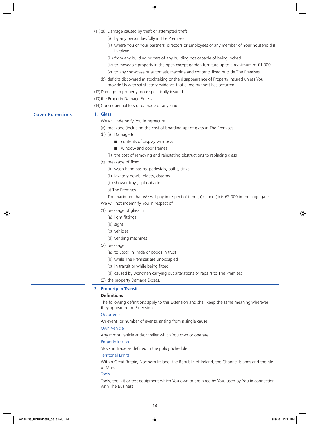|                         | (11)(a) Damage caused by theft or attempted theft                                                                                                                      |
|-------------------------|------------------------------------------------------------------------------------------------------------------------------------------------------------------------|
|                         | (i) by any person lawfully in The Premises                                                                                                                             |
|                         | (ii) where You or Your partners, directors or Employees or any member of Your household is<br>involved                                                                 |
|                         | (iii) from any building or part of any building not capable of being locked                                                                                            |
|                         | (iv) to moveable property in the open except garden furniture up to a maximum of $£1,000$                                                                              |
|                         | (v) to any showcase or automatic machine and contents fixed outside The Premises                                                                                       |
|                         | (b) deficits discovered at stocktaking or the disappearance of Property Insured unless You<br>provide Us with satisfactory evidence that a loss by theft has occurred. |
|                         | (12) Damage to property more specifically insured.                                                                                                                     |
|                         | (13) the Property Damage Excess.                                                                                                                                       |
|                         | (14) Consequential loss or damage of any kind.                                                                                                                         |
| <b>Cover Extensions</b> | 1. Glass                                                                                                                                                               |
|                         | We will indemnify You in respect of                                                                                                                                    |
|                         | (a) breakage (including the cost of boarding up) of glass at The Premises                                                                                              |
|                         | (b) (i) Damage to                                                                                                                                                      |
|                         | contents of display windows                                                                                                                                            |
|                         | window and door frames                                                                                                                                                 |
|                         | (ii) the cost of removing and reinstating obstructions to replacing glass                                                                                              |
|                         | (c) breakage of fixed                                                                                                                                                  |
|                         | (i) wash hand basins, pedestals, baths, sinks                                                                                                                          |
|                         | (ii) lavatory bowls, bidets, cisterns                                                                                                                                  |
|                         | (iii) shower trays, splashbacks                                                                                                                                        |
|                         | at The Premises.                                                                                                                                                       |
|                         | The maximum that We will pay in respect of item (b) (i) and (ii) is $£2,000$ in the aggregate.                                                                         |
|                         | We will not indemnify You in respect of                                                                                                                                |
|                         | (1) breakage of glass in                                                                                                                                               |
|                         | (a) light fittings                                                                                                                                                     |
|                         | (b) signs                                                                                                                                                              |
|                         | (c) vehicles                                                                                                                                                           |
|                         | (d) vending machines                                                                                                                                                   |
|                         | (2) breakage                                                                                                                                                           |
|                         | (a) to Stock in Trade or goods in trust                                                                                                                                |
|                         | (b) while The Premises are unoccupied                                                                                                                                  |
|                         | (c) in transit or while being fitted                                                                                                                                   |
|                         | (d) caused by workmen carrying out alterations or repairs to The Premises                                                                                              |
|                         | (3) the property Damage Excess.                                                                                                                                        |
|                         | 2. Property in Transit                                                                                                                                                 |
|                         | <b>Definitions</b>                                                                                                                                                     |
|                         | The following definitions apply to this Extension and shall keep the same meaning wherever                                                                             |
|                         | they appear in the Extension.                                                                                                                                          |
|                         | Occurrence                                                                                                                                                             |
|                         | An event, or number of events, arising from a single cause.                                                                                                            |
|                         | Own Vehicle                                                                                                                                                            |
|                         | Any motor vehicle and/or trailer which You own or operate.                                                                                                             |
|                         | Property Insured                                                                                                                                                       |
|                         | Stock in Trade as defined in the policy Schedule.                                                                                                                      |
|                         | <b>Territorial Limits</b>                                                                                                                                              |
|                         | Within Great Britain, Northern Ireland, the Republic of Ireland, the Channel Islands and the Isle                                                                      |
|                         | of Man.                                                                                                                                                                |
|                         | <b>Tools</b>                                                                                                                                                           |
|                         | Tools, tool kit or test equipment which You own or are hired by You, used by You in connection<br>with The Business.                                                   |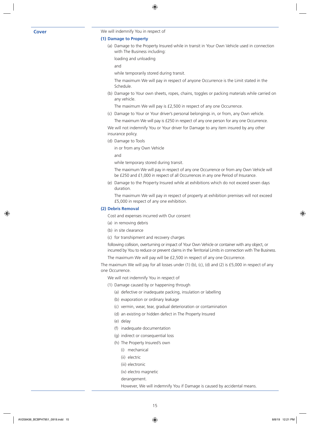**Cover** We will indemnify You in respect of

### **(1) Damage to Property**

(a) Damage to the Property Insured while in transit in Your Own Vehicle used in connection with The Business including:

loading and unloading

and

while temporarily stored during transit.

The maximum We will pay in respect of anyone Occurrence is the Limit stated in the Schedule.

(b) Damage to Your own sheets, ropes, chains, toggles or packing materials while carried on any vehicle.

The maximum We will pay is £2,500 in respect of any one Occurrence.

(c) Damage to Your or Your driver's personal belongings in, or from, any Own vehicle.

The maximum We will pay is £250 in respect of any one person for any one Occurrence.

We will not indemnify You or Your driver for Damage to any item insured by any other insurance policy.

(d) Damage to Tools

in or from any Own Vehicle

and

while temporary stored during transit.

The maximum We will pay in respect of any one Occurrence or from any Own Vehicle will be £250 and £1,000 in respect of all Occurrences in any one Period of Insurance.

(e) Damage to the Property Insured while at exhibitions which do not exceed seven days duration.

The maximum We will pay in respect of property at exhibition premises will not exceed £5,000 in respect of any one exhibition.

### **(2) Debris Removal**

Cost and expenses incurred with Our consent

- (a) in removing debris
- (b) in site clearance

(c) for transhipment and recovery charges

following collision, overturning or impact of Your Own Vehicle or container with any object, or incurred by You to reduce or prevent claims in the Territorial Limits in connection with The Business.

The maximum We will pay will be £2,500 in respect of any one Occurrence.

The maximum We will pay for all losses under (1) (b), (c), (d) and (2) is £5,000 in respect of any one Occurrence.

We will not indemnify You in respect of

- (1) Damage caused by or happening through
	- (a) defective or inadequate packing, insulation or labelling
	- (b) evaporation or ordinary leakage
	- (c) vermin, wear, tear, gradual deterioration or contamination
	- (d) an existing or hidden defect in The Property Insured
	- (e) delay
	- (f) inadequate documentation
	- (g) indirect or consequential loss
	- (h) The Property Insured's own
		- (i) mechanical
		- (ii) electric
		- (iii) electronic
		- (iv) electro magnetic

derangement.

However, We will indemnify You if Damage is caused by accidental means.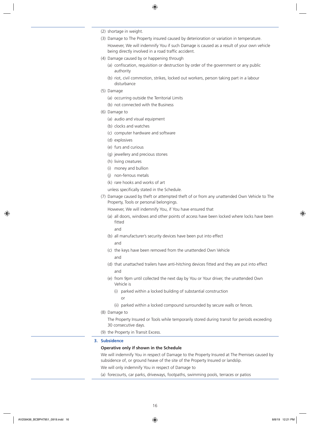- (2) shortage in weight.
- (3) Damage to The Property insured caused by deterioration or variation in temperature. However, We will indemnify You if such Damage is caused as a result of your own vehicle being directly involved in a road traffic accident.
- (4) Damage caused by or happening through
	- (a) confiscation, requisition or destruction by order of the government or any public authority
	- (b) riot, civil commotion, strikes, locked out workers, person taking part in a labour disturbance
- (5) Damage
	- (a) occurring outside the Territorial Limits
	- (b) not connected with the Business
- (6) Damage to
	- (a) audio and visual equipment
	- (b) clocks and watches
	- (c) computer hardware and software
	- (d) explosives
	- (e) furs and curious
	- (g) jewellery and precious stones
	- (h) living creatures
	- (i) money and bullion
	- (j) non-ferrous metals
	- (k) rare hooks and works of art

unless specifically stated in the Schedule.

(7) Damage caused by theft or attempted theft of or from any unattended Own Vehicle to The Property, Tools or personal belongings.

However, We will indemnify You, if You have ensured that

(a) all doors, windows and other points of access have been locked where locks have been fitted

and

- (b) all manufacturer's security devices have been put into effect and
- (c) the keys have been removed from the unattended Own Vehicle and
- (d) that unattached trailers have anti-hitching devices fitted and they are put into effect and
- (e) from 9pm until collected the next day by You or Your driver, the unattended Own Vehicle is
	- (i) parked within a locked building of substantial construction
		- or
	- (ii) parked within a locked compound surrounded by secure walls or fences.
- (8) Damage to
	- The Property Insured or Tools while temporarily stored during transit for periods exceeding 30 consecutive days.
- (9) the Property in Transit Excess.
- **3. Subsidence**

### **Operative only if shown in the Schedule**

We will indemnify You in respect of Damage to the Property Insured at The Premises caused by subsidence of, or ground heave of the site of the Property Insured or landslip.

We will only indemnify You in respect of Damage to

(a) forecourts, car parks, driveways, footpaths, swimming pools, terraces or patios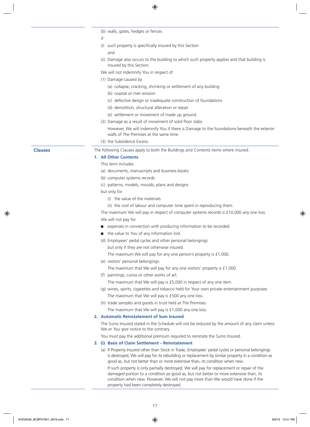(b) walls, gates, hedges or fences

if

(i) such property is specifically insured by this Section

and

- (ii) Damage also occurs to the building to which such property applies and that building is insured by this Section.
- We will not indemnify You in respect of
- (1) Damage caused by
	- (a) collapse, cracking, shrinking or settlement of any building
	- (b) coastal or river erosion
	- (c) defective design or inadequate construction of foundations
	- (d) demolition, structural alteration or repair
	- (e) settlement or movement of made up ground.
- (2) Damage as a result of movement of solid floor slabs.
	- However, We will indemnify You if there is Damage to the foundations beneath the exterior walls of The Premises at the same time.
- (3) the Subsidence Excess.

**Clauses** The following Clauses apply to both the Buildings and Contents items where insured.

### **1. All Other Contents**

This term includes

- (a) documents, manuscripts and business books
- (b) computer systems records
- (c) patterns, models, moulds, plans and designs

but only for

(i) the value of the materials

(ii) the cost of labour and computer time spent in reproducing them.

The maximum We will pay in respect of computer systems records is £10,000 any one loss. We will not pay for

- expenses in connection with producing information to be recorded
- the value to You of any information lost.
- (d) Employees' pedal cycles and other personal belongings

but only if they are not otherwise insured.

The maximum We will pay for any one person's property is £1,000.

(e) visitors' personal belongings.

The maximum that We will pay for any one visitors' property is £1,000.

(f) paintings, curios or other works of art.

The maximum that We will pay is £5,000 in respect of any one item.

- (g) wines, spirits, cigarettes and tobacco held for Your own private entertainment purposes. The maximum that We will pay is £500 any one loss.
- (h) trade samples and goods in trust held at The Premises.

The maximum that We will pay is £1,000 any one loss.

### **2. Automatic Reinstatement of Sum Insured**

The Sums Insured stated in the Schedule will not be reduced by the amount of any claim unless We or You give notice to the contrary.

You must pay the additional premium required to reinstate the Sums Insured.

### **3. (i) Basis of Claim Settlement – Reinstatement**

(a) If Property Insured other than Stock in Trade, Employees' pedal cycles or personal belongings is destroyed, We will pay for its rebuilding or replacement by similar property in a condition as good as, but not better than or more extensive than, its condition when new.

If such property is only partially destroyed, We will pay for replacement or repair of the damaged portion to a condition as good as, but not better or more extensive than, its condition when new. However, We will not pay more than We would have done if the property had been completely destroyed.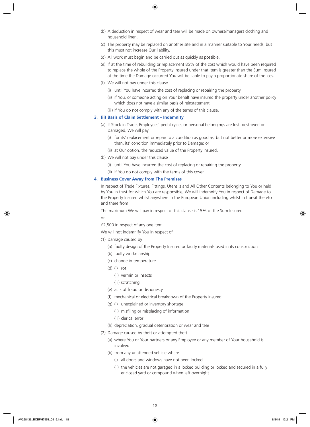- (b) A deduction in respect of wear and tear will be made on owners/managers clothing and household linen.
- (c) The property may be replaced on another site and in a manner suitable to Your needs, but this must not increase Our liability.
- (d) All work must begin and be carried out as quickly as possible.
- (e) If at the time of rebuilding or replacement 85% of the cost which would have been required to replace the whole of the Property Insured under that item is greater than the Sum Insured at the time the Damage occurred You will be liable to pay a proportionate share of the loss.
- (f) We will not pay under this clause
	- (i) until You have incurred the cost of replacing or repairing the property
	- (ii) if You, or someone acting on Your behalf have insured the property under another policy which does not have a similar basis of reinstatement
	- (iii) if You do not comply with any of the terms of this clause.

### **3. (ii) Basis of Claim Settlement – Indemnity**

- (a) If Stock in Trade, Employees' pedal cycles or personal belongings are lost, destroyed or Damaged, We will pay
	- (i) for its' replacement or repair to a condition as good as, but not better or more extensive than, its' condition immediately prior to Damage; or
	- (ii) at Our option, the reduced value of the Property Insured.
- (b) We will not pay under this clause
	- (i) until You have incurred the cost of replacing or repairing the property
	- (ii) if You do not comply with the terms of this cover.

### **4. Business Cover Away from The Premises**

In respect of Trade Fixtures, Fittings, Utensils and All Other Contents belonging to You or held by You in trust for which You are responsible, We will indemnify You in respect of Damage to the Property Insured whilst anywhere in the European Union including whilst in transit thereto and there from.

The maximum We will pay in respect of this clause is 15% of the Sum Insured

or

£2,500 in respect of any one item.

We will not indemnify You in respect of

- (1) Damage caused by
	- (a) faulty design of the Property Insured or faulty materials used in its construction
	- (b) faulty workmanship
	- (c) change in temperature
	- (d) (i) rot
		- (ii) vermin or insects
		- (iii) scratching
	- (e) acts of fraud or dishonesty
	- (f) mechanical or electrical breakdown of the Property Insured
	- (g) (i) unexplained or inventory shortage
		- (ii) misfiling or misplacing of information
		- (iii) clerical error
	- (h) depreciation, gradual deterioration or wear and tear
- (2) Damage caused by theft or attempted theft
	- (a) where You or Your partners or any Employee or any member of Your household is involved
	- (b) from any unattended vehicle where
		- (i) all doors and windows have not been locked
		- (ii) the vehicles are not garaged in a locked building or locked and secured in a fully enclosed yard or compound when left overnight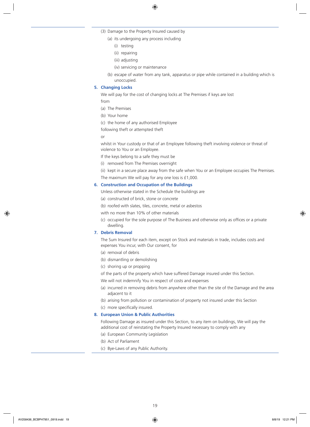- (3) Damage to the Property Insured caused by
	- (a) its undergoing any process including
		- (i) testing
		- (ii) repairing
		- (iii) adjusting
		- (iv) servicing or maintenance
	- (b) escape of water from any tank, apparatus or pipe while contained in a building which is unoccupied.

### **5. Changing Locks**

We will pay for the cost of changing locks at The Premises if keys are lost

from

- (a) The Premises
- (b) Your home
- (c) the home of any authorised Employee

following theft or attempted theft

or

whilst in Your custody or that of an Employee following theft involving violence or threat of violence to You or an Employee.

If the keys belong to a safe they must be

- (i) removed from The Premises overnight
- (ii) kept in a secure place away from the safe when You or an Employee occupies The Premises. The maximum We will pay for any one loss is £1,000.

### **6. Construction and Occupation of the Buildings**

Unless otherwise stated in the Schedule the buildings are

- (a) constructed of brick, stone or concrete
- (b) roofed with slates, tiles, concrete, metal or asbestos
- with no more than 10% of other materials
- (c) occupied for the sole purpose of The Business and otherwise only as offices or a private dwelling.

### **7. Debris Removal**

The Sum Insured for each item, except on Stock and materials in trade, includes costs and expenses You incur, with Our consent, for

- (a) removal of debris
- (b) dismantling or demolishing
- (c) shoring up or propping

of the parts of the property which have suffered Damage insured under this Section.

We will not indemnify You in respect of costs and expenses

- (a) incurred in removing debris from anywhere other than the site of the Damage and the area adjacent to it
- (b) arising from pollution or contamination of property not insured under this Section
- (c) more specifically insured.

### **8. European Union & Public Authorities**

Following Damage as insured under this Section, to any item on buildings, We will pay the additional cost of reinstating the Property Insured necessary to comply with any

- (a) European Community Legislation
- (b) Act of Parliament
- (c) Bye-Laws of any Public Authority.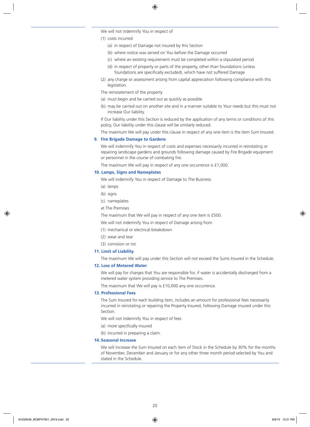We will not indemnify You in respect of

- (1) costs incurred
	- (a) in respect of Damage not insured by this Section
	- (b) where notice was served on You before the Damage occurred
	- (c) where an existing requirement must be completed within a stipulated period
	- (d) in respect of property or parts of the property, other than foundations (unless foundations are specifically excluded), which have not suffered Damage
- (2) any charge or assessment arising from capital appreciation following compliance with this legislation.

The reinstatement of the property

- (a) must begin and be carried out as quickly as possible
- (b) may be carried out on another site and in a manner suitable to Your needs but this must not increase Our liability.

If Our liability under this Section is reduced by the application of any terms or conditions of this policy, Our liability under this clause will be similarly reduced.

The maximum We will pay under this clause in respect of any one item is the item Sum Insured.

### **9. Fire Brigade Damage to Gardens**

We will indemnify You in respect of costs and expenses necessarily incurred in reinstating or repairing landscape gardens and grounds following damage caused by Fire Brigade equipment or personnel in the course of combating fire.

The maximum We will pay in respect of any one occurrence is £1,000.

### **10. Lamps, Signs and Nameplates**

We will indemnify You in respect of Damage to The Business

- (a) lamps
- (b) signs
- (c) nameplates
- at The Premises

The maximum that We will pay in respect of any one item is £500.

We will not indemnify You in respect of Damage arising from

- (1) mechanical or electrical breakdown
- (2) wear and tear
- (3) corrosion or rot.

### **11. Limit of Liability**

The maximum We will pay under this Section will not exceed the Sums Insured in the Schedule.

### **12. Loss of Metered Water**

We will pay for charges that You are responsible for, if water is accidentally discharged from a metered water system providing service to The Premises.

The maximum that We will pay is £10,000 any one occurrence.

### **13. Professional Fees**

The Sum Insured for each building item, includes an amount for professional fees necessarily incurred in reinstating or repairing the Property Insured, following Damage insured under this Section.

We will not indemnify You in respect of fees

- (a) more specifically insured
- (b) incurred in preparing a claim.

### **14. Seasonal Increase**

We will increase the Sum Insured on each item of Stock in the Schedule by 30% for the months of November, December and January or for any other three month period selected by You and stated in the Schedule.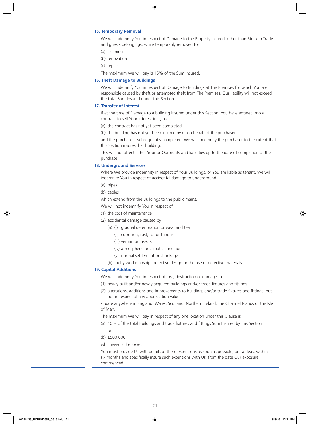### **15. Temporary Removal**

We will indemnify You in respect of Damage to the Property Insured, other than Stock in Trade and guests belongings, while temporarily removed for

- (a) cleaning
- (b) renovation
- (c) repair.

The maximum We will pay is 15% of the Sum Insured.

### **16. Theft Damage to Buildings**

We will indemnify You in respect of Damage to Buildings at The Premises for which You are responsible caused by theft or attempted theft from The Premises. Our liability will not exceed the total Sum Insured under this Section.

### **17. Transfer of Interest**

If at the time of Damage to a building insured under this Section, You have entered into a contract to sell Your interest in it, but

- (a) the contract has not yet been completed
- (b) the building has not yet been insured by or on behalf of the purchaser

and the purchase is subsequently completed, We will indemnify the purchaser to the extent that this Section insures that building.

This will not affect either Your or Our rights and liabilities up to the date of completion of the purchase.

### **18. Underground Services**

Where We provide indemnity in respect of Your Buildings, or You are liable as tenant, We will indemnify You in respect of accidental damage to underground

- (a) pipes
- (b) cables

which extend from the Buildings to the public mains.

- We will not indemnify You in respect of
- (1) the cost of maintenance
- (2) accidental damage caused by
	- (a) (i) gradual deterioration or wear and tear
		- (ii) corrosion, rust, rot or fungus
		- (iii) vermin or insects
		- (iv) atmospheric or climatic conditions
		- (v) normal settlement or shrinkage
	- (b) faulty workmanship, defective design or the use of defective materials.

### **19. Capital Additions**

We will indemnify You in respect of loss, destruction or damage to

- (1) newly built and/or newly acquired buildings and/or trade fixtures and fittings
- (2) alterations, additions and improvements to buildings and/or trade fixtures and fittings, but not in respect of any appreciation value

situate anywhere in England, Wales, Scotland, Northern Ireland, the Channel Islands or the Isle of Man.

The maximum We will pay in respect of any one location under this Clause is

- (a) 10% of the total Buildings and trade fixtures and fittings Sum Insured by this Section or
- (b) £500,000

whichever is the lower.

You must provide Us with details of these extensions as soon as possible, but at least within six months and specifically insure such extensions with Us, from the date Our exposure commenced.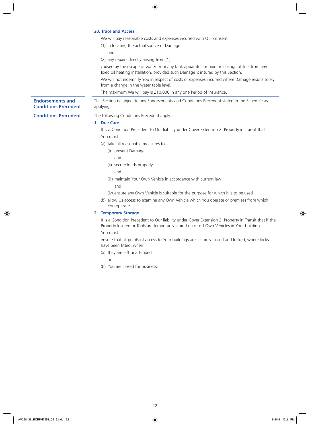|                                                        | <b>20. Trace and Access</b>                                                                                                                                                                                    |
|--------------------------------------------------------|----------------------------------------------------------------------------------------------------------------------------------------------------------------------------------------------------------------|
|                                                        | We will pay reasonable costs and expenses incurred with Our consent                                                                                                                                            |
|                                                        | (1) in locating the actual source of Damage                                                                                                                                                                    |
|                                                        | and                                                                                                                                                                                                            |
|                                                        | (2) any repairs directly arising from (1)                                                                                                                                                                      |
|                                                        | caused by the escape of water from any tank apparatus or pipe or leakage of fuel from any<br>fixed oil heating installation, provided such Damage is insured by this Section.                                  |
|                                                        | We will not indemnify You in respect of costs or expenses incurred where Damage results solely<br>from a change in the water table level.                                                                      |
|                                                        | The maximum We will pay is £10,000 in any one Period of Insurance.                                                                                                                                             |
| <b>Endorsements and</b><br><b>Conditions Precedent</b> | This Section is subject to any Endorsements and Conditions Precedent stated in the Schedule as<br>applying.                                                                                                    |
| <b>Conditions Precedent</b>                            | The following Conditions Precedent apply.                                                                                                                                                                      |
|                                                        | 1. Due Care                                                                                                                                                                                                    |
|                                                        | It is a Condition Precedent to Our liability under Cover Extension 2. Property in Transit that                                                                                                                 |
|                                                        | You must                                                                                                                                                                                                       |
|                                                        | (a) take all reasonable measures to                                                                                                                                                                            |
|                                                        | (i) prevent Damage                                                                                                                                                                                             |
|                                                        | and                                                                                                                                                                                                            |
|                                                        | (ii) secure loads properly                                                                                                                                                                                     |
|                                                        | and                                                                                                                                                                                                            |
|                                                        | (iii) maintain Your Own Vehicle in accordance with current law                                                                                                                                                 |
|                                                        | and                                                                                                                                                                                                            |
|                                                        | (iv) ensure any Own Vehicle is suitable for the purpose for which it is to be used                                                                                                                             |
|                                                        | (b) allow Us access to examine any Own Vehicle which You operate or premises from which<br>You operate.                                                                                                        |
|                                                        | 2. Temporary Storage                                                                                                                                                                                           |
|                                                        | It is a Condition Precedent to Our liability under Cover Extension 2. Property in Transit that if the<br>Property Insured or Tools are temporarily stored on or off Own Vehicles in Your buildings<br>You must |
|                                                        | ensure that all points of access to Your buildings are securely closed and locked, where locks<br>have been fitted, when                                                                                       |
|                                                        | (a) they are left unattended                                                                                                                                                                                   |
|                                                        | or                                                                                                                                                                                                             |
|                                                        | (b) You are closed for business.                                                                                                                                                                               |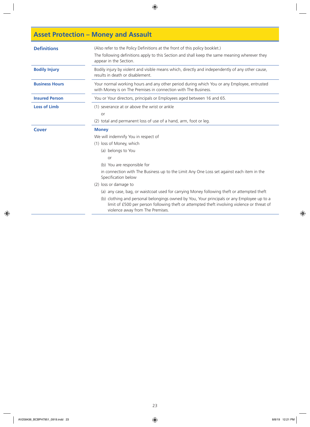# **Asset Protection – Money and Assault**

| <b>Definitions</b>    | (Also refer to the Policy Definitions at the front of this policy booklet.)<br>The following definitions apply to this Section and shall keep the same meaning wherever they<br>appear in the Section.                                                                                                                                                                                           |
|-----------------------|--------------------------------------------------------------------------------------------------------------------------------------------------------------------------------------------------------------------------------------------------------------------------------------------------------------------------------------------------------------------------------------------------|
| <b>Bodily Injury</b>  | Bodily injury by violent and visible means which, directly and independently of any other cause,<br>results in death or disablement.                                                                                                                                                                                                                                                             |
| <b>Business Hours</b> | Your normal working hours and any other period during which You or any Employee, entrusted<br>with Money is on The Premises in connection with The Business.                                                                                                                                                                                                                                     |
| <b>Insured Person</b> | You or Your directors, principals or Employees aged between 16 and 65.                                                                                                                                                                                                                                                                                                                           |
| <b>Loss of Limb</b>   | (1) severance at or above the wrist or ankle<br>or<br>(2) total and permanent loss of use of a hand, arm, foot or leg.                                                                                                                                                                                                                                                                           |
| Cover                 | <b>Money</b><br>We will indemnify You in respect of<br>(1) loss of Money, which                                                                                                                                                                                                                                                                                                                  |
|                       | (a) belongs to You<br>or<br>(b) You are responsible for<br>in connection with The Business up to the Limit Any One Loss set against each item in the<br>Specification below<br>(2) loss or damage to<br>(a) any case, bag, or waistcoat used for carrying Money following theft or attempted theft<br>(b) clothing and personal belongings owned by You, Your principals or any Employee up to a |
|                       | limit of £500 per person following theft or attempted theft involving violence or threat of<br>violence away from The Premises.                                                                                                                                                                                                                                                                  |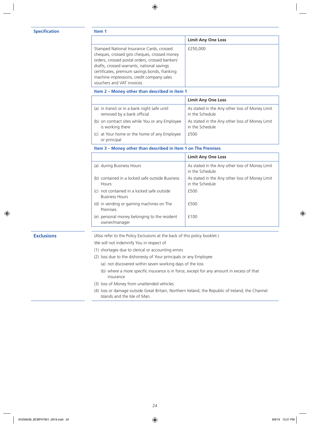### **Specification Item 1**

|                                                                                                                                                                                                                                                                                                                        | <b>Limit Any One Loss</b> |
|------------------------------------------------------------------------------------------------------------------------------------------------------------------------------------------------------------------------------------------------------------------------------------------------------------------------|---------------------------|
| Stamped National Insurance Cards, crossed<br>cheques, crossed giro cheques, crossed money<br>orders, crossed postal orders, crossed bankers'<br>drafts, crossed warrants, national savings<br>certificates, premium savings bonds, franking<br>machine impressions, credit company sales<br>vouchers and VAT invoices. | £250,000                  |

### **Item 2 – Money other than described in Item 1**

|                                                          | <b>Limit Any One Loss</b>                      |
|----------------------------------------------------------|------------------------------------------------|
| (a) in transit or in a bank night safe until             | As stated in the Any other loss of Money Limit |
| removed by a bank official                               | in the Schedule                                |
| (b) on contract sites while You or any Employee          | As stated in the Any other loss of Money Limit |
| is working there                                         | in the Schedule                                |
| at Your home or the home of any Employee<br>or principal | £500                                           |

**Item 3 – Money other than described in Item 1 on The Premises**

|                                                                        | <b>Limit Any One Loss</b>                                         |
|------------------------------------------------------------------------|-------------------------------------------------------------------|
| (a) during Business Hours                                              | As stated in the Any other loss of Money Limit<br>in the Schedule |
| (b) contained in a locked safe outside Business<br><b>Hours</b>        | As stated in the Any other loss of Money Limit<br>in the Schedule |
| not contained in a locked safe outside<br>(C)<br><b>Business Hours</b> | £500                                                              |
| (d) in vending or gaming machines on The<br>Premises                   | £500                                                              |
| personal money belonging to the resident<br>(e)<br>owner/manager       | f100                                                              |

**Exclusions** (Also refer to the Policy Exclusions at the back of this policy booklet.)

We will not indemnify You in respect of

- (1) shortages due to clerical or accounting errors
- (2) loss due to the dishonesty of Your principals or any Employee
	- (a) not discovered within seven working days of the loss
	- (b) where a more specific insurance is in force, except for any amount in excess of that insurance
- (3) loss of Money from unattended vehicles
- (4) loss or damage outside Great Britain, Northern Ireland, the Republic of Ireland, the Channel Islands and the Isle of Man.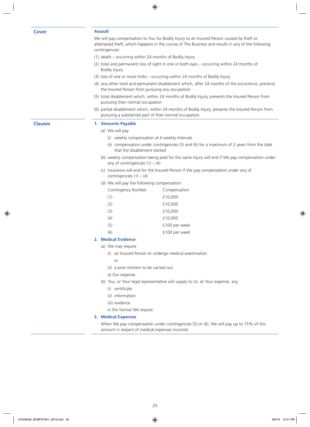### **Cover Assault**

We will pay compensation to You for Bodily Injury to an Insured Person caused by theft or attempted theft, which happens in the course of The Business and results in any of the following contingencies

- (1) death occurring within 24 months of Bodily Injury
- (2) total and permanent loss of sight in one or both eyes occurring within 24 months of Bodily Injury
- (3) loss of one or more limbs occurring within 24 months of Bodily Injury
- (4) any other total and permanent disablement which, after 24 months of the occurrence, prevents the Insured Person from pursuing any occupation
- (5) total disablement which, within 24 months of Bodily Injury, prevents the Insured Person from pursuing their normal occupation
- (6) partial disablement which, within 24 months of Bodily Injury, prevents the Insured Person from pursuing a substantial part of their normal occupation.

### **Clauses 1. Amounts Payable**

- (a) We will pay
	- (i) weekly compensation at 4 weekly intervals
	- (ii) compensation under contingencies (5) and (6) for a maximum of 2 years from the date that the disablement started
- (b) weekly compensation being paid for the same injury will end if We pay compensation under any of contingencies  $(1) - (4)$
- (c) insurance will end for the Insured Person if We pay compensation under any of contingencies  $(1) - (4)$
- (d) We will pay the following compensation

| Contingency Number | Compensation  |
|--------------------|---------------|
| (1)                | £10,000       |
| (2)                | £10,000       |
| (3)                | £10,000       |
| (4)                | £10,000       |
| (5)                | £100 per week |
| (6)                | £100 per week |
|                    |               |

### **2. Medical Evidence**

- (a) We may require
	- (i) an Insured Person to undergo medical examination
	- or
	- (ii) a post mortem to be carried out
	- at Our expense.
- (b) You, or Your legal representative will supply to Us, at Your expense, any
	- (i) certificate
	- (ii) information
	- (iii) evidence
	- in the format We require.

### **3. Medical Expenses**

When We pay compensation under contingencies (5) or (6), We will pay up to 15% of this amount in respect of medical expenses incurred.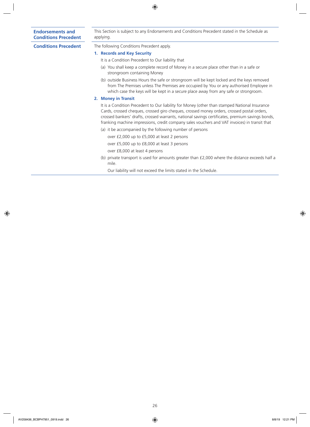### **Endorsements and Conditions Precedent**

This Section is subject to any Endorsements and Conditions Precedent stated in the Schedule as applying.

**Conditions Precedent** The following Conditions Precedent apply.

- **1. Records and Key Security**
	- It is a Condition Precedent to Our liability that
	- (a) You shall keep a complete record of Money in a secure place other than in a safe or strongroom containing Money
	- (b) outside Business Hours the safe or strongroom will be kept locked and the keys removed from The Premises unless The Premises are occupied by You or any authorised Employee in which case the keys will be kept in a secure place away from any safe or strongroom.

### **2. Money in Transit**

It is a Condition Precedent to Our liability for Money (other than stamped National Insurance Cards, crossed cheques, crossed giro cheques, crossed money orders, crossed postal orders, crossed bankers' drafts, crossed warrants, national savings certificates, premium savings bonds, franking machine impressions, credit company sales vouchers and VAT invoices) in transit that

- (a) it be accompanied by the following number of persons
	- over £2,000 up to £5,000 at least 2 persons

over £5,000 up to £8,000 at least 3 persons

over £8,000 at least 4 persons

(b) private transport is used for amounts greater than £2,000 where the distance exceeds half a mile.

Our liability will not exceed the limits stated in the Schedule.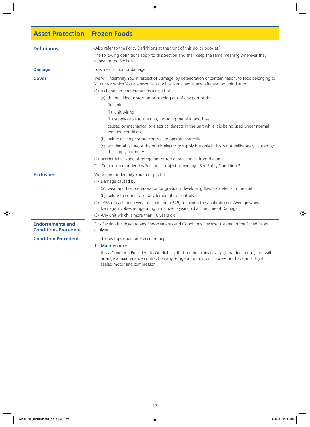### **Asset Protection – Frozen Foods**

| <b>Definitions</b>                                     | (Also refer to the Policy Definitions at the front of this policy booklet.)<br>The following definitions apply to this Section and shall keep the same meaning wherever they<br>appear in the Section.                         |
|--------------------------------------------------------|--------------------------------------------------------------------------------------------------------------------------------------------------------------------------------------------------------------------------------|
| <b>Damage</b>                                          | Loss, destruction or damage.                                                                                                                                                                                                   |
| <b>Cover</b>                                           | We will indemnify You in respect of Damage, by deterioration or contamination, to food belonging to<br>You or for which You are responsible, while contained in any refrigeration unit due to                                  |
|                                                        | (1) a change in temperature as a result of                                                                                                                                                                                     |
|                                                        | (a) the breaking, distortion or burning out of any part of the                                                                                                                                                                 |
|                                                        | (i) unit                                                                                                                                                                                                                       |
|                                                        | (ii) unit wiring                                                                                                                                                                                                               |
|                                                        | (iii) supply cable to the unit, including the plug and fuse                                                                                                                                                                    |
|                                                        | caused by mechanical or electrical defects in the unit while it is being used under normal<br>working conditions                                                                                                               |
|                                                        | (b) failure of temperature controls to operate correctly                                                                                                                                                                       |
|                                                        | (c) accidental failure of the public electricity supply but only if this is not deliberately caused by<br>the supply authority                                                                                                 |
|                                                        | (2) accidental leakage of refrigerant or refrigerant fumes from the unit.                                                                                                                                                      |
|                                                        | The Sum Insured under this Section is subject to Average. See Policy Condition 3.                                                                                                                                              |
| <b>Exclusions</b>                                      | We will not indemnify You in respect of                                                                                                                                                                                        |
|                                                        | (1) Damage caused by                                                                                                                                                                                                           |
|                                                        | (a) wear and tear, deterioration or gradually developing flaws or defects in the unit                                                                                                                                          |
|                                                        | (b) failure to correctly set any temperature controls                                                                                                                                                                          |
|                                                        | (2) 10% of each and every loss (minimum £25) following the application of Average where<br>Damage involves refrigerating units over 5 years old at the time of Damage                                                          |
|                                                        | (3) Any unit which is more than 10 years old.                                                                                                                                                                                  |
| <b>Endorsements and</b><br><b>Conditions Precedent</b> | This Section is subject to any Endorsements and Conditions Precedent stated in the Schedule as<br>applying.                                                                                                                    |
| <b>Condition Precedent</b>                             | The following Condition Precedent applies.                                                                                                                                                                                     |
|                                                        | 1. Maintenance                                                                                                                                                                                                                 |
|                                                        | It is a Condition Precedent to Our liability that on the expiry of any guarantee period, You will<br>arrange a maintenance contract on any refrigeration unit which does not have an airtight,<br>sealed motor and compressor. |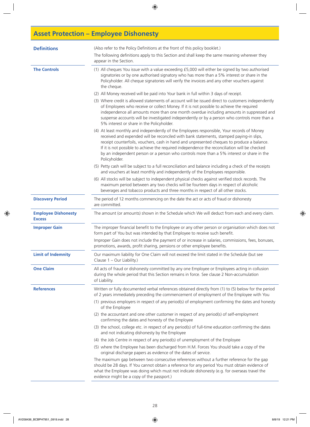# **Asset Protection – Employee Dishonesty**

| <b>Definitions</b>                          | (Also refer to the Policy Definitions at the front of this policy booklet.)                                                                                                                                                                                                                                                                                                                                                                                                                        |
|---------------------------------------------|----------------------------------------------------------------------------------------------------------------------------------------------------------------------------------------------------------------------------------------------------------------------------------------------------------------------------------------------------------------------------------------------------------------------------------------------------------------------------------------------------|
|                                             | The following definitions apply to this Section and shall keep the same meaning wherever they<br>appear in the Section.                                                                                                                                                                                                                                                                                                                                                                            |
| <b>The Controls</b>                         | (1) All cheques You issue with a value exceeding £5,000 will either be signed by two authorised<br>signatories or by one authorised signatory who has more than a 5% interest or share in the<br>Policyholder. All cheque signatories will verify the invoices and any other vouchers against<br>the cheque.                                                                                                                                                                                       |
|                                             | (2) All Money received will be paid into Your bank in full within 3 days of receipt.                                                                                                                                                                                                                                                                                                                                                                                                               |
|                                             | (3) Where credit is allowed statements of account will be issued direct to customers independently<br>of Employees who receive or collect Money. If it is not possible to achieve the required<br>independence all amounts more than one month overdue including amounts in suppressed and<br>suspense accounts will be investigated independently or by a person who controls more than a<br>5% interest or share in the Policyholder.                                                            |
|                                             | (4) At least monthly and independently of the Employees responsible, Your records of Money<br>received and expended will be reconciled with bank statements, stamped paying-in slips,<br>receipt counterfoils, vouchers, cash in hand and unpresented cheques to produce a balance.<br>If it is not possible to achieve the required independence the reconciliation will be checked<br>by an independent person or a person who controls more than a 5% interest or share in the<br>Policyholder. |
|                                             | (5) Petty cash will be subject to a full reconciliation and balance including a check of the receipts<br>and vouchers at least monthly and independently of the Employees responsible.                                                                                                                                                                                                                                                                                                             |
|                                             | (6) All stocks will be subject to independent physical checks against verified stock records. The<br>maximum period between any two checks will be fourteen days in respect of alcoholic<br>beverages and tobacco products and three months in respect of all other stocks.                                                                                                                                                                                                                        |
| <b>Discovery Period</b>                     | The period of 12 months commencing on the date the act or acts of fraud or dishonesty<br>are committed.                                                                                                                                                                                                                                                                                                                                                                                            |
| <b>Employee Dishonesty</b><br><b>Excess</b> | The amount (or amounts) shown in the Schedule which We will deduct from each and every claim.                                                                                                                                                                                                                                                                                                                                                                                                      |
| <b>Improper Gain</b>                        | The improper financial benefit to the Employee or any other person or organisation which does not<br>form part of You but was intended by that Employee to receive such benefit.                                                                                                                                                                                                                                                                                                                   |
|                                             | Improper Gain does not include the payment of or increase in salaries, commissions, fees, bonuses,<br>promotions, awards, profit sharing, pensions or other employee benefits.                                                                                                                                                                                                                                                                                                                     |
| <b>Limit of Indemnity</b>                   | Our maximum liability for One Claim will not exceed the limit stated in the Schedule (but see<br>Clause 1 – Our Liability.)                                                                                                                                                                                                                                                                                                                                                                        |
| <b>One Claim</b>                            | All acts of fraud or dishonesty committed by any one Employee or Employees acting in collusion<br>during the whole period that this Section remains in force. See clause 2 Non-accumulation<br>of Liability.                                                                                                                                                                                                                                                                                       |
| <b>References</b>                           | Written or fully documented verbal references obtained directly from (1) to (5) below for the period<br>of 2 years immediately preceding the commencement of employment of the Employee with You                                                                                                                                                                                                                                                                                                   |
|                                             | (1) previous employers in respect of any period(s) of employment confirming the dates and honesty<br>of the Employee                                                                                                                                                                                                                                                                                                                                                                               |
|                                             | (2) the accountant and one other customer in respect of any period(s) of self-employment<br>confirming the dates and honesty of the Employee                                                                                                                                                                                                                                                                                                                                                       |
|                                             | (3) the school, college etc. in respect of any period(s) of full-time education confirming the dates<br>and not indicating dishonesty by the Employee                                                                                                                                                                                                                                                                                                                                              |
|                                             | (4) the Job Centre in respect of any period(s) of unemployment of the Employee                                                                                                                                                                                                                                                                                                                                                                                                                     |
|                                             | (5) where the Employee has been discharged from H.M. Forces You should take a copy of the<br>original discharge papers as evidence of the dates of service.                                                                                                                                                                                                                                                                                                                                        |
|                                             | The maximum gap between two consecutive references without a further reference for the gap<br>should be 28 days. If You cannot obtain a reference for any period You must obtain evidence of<br>what the Employee was doing which must not indicate dishonesty (e.g. for overseas travel the<br>evidence might be a copy of the passport.)                                                                                                                                                         |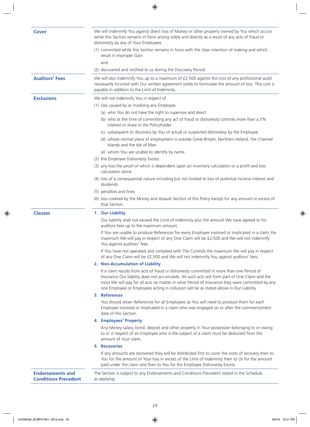| <b>Cover</b>                                           | We will indemnify You against direct loss of Money or other property owned by You which occurs<br>while this Section remains in force arising solely and directly as a result of any acts of fraud or<br>dishonesty by any of Your Employees                                                                                                                                            |
|--------------------------------------------------------|-----------------------------------------------------------------------------------------------------------------------------------------------------------------------------------------------------------------------------------------------------------------------------------------------------------------------------------------------------------------------------------------|
|                                                        | (1) committed while this Section remains in force with the clear intention of making and which<br>result in Improper Gain                                                                                                                                                                                                                                                               |
|                                                        | and                                                                                                                                                                                                                                                                                                                                                                                     |
|                                                        | (2) discovered and notified to us during the Discovery Period.                                                                                                                                                                                                                                                                                                                          |
| <b>Auditors' Fees</b>                                  | We will also indemnify You up to a maximum of £2,500 against the cost of any professional audit<br>necessarily incurred with Our written agreement solely to formulate the amount of loss. This cost is<br>payable in addition to the Limit of Indemnity.                                                                                                                               |
| <b>Exclusions</b>                                      | We will not indemnify You in respect of                                                                                                                                                                                                                                                                                                                                                 |
|                                                        | (1) loss caused by or involving any Employee                                                                                                                                                                                                                                                                                                                                            |
|                                                        | (a) who You do not have the right to supervise and direct                                                                                                                                                                                                                                                                                                                               |
|                                                        | (b) who at the time of committing any act of fraud or dishonesty controls more than a 5%<br>interest or share in the Policyholder                                                                                                                                                                                                                                                       |
|                                                        | (c) subsequent to discovery by You of actual or suspected dishonesty by the Employee                                                                                                                                                                                                                                                                                                    |
|                                                        | (d) whose normal place of employment is outside Great Britain, Northern Ireland, the Channel<br>Islands and the Isle of Man                                                                                                                                                                                                                                                             |
|                                                        | (e) whom You are unable to identify by name.                                                                                                                                                                                                                                                                                                                                            |
|                                                        | (2) the Employee Dishonesty Excess                                                                                                                                                                                                                                                                                                                                                      |
|                                                        | (3) any loss the proof of which is dependent upon an inventory calculation or a profit and loss<br>calculation alone                                                                                                                                                                                                                                                                    |
|                                                        | (4) loss of a consequential nature including but not limited to loss of potential income interest and<br>dividends                                                                                                                                                                                                                                                                      |
|                                                        | (5) penalties and fines                                                                                                                                                                                                                                                                                                                                                                 |
|                                                        | (6) loss covered by the Money and Assault Section of this Policy except for any amount in excess of<br>that Section.                                                                                                                                                                                                                                                                    |
| <b>Clauses</b>                                         | 1. Our Liability                                                                                                                                                                                                                                                                                                                                                                        |
|                                                        | Our liability shall not exceed the Limit of Indemnity plus the amount We have agreed to for<br>auditors fees up to the maximum amount.                                                                                                                                                                                                                                                  |
|                                                        | If You are unable to produce References for every Employee involved or implicated in a claim the<br>maximum We will pay in respect of any One Claim will be £2,500 and We will not indemnify<br>You against auditors' fees.                                                                                                                                                             |
|                                                        | If You have not operated and complied with The Controls the maximum We will pay in respect<br>of any One Claim will be £2,500 and We will not indemnify You against auditors' fees.                                                                                                                                                                                                     |
|                                                        | 2. Non-Accumulation of Liability                                                                                                                                                                                                                                                                                                                                                        |
|                                                        | If a claim results from acts of fraud or dishonesty committed in more than one Period of<br>Insurance Our liability does not accumulate. All such acts will form part of One Claim and the<br>most We will pay for all acts no matter in what Period of Insurance they were committed by any<br>one Employee or Employees acting in collusion will be as stated above in Our Liability. |
|                                                        | 3. References                                                                                                                                                                                                                                                                                                                                                                           |
|                                                        | You should retain References for all Employees as You will need to produce them for each<br>Employee involved or implicated in a claim who was engaged on or after the commencement<br>date of this Section.                                                                                                                                                                            |
|                                                        | 4. Employees' Property                                                                                                                                                                                                                                                                                                                                                                  |
|                                                        | Any Money salary, bond, deposit and other property in Your possession belonging to or owing<br>to or in respect of an Employee who is the subject of a claim must be deducted from the<br>amount of Your claim.                                                                                                                                                                         |
|                                                        | <b>5. Recoveries</b>                                                                                                                                                                                                                                                                                                                                                                    |
|                                                        | If any amounts are recovered they will be distributed first to cover the costs of recovery then to<br>You for the amount of Your loss in excess of the Limit of Indemnity then to Us for the amount<br>paid under the claim and then to You for the Employee Dishonesty Excess.                                                                                                         |
| <b>Endorsements and</b><br><b>Conditions Precedent</b> | The Section is subject to any Endorsements and Conditions Precedent stated in the Schedule<br>as applying.                                                                                                                                                                                                                                                                              |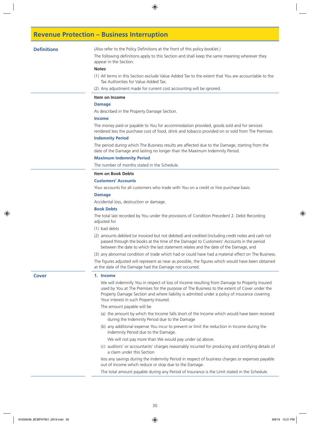### **Revenue Protection – Business Interruption**

**Definitions** (Also refer to the Policy Definitions at the front of this policy booklet.)

The following definitions apply to this Section and shall keep the same meaning wherever they appear in the Section.

### **Notes**

- (1) All terms in this Section exclude Value Added Tax to the extent that You are accountable to the Tax Authorities for Value Added Tax.
- (2) Any adjustment made for current cost accounting will be ignored.

#### **Item on Income**

### **Damage**

As described in the Property Damage Section.

### **Income**

The money paid or payable to You for accommodation provided, goods sold and for services rendered less the purchase cost of food, drink and tobacco provided on or sold from The Premises.

### **Indemnity Period**

The period during which The Business results are affected due to the Damage, starting from the date of the Damage and lasting no longer than the Maximum Indemnity Period.

### **Maximum Indemnity Period**

The number of months stated in the Schedule.

### **Item on Book Debts**

### **Customers' Accounts**

Your accounts for all customers who trade with You on a credit or hire purchase basis.

### **Damage**

Accidental loss, destruction or damage.

### **Book Debts**

The total last recorded by You under the provisions of Condition Precedent 2. Debit Recording adjusted for

- (1) bad debts
- (2) amounts debited (or invoiced but not debited) and credited (including credit notes and cash not passed through the books at the time of the Damage) to Customers' Accounts in the period between the date to which the last statement relates and the date of the Damage, and

(3) any abnormal condition of trade which had or could have had a material effect on The Business.

The figures adjusted will represent as near as possible, the figures which would have been obtained at the date of the Damage had the Damage not occurred.

#### **Cover 1. Income**

We will indemnify You in respect of loss of Income resulting from Damage to Property Insured used by You at The Premises for the purpose of The Business to the extent of Cover under the Property Damage Section and where liability is admitted under a policy of insurance covering Your interest in such Property Insured.

The amount payable will be

- (a) the amount by which the Income falls short of the Income which would have been received during the Indemnity Period due to the Damage
- (b) any additional expense You incur to prevent or limit the reduction in Income during the Indemnity Period due to the Damage.

We will not pay more than We would pay under (a) above.

(c) auditors' or accountants' charges reasonably incurred for producing and certifying details of a claim under this Section

less any savings during the Indemnity Period in respect of business charges or expenses payable out of Income which reduce or stop due to the Damage.

The total amount payable during any Period of Insurance is the Limit stated in the Schedule.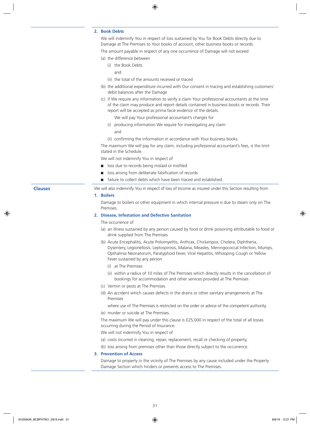### **2. Book Debts**

We will indemnify You in respect of loss sustained by You for Book Debts directly due to Damage at The Premises to Your books of account, other business books or records.

The amount payable in respect of any one occurrence of Damage will not exceed

- (a) the difference between
	- (i) the Book Debts
		- and
	- (ii) the total of the amounts received or traced
- (b) the additional expenditure incurred with Our consent in tracing and establishing customers' debit balances after the Damage
- (c) if We require any information to verify a claim Your professional accountants at the time of the claim may produce and report details contained in business books or records. Their report will be accepted as prima facie evidence of the details.
	- We will pay Your professional accountant's charges for
	- (i) producing information We require for investigating any claim and
	- (ii) confirming the information in accordance with Your business books.

The maximum We will pay for any claim, including professional accountant's fees, is the limit stated in the Schedule.

We will not indemnify You in respect of

- loss due to records being mislaid or misfiled
- n loss arising from deliberate falsification of records
- failure to collect debts which have been traced and established.

**Clauses** We will also indemnify You in respect of loss of Income as insured under this Section resulting from

### **1. Boilers**

Damage to boilers or other equipment in which internal pressure is due to steam only on The Premises.

### **2. Disease, Infestation and Defective Sanitation**

### The occurrence of

- (a) an illness sustained by any person caused by food or drink poisoning attributable to food or drink supplied from The Premises
- (b) Acute Encephalitis, Acute Poliomyelitis, Anthrax, Chickenpox, Cholera, Diphtheria, Dysentery, Legionellosis, Leptospirosis, Malaria, Measles, Meningococcal Infection, Mumps, Opthalmia Neonatorum, Paratyphoid Fever, Viral Hepatitis, Whooping Cough or Yellow Fever sustained by any person
	- (i) at The Premises
	- (ii) within a radius of 10 miles of The Premises which directly results in the cancellation of bookings for accommodation and other services provided at The Premises
- (c) Vermin or pests at The Premises
- (d) An accident which causes defects in the drains or other sanitary arrangements at The Premises

where use of The Premises is restricted on the order or advice of the competent authority.

(e) murder or suicide at The Premises.

The maximum We will pay under this clause is £25,000 in respect of the total of all losses occurring during the Period of Insurance.

We will not indemnify You in respect of

- (a) costs incurred in cleaning, repair, replacement, recall or checking of property,
- (b) loss arising from premises other than those directly subject to the occurrence.

### **3. Prevention of Access**

Damage to property in the vicinity of The Premises by any cause included under the Property Damage Section which hinders or prevents access to The Premises.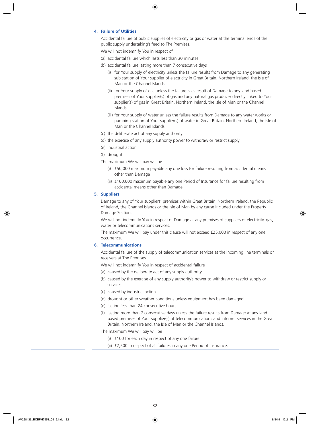### **4. Failure of Utilities**

Accidental failure of public supplies of electricity or gas or water at the terminal ends of the public supply undertaking's feed to The Premises.

We will not indemnify You in respect of

- (a) accidental failure which lasts less than 30 minutes
- (b) accidental failure lasting more than 7 consecutive days
	- (i) for Your supply of electricity unless the failure results from Damage to any generating sub station of Your supplier of electricity in Great Britain, Northern Ireland, the Isle of Man or the Channel Islands
	- (ii) for Your supply of gas unless the failure is as result of Damage to any land based premises of Your supplier(s) of gas and any natural gas producer directly linked to Your supplier(s) of gas in Great Britain, Northern Ireland, the Isle of Man or the Channel Islands
	- (iii) for Your supply of water unless the failure results from Damage to any water works or pumping station of Your supplier(s) of water in Great Britain, Northern Ireland, the Isle of Man or the Channel Islands
- (c) the deliberate act of any supply authority
- (d) the exercise of any supply authority power to withdraw or restrict supply
- (e) industrial action
- (f) drought.
- The maximum We will pay will be
	- (i) £50,000 maximum payable any one loss for failure resulting from accidental means other than Damage
	- (ii) £100,000 maximum payable any one Period of Insurance for failure resulting from accidental means other than Damage.

### **5. Suppliers**

Damage to any of Your suppliers' premises within Great Britain, Northern Ireland, the Republic of Ireland, the Channel Islands or the Isle of Man by any cause included under the Property Damage Section.

We will not indemnify You in respect of Damage at any premises of suppliers of electricity, gas, water or telecommunications services.

The maximum We will pay under this clause will not exceed £25,000 in respect of any one occurrence.

### **6. Telecommunications**

Accidental failure of the supply of telecommunication services at the incoming line terminals or receivers at The Premises.

We will not indemnify You in respect of accidental failure

- (a) caused by the deliberate act of any supply authority
- (b) caused by the exercise of any supply authority's power to withdraw or restrict supply or services
- (c) caused by industrial action
- (d) drought or other weather conditions unless equipment has been damaged
- (e) lasting less than 24 consecutive hours
- (f) lasting more than 7 consecutive days unless the failure results from Damage at any land based premises of Your supplier(s) of telecommunications and internet services in the Great Britain, Northern Ireland, the Isle of Man or the Channel Islands.

The maximum We will pay will be

- (i) £100 for each day in respect of any one failure
- (ii) £2,500 in respect of all failures in any one Period of Insurance.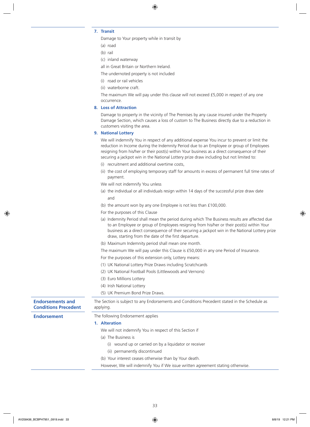### **7. Transit**

Damage to Your property while in transit by

- (a) road
- (b) rail
- (c) inland waterway

all in Great Britain or Northern Ireland.

The undernoted property is not included

- (i) road or rail vehicles
- (ii) waterborne craft.

The maximum We will pay under this clause will not exceed £5,000 in respect of any one occurrence.

### **8. Loss of Attraction**

Damage to property in the vicinity of The Premises by any cause insured under the Property Damage Section, which causes a loss of custom to The Business directly due to a reduction in customers visiting the area.

### **9. National Lottery**

We will indemnify You in respect of any additional expense You incur to prevent or limit the reduction in Income during the Indemnity Period due to an Employee or group of Employees resigning from his/her or their post(s) within Your business as a direct consequence of their securing a jackpot win in the National Lottery prize draw including but not limited to:

- (i) recruitment and additional overtime costs,
- (ii) the cost of employing temporary staff for amounts in excess of permanent full time rates of payment.
- We will not indemnify You unless
- (a) the individual or all individuals resign within 14 days of the successful prize draw date and
- (b) the amount won by any one Employee is not less than £100,000.
- For the purposes of this Clause
- (a) Indemnity Period shall mean the period during which The Business results are affected due to an Employee or group of Employees resigning from his/her or their post(s) within Your business as a direct consequence of their securing a jackpot win in the National Lottery prize draw, starting from the date of the first departure.
- (b) Maximum Indemnity period shall mean one month.

The maximum We will pay under this Clause is £50,000 in any one Period of Insurance.

- For the purposes of this extension only, Lottery means:
- (1) UK National Lottery Prize Draws including Scratchcards
- (2) UK National Football Pools (Littlewoods and Vernons)
- (3) Euro Millions Lottery
- (4) Irish National Lottery

(5) UK Premium Bond Prize Draws.

| <b>Endorsements and</b><br><b>Conditions Precedent</b> | The Section is subject to any Endorsements and Conditions Precedent stated in the Schedule as<br>applying. |
|--------------------------------------------------------|------------------------------------------------------------------------------------------------------------|
| Endorsement                                            | The following Endorsement applies                                                                          |
|                                                        | 1. Alteration                                                                                              |
|                                                        | We will not indemnify You in respect of this Section if                                                    |
|                                                        | (a) The Business is                                                                                        |
|                                                        | wound up or carried on by a liquidator or receiver<br>(i)                                                  |
|                                                        | (ii) permanently discontinued                                                                              |
|                                                        | (b) Your interest ceases otherwise than by Your death.                                                     |
|                                                        | However, We will indemnify You if We issue written agreement stating otherwise.                            |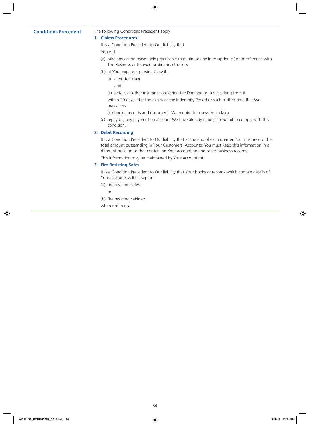### **Conditions Precedent** The following Conditions Precedent apply

### **1. Claims Procedures**

It is a Condition Precedent to Our liability that

You will

- (a) take any action reasonably practicable to minimise any interruption of or interference with The Business or to avoid or diminish the loss
- (b) at Your expense, provide Us with
	- (i) a written claim

and

(ii) details of other insurances covering the Damage or loss resulting from it

within 30 days after the expiry of the Indemnity Period or such further time that We may allow

- (iii) books, records and documents We require to assess Your claim
- (c) repay Us, any payment on account We have already made, if You fail to comply with this condition.

### **2. Debit Recording**

It is a Condition Precedent to Our liability that at the end of each quarter You must record the total amount outstanding in Your Customers' Accounts. You must keep this information in a different building to that containing Your accounting and other business records.

This information may be maintained by Your accountant.

### **3. Fire Resisting Safes**

It is a Condition Precedent to Our liability that Your books or records which contain details of Your accounts will be kept in

(a) fire resisting safes

or

(b) fire resisting cabinets

when not in use.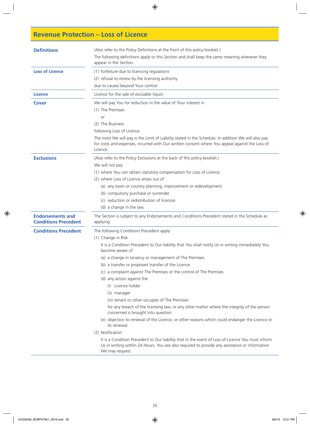## **Revenue Protection – Loss of Licence**

| <b>Definitions</b>                                     | (Also refer to the Policy Definitions at the front of this policy booklet.)<br>The following definitions apply to this Section and shall keep the same meaning wherever they<br>appear in the Section.                                                                                                                                                                                                                                                                                                                                                                                                                                                                                                                                                                                                                                                                                                                                                                                              |  |  |
|--------------------------------------------------------|-----------------------------------------------------------------------------------------------------------------------------------------------------------------------------------------------------------------------------------------------------------------------------------------------------------------------------------------------------------------------------------------------------------------------------------------------------------------------------------------------------------------------------------------------------------------------------------------------------------------------------------------------------------------------------------------------------------------------------------------------------------------------------------------------------------------------------------------------------------------------------------------------------------------------------------------------------------------------------------------------------|--|--|
| <b>Loss of Licence</b>                                 | (1) forfeiture due to licencing regulations<br>(2) refusal to renew by the licensing authority<br>due to causes beyond Your control                                                                                                                                                                                                                                                                                                                                                                                                                                                                                                                                                                                                                                                                                                                                                                                                                                                                 |  |  |
| <b>Licence</b>                                         | Licence for the sale of excisable liquor.                                                                                                                                                                                                                                                                                                                                                                                                                                                                                                                                                                                                                                                                                                                                                                                                                                                                                                                                                           |  |  |
| <b>Cover</b>                                           | We will pay You for reduction in the value of Your interest in<br>(1) The Premises<br>or<br>(2) The Business<br>following Loss of Licence.<br>The most We will pay is the Limit of Liability stated in the Schedule. In addition We will also pay<br>for costs and expenses, incurred with Our written consent where You appeal against the Loss of<br>Licence.                                                                                                                                                                                                                                                                                                                                                                                                                                                                                                                                                                                                                                     |  |  |
| <b>Exclusions</b>                                      | (Also refer to the Policy Exclusions at the back of this policy booklet.)<br>We will not pay<br>(1) where You can obtain statutory compensation for Loss of Licence<br>(2) where Loss of Licence arises out of<br>(a) any town or country planning, improvement or redevelopment<br>(b) compulsory purchase or surrender<br>(c) reduction or redistribution of licences<br>(d) a change in the law.                                                                                                                                                                                                                                                                                                                                                                                                                                                                                                                                                                                                 |  |  |
| <b>Endorsements and</b><br><b>Conditions Precedent</b> | The Section is subject to any Endorsements and Conditions Precedent stated in the Schedule as<br>applying.                                                                                                                                                                                                                                                                                                                                                                                                                                                                                                                                                                                                                                                                                                                                                                                                                                                                                          |  |  |
| <b>Conditions Precedent</b>                            | The following Conditions Precedent apply<br>(1) Change in Risk<br>It is a Condition Precedent to Our liability that You shall notify Us in writing immediately You<br>become aware of<br>(a) a change in tenancy or management of The Premises<br>(b) a transfer or proposed transfer of the Licence<br>(c) a complaint against The Premises or the control of The Premises<br>(d) any action against the<br>(i) Licence holder<br>(ii) manager<br>(iii) tenant or other occupier of The Premises<br>for any breach of the licensing law, or any other matter where the integrity of the person<br>concerned is brought into question<br>(e) objection to renewal of the Licence, or other reasons which could endanger the Licence or<br>its renewal.<br>(2) Notification<br>It is a Condition Precedent to Our liability that in the event of Loss of Licence You must inform<br>Us in writing within 24 Hours. You are also required to provide any assistance or information<br>We may request. |  |  |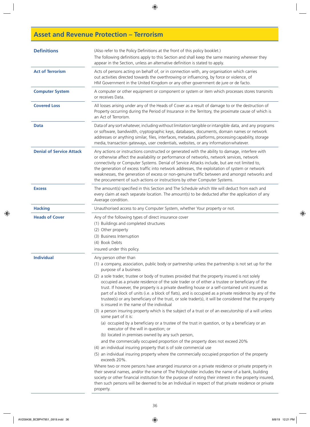## **Asset and Revenue Protection – Terrorism**

| <b>Definitions</b>              | (Also refer to the Policy Definitions at the front of this policy booklet.)<br>The following definitions apply to this Section and shall keep the same meaning wherever they<br>appear in the Section, unless an alternative definition is stated to apply.                                                                                                                                                                                                                                                                                                                                                                                                                                                                                                                                                                                                                                                                                                                                                                                                                                                                                                                                                                                                                                                                                                                                                                                                                                                                                                                                                                                                                                                                                                                 |  |  |
|---------------------------------|-----------------------------------------------------------------------------------------------------------------------------------------------------------------------------------------------------------------------------------------------------------------------------------------------------------------------------------------------------------------------------------------------------------------------------------------------------------------------------------------------------------------------------------------------------------------------------------------------------------------------------------------------------------------------------------------------------------------------------------------------------------------------------------------------------------------------------------------------------------------------------------------------------------------------------------------------------------------------------------------------------------------------------------------------------------------------------------------------------------------------------------------------------------------------------------------------------------------------------------------------------------------------------------------------------------------------------------------------------------------------------------------------------------------------------------------------------------------------------------------------------------------------------------------------------------------------------------------------------------------------------------------------------------------------------------------------------------------------------------------------------------------------------|--|--|
| <b>Act of Terrorism</b>         | Acts of persons acting on behalf of, or in connection with, any organisation which carries<br>out activities directed towards the overthrowing or influencing, by force or violence, of<br>HM Government in the United Kingdom or any other government de jure or de facto.                                                                                                                                                                                                                                                                                                                                                                                                                                                                                                                                                                                                                                                                                                                                                                                                                                                                                                                                                                                                                                                                                                                                                                                                                                                                                                                                                                                                                                                                                                 |  |  |
| <b>Computer System</b>          | A computer or other equipment or component or system or item which processes stores transmits<br>or receives Data.                                                                                                                                                                                                                                                                                                                                                                                                                                                                                                                                                                                                                                                                                                                                                                                                                                                                                                                                                                                                                                                                                                                                                                                                                                                                                                                                                                                                                                                                                                                                                                                                                                                          |  |  |
| <b>Covered Loss</b>             | All losses arising under any of the Heads of Cover as a result of damage to or the destruction of<br>Property occurring during the Period of Insurance in the Territory, the proximate cause of which is<br>an Act of Terrorism.                                                                                                                                                                                                                                                                                                                                                                                                                                                                                                                                                                                                                                                                                                                                                                                                                                                                                                                                                                                                                                                                                                                                                                                                                                                                                                                                                                                                                                                                                                                                            |  |  |
| <b>Data</b>                     | Data of any sort whatever, including without limitation tangible or intangible data, and any programs<br>or software, bandwidth, cryptographic keys, databases, documents, domain names or network<br>addresses or anything similar, files, interfaces, metadata, platforms, processing capability, storage<br>media, transaction gateways, user credentials, websites, or any information whatever.                                                                                                                                                                                                                                                                                                                                                                                                                                                                                                                                                                                                                                                                                                                                                                                                                                                                                                                                                                                                                                                                                                                                                                                                                                                                                                                                                                        |  |  |
| <b>Denial of Service Attack</b> | Any actions or instructions constructed or generated with the ability to damage, interfere with<br>or otherwise affect the availability or performance of networks, network services, network<br>connectivity or Computer Systems. Denial of Service Attacks include, but are not limited to,<br>the generation of excess traffic into network addresses, the exploitation of system or network<br>weaknesses, the generation of excess or non-genuine traffic between and amongst networks and<br>the procurement of such actions or instructions by other Computer Systems.                                                                                                                                                                                                                                                                                                                                                                                                                                                                                                                                                                                                                                                                                                                                                                                                                                                                                                                                                                                                                                                                                                                                                                                               |  |  |
| <b>Excess</b>                   | The amount(s) specified in this Section and The Schedule which We will deduct from each and<br>every claim at each separate location. The amount(s) to be deducted after the application of any<br>Average condition.                                                                                                                                                                                                                                                                                                                                                                                                                                                                                                                                                                                                                                                                                                                                                                                                                                                                                                                                                                                                                                                                                                                                                                                                                                                                                                                                                                                                                                                                                                                                                       |  |  |
| <b>Hacking</b>                  | Unauthorised access to any Computer System, whether Your property or not.                                                                                                                                                                                                                                                                                                                                                                                                                                                                                                                                                                                                                                                                                                                                                                                                                                                                                                                                                                                                                                                                                                                                                                                                                                                                                                                                                                                                                                                                                                                                                                                                                                                                                                   |  |  |
| <b>Heads of Cover</b>           | Any of the following types of direct insurance cover<br>(1) Buildings and completed structures<br>(2) Other property<br>(3) Business Interruption<br>(4) Book Debts<br>insured under this policy.                                                                                                                                                                                                                                                                                                                                                                                                                                                                                                                                                                                                                                                                                                                                                                                                                                                                                                                                                                                                                                                                                                                                                                                                                                                                                                                                                                                                                                                                                                                                                                           |  |  |
| <b>Individual</b>               | Any person other than<br>(1) a company, association, public body or partnership unless the partnership is not set up for the<br>purpose of a business<br>(2) a sole trader, trustee or body of trustees provided that the property insured is not solely<br>occupied as a private residence of the sole trader or of either a trustee or beneficiary of the<br>trust. If however, the property is a private dwelling house or a self-contained unit insured as<br>part of a block of units (i.e. a block of flats), and is occupied as a private residence by any of the<br>trustee(s) or any beneficiary of the trust, or sole trader(s), it will be considered that the property<br>is insured in the name of the individual<br>(3) a person insuring property which is the subject of a trust or of an executorship of a will unless<br>some part of it is:<br>(a) occupied by a beneficiary or a trustee of the trust in question, or by a beneficiary or an<br>executor of the will in question; or<br>(b) located in premises owned by any such person,<br>and the commercially occupied proportion of the property does not exceed 20%<br>(4) an individual insuring property that is of sole commercial use<br>(5) an individual insuring property where the commercially occupied proportion of the property<br>exceeds 20%.<br>Where two or more persons have arranged insurance on a private residence or private property in<br>their several names, and/or the name of The Policyholder includes the name of a bank, building<br>society or other financial institution for the purpose of noting their interest in the property insured,<br>then such persons will be deemed to be an Individual in respect of that private residence or private<br>property. |  |  |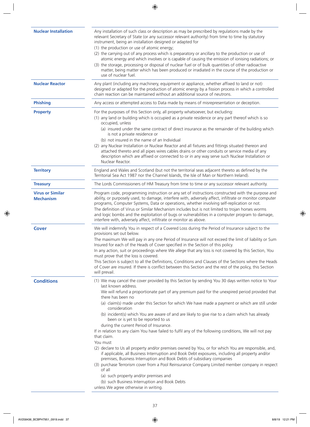| <b>Nuclear Installation</b>                 | Any installation of such class or description as may be prescribed by regulations made by the<br>relevant Secretary of State (or any successor relevant authority) from time to time by statutory<br>instrument, being an installation designed or adapted for<br>(1) the production or use of atomic energy;<br>(2) the carrying out of any process which is preparatory or ancillary to the production or use of<br>atomic energy and which involves or is capable of causing the emission of ionising radiations; or<br>(3) the storage, processing or disposal of nuclear fuel or of bulk quantities of other radioactive<br>matter, being matter which has been produced or irradiated in the course of the production or<br>use of nuclear fuel.                                                                                                                                                                                                                                                                                                                                              |  |
|---------------------------------------------|-----------------------------------------------------------------------------------------------------------------------------------------------------------------------------------------------------------------------------------------------------------------------------------------------------------------------------------------------------------------------------------------------------------------------------------------------------------------------------------------------------------------------------------------------------------------------------------------------------------------------------------------------------------------------------------------------------------------------------------------------------------------------------------------------------------------------------------------------------------------------------------------------------------------------------------------------------------------------------------------------------------------------------------------------------------------------------------------------------|--|
| <b>Nuclear Reactor</b>                      | Any plant (including any machinery, equipment or appliance, whether affixed to land or not)<br>designed or adapted for the production of atomic energy by a fission process in which a controlled<br>chain reaction can be maintained without an additional source of neutrons.                                                                                                                                                                                                                                                                                                                                                                                                                                                                                                                                                                                                                                                                                                                                                                                                                     |  |
| <b>Phishing</b>                             | Any access or attempted access to Data made by means of misrepresentation or deception.                                                                                                                                                                                                                                                                                                                                                                                                                                                                                                                                                                                                                                                                                                                                                                                                                                                                                                                                                                                                             |  |
| <b>Property</b>                             | For the purposes of this Section only, all property whatsoever, but excluding:<br>(1) any land or building which is occupied as a private residence or any part thereof which is so<br>occupied, unless<br>(a) insured under the same contract of direct insurance as the remainder of the building which<br>is not a private residence or<br>(b) not insured in the name of an Individual<br>(2) any Nuclear Installation or Nuclear Reactor and all fixtures and fittings situated thereon and<br>attached thereto and all pipes wires cables drains or other conduits or service media of any<br>description which are affixed or connected to or in any way serve such Nuclear Installation or                                                                                                                                                                                                                                                                                                                                                                                                  |  |
| <b>Territory</b>                            | Nuclear Reactor.<br>England and Wales and Scotland (but not the territorial seas adjacent thereto as defined by the                                                                                                                                                                                                                                                                                                                                                                                                                                                                                                                                                                                                                                                                                                                                                                                                                                                                                                                                                                                 |  |
|                                             | Territorial Sea Act 1987 nor the Channel Islands, the Isle of Man or Northern Ireland).                                                                                                                                                                                                                                                                                                                                                                                                                                                                                                                                                                                                                                                                                                                                                                                                                                                                                                                                                                                                             |  |
| <b>Treasury</b>                             | The Lords Commissioners of HM Treasury from time to time or any successor relevant authority.                                                                                                                                                                                                                                                                                                                                                                                                                                                                                                                                                                                                                                                                                                                                                                                                                                                                                                                                                                                                       |  |
| <b>Virus or Similar</b><br><b>Mechanism</b> | Program code, programming instruction or any set of instructions constructed with the purpose and<br>ability, or purposely used, to damage, interfere with, adversely affect, infiltrate or monitor computer<br>programs, Computer Systems, Data or operations, whether involving self-replication or not.<br>The definition of Virus or Similar Mechanism includes but is not limited to trojan horses worms<br>and logic bombs and the exploitation of bugs or vulnerabilities in a computer program to damage,<br>interfere with, adversely affect, infiltrate or monitor as above.                                                                                                                                                                                                                                                                                                                                                                                                                                                                                                              |  |
| <b>Cover</b>                                | We will indemnify You in respect of a Covered Loss during the Period of Insurance subject to the<br>provisions set out below.<br>The maximum We will pay in any one Period of Insurance will not exceed the limit of liability or Sum<br>Insured for each of the Heads of Cover specified in the Section of this policy.<br>In any action, suit or proceedings where We allege that any loss is not covered by this Section, You<br>must prove that the loss is covered.<br>This Section is subject to all the Definitions, Conditions and Clauses of the Sections where the Heads<br>of Cover are insured. If there is conflict between this Section and the rest of the policy, this Section<br>will prevail.                                                                                                                                                                                                                                                                                                                                                                                     |  |
| <b>Conditions</b>                           | (1) We may cancel the cover provided by this Section by sending You 30 days written notice to Your<br>last known address.                                                                                                                                                                                                                                                                                                                                                                                                                                                                                                                                                                                                                                                                                                                                                                                                                                                                                                                                                                           |  |
|                                             | We will refund a proportionate part of any premium paid for the unexpired period provided that<br>there has been no<br>(a) claim(s) made under this Section for which We have made a payment or which are still under<br>consideration<br>(b) incident(s) which You are aware of and are likely to give rise to a claim which has already<br>been or is yet to be reported to us<br>during the current Period of Insurance.<br>If in relation to any claim You have failed to fulfil any of the following conditions, We will not pay<br>that claim.<br>You must<br>(2) declare to Us all property and/or premises owned by You, or for which You are responsible, and,<br>if applicable, all Business Interruption and Book Debt exposures, including all property and/or<br>premises, Business Interruption and Book Debts of subsidiary companies<br>(3) purchase Terrorism cover from a Pool Reinsurance Company Limited member company in respect<br>of all<br>(a) such property and/or premises and<br>(b) such Business Interruption and Book Debts<br>unless We agree otherwise in writing. |  |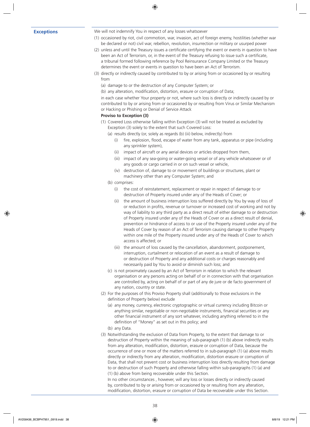**Exceptions** We will not indemnify You in respect of any losses whatsoever

- (1) occasioned by riot, civil commotion, war, invasion, act of foreign enemy, hostilities (whether war be declared or not) civil war, rebellion, revolution, insurrection or military or usurped power
- (2) unless and until the Treasury issues a certificate certifying the event or events in question to have been an Act of Terrorism, or, in the event of the Treasury refusing to issue such a certificate, a tribunal formed following reference by Pool Reinsurance Company Limited or the Treasury determines the event or events in question to have been an Act of Terrorism.
- (3) directly or indirectly caused by contributed to by or arising from or occasioned by or resulting from
	- (a) damage to or the destruction of any Computer System; or
	- (b) any alteration, modification, distortion, erasure or corruption of Data;

in each case whether Your property or not, where such loss is directly or indirectly caused by or contributed to by or arising from or occasioned by or resulting from Virus or Similar Mechanism or Hacking or Phishing or Denial of Service Attack

#### **Proviso to Exception (3)**

- (1) Covered Loss otherwise falling within Exception (3) will not be treated as excluded by Exception (3) solely to the extent that such Covered Loss:
	- (a) results directly (or, solely as regards (b) (iii) below, indirectly) from
		- (i) fire, explosion, flood, escape of water from any tank, apparatus or pipe (including any sprinkler system),
		- (ii) impact of aircraft or any aerial devices or articles dropped from them,
		- (iii) impact of any sea-going or water-going vessel or of any vehicle whatsoever or of any goods or cargo carried in or on such vessel or vehicle,
		- (iv) destruction of, damage to or movement of buildings or structures, plant or machinery other than any Computer System; and
	- (b) comprises:
		- (i) the cost of reinstatement, replacement or repair in respect of damage to or destruction of Property insured under any of the Heads of Cover; or
		- (ii) the amount of business interruption loss suffered directly by You by way of loss of or reduction in profits, revenue or turnover or increased cost of working and not by way of liability to any third party as a direct result of either damage to or destruction of Property insured under any of the Heads of Cover or as a direct result of denial, prevention or hindrance of access to or use of the Property insured under any of the Heads of Cover by reason of an Act of Terrorism causing damage to other Property within one mile of the Property insured under any of the Heads of Cover to which access is affected; or
		- (iii) the amount of loss caused by the cancellation, abandonment, postponement, interruption, curtailment or relocation of an event as a result of damage to or destruction of Property and any additional costs or charges reasonably and necessarily paid by You to avoid or diminish such loss; and
	- (c) is not proximately caused by an Act of Terrorism in relation to which the relevant organisation or any persons acting on behalf of or in connection with that organisation are controlled by, acting on behalf of or part of any de jure or de facto government of any nation, country or state.
- (2) For the purposes of this Proviso Property shall (additionally to those exclusions in the definition of Property below) exclude
	- (a) any money, currency, electronic cryptographic or virtual currency including Bitcoin or anything similar, negotiable or non-negotiable instruments, financial securities or any other financial instrument of any sort whatever, including anything referred to in the definition of "Money" as set out in this policy; and
	- (b) any Data.
- (3) Notwithstanding the exclusion of Data from Property, to the extent that damage to or destruction of Property within the meaning of sub-paragraph (1) (b) above indirectly results from any alteration, modification, distortion, erasure or corruption of Data, because the occurrence of one or more of the matters referred to in sub-paragraph (1) (a) above results directly or indirectly from any alteration, modification, distortion erasure or corruption of Data, that shall not prevent cost or business interruption loss directly resulting from damage to or destruction of such Property and otherwise falling within sub-paragraphs (1) (a) and (1) (b) above from being recoverable under this Section.

In no other circumstances , however, will any loss or losses directly or indirectly caused by, contributed to by or arising from or occasioned by or resulting from any alteration, modification, distortion, erasure or corruption of Data be recoverable under this Section.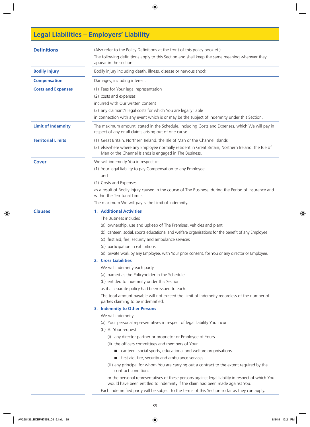# **Legal Liabilities – Employers' Liability**

| (Also refer to the Policy Definitions at the front of this policy booklet.)<br>The following definitions apply to this Section and shall keep the same meaning wherever they<br>appear in the section.                                                                                                                                                                                                                                                                                                                                                                                                                                                                                                                                                                                                                                                                                                                                                                                                                                                                                                                                                                                                                                                                                                                                                                                                                                                                                           |  |  |
|--------------------------------------------------------------------------------------------------------------------------------------------------------------------------------------------------------------------------------------------------------------------------------------------------------------------------------------------------------------------------------------------------------------------------------------------------------------------------------------------------------------------------------------------------------------------------------------------------------------------------------------------------------------------------------------------------------------------------------------------------------------------------------------------------------------------------------------------------------------------------------------------------------------------------------------------------------------------------------------------------------------------------------------------------------------------------------------------------------------------------------------------------------------------------------------------------------------------------------------------------------------------------------------------------------------------------------------------------------------------------------------------------------------------------------------------------------------------------------------------------|--|--|
| Bodily injury including death, illness, disease or nervous shock.                                                                                                                                                                                                                                                                                                                                                                                                                                                                                                                                                                                                                                                                                                                                                                                                                                                                                                                                                                                                                                                                                                                                                                                                                                                                                                                                                                                                                                |  |  |
| Damages, including interest.                                                                                                                                                                                                                                                                                                                                                                                                                                                                                                                                                                                                                                                                                                                                                                                                                                                                                                                                                                                                                                                                                                                                                                                                                                                                                                                                                                                                                                                                     |  |  |
| (1) Fees for Your legal representation<br>(2) costs and expenses<br>incurred with Our written consent<br>(3) any claimant's legal costs for which You are legally liable<br>in connection with any event which is or may be the subject of indemnity under this Section.                                                                                                                                                                                                                                                                                                                                                                                                                                                                                                                                                                                                                                                                                                                                                                                                                                                                                                                                                                                                                                                                                                                                                                                                                         |  |  |
| The maximum amount, stated in the Schedule, including Costs and Expenses, which We will pay in<br>respect of any or all claims arising out of one cause.                                                                                                                                                                                                                                                                                                                                                                                                                                                                                                                                                                                                                                                                                                                                                                                                                                                                                                                                                                                                                                                                                                                                                                                                                                                                                                                                         |  |  |
| (1) Great Britain, Northern Ireland, the Isle of Man or the Channel Islands<br>(2) elsewhere where any Employee normally resident in Great Britain, Northern Ireland, the Isle of<br>Man or the Channel Islands is engaged in The Business.                                                                                                                                                                                                                                                                                                                                                                                                                                                                                                                                                                                                                                                                                                                                                                                                                                                                                                                                                                                                                                                                                                                                                                                                                                                      |  |  |
| We will indemnify You in respect of<br>(1) Your legal liability to pay Compensation to any Employee<br>and<br>(2) Costs and Expenses<br>as a result of Bodily Injury caused in the course of The Business, during the Period of Insurance and<br>within the Territorial Limits.<br>The maximum We will pay is the Limit of Indemnity.                                                                                                                                                                                                                                                                                                                                                                                                                                                                                                                                                                                                                                                                                                                                                                                                                                                                                                                                                                                                                                                                                                                                                            |  |  |
| <b>1. Additional Activities</b><br>The Business includes<br>(a) ownership, use and upkeep of The Premises, vehicles and plant<br>(b) canteen, social, sports educational and welfare organisations for the benefit of any Employee<br>(c) first aid, fire, security and ambulance services<br>(d) participation in exhibitions<br>(e) private work by any Employee, with Your prior consent, for You or any director or Employee.<br>2. Cross Liabilities<br>We will indemnify each party<br>(a) named as the Policyholder in the Schedule<br>(b) entitled to indemnity under this Section<br>as if a separate policy had been issued to each.<br>The total amount payable will not exceed the Limit of Indemnity regardless of the number of<br>parties claiming to be indemnified.<br>3. Indemnity to Other Persons<br>We will indemnify<br>(a) Your personal representatives in respect of legal liability You incur<br>(b) At Your request<br>(i) any director partner or proprietor or Employee of Yours<br>(ii) the officers committees and members of Your<br>canteen, social sports, educational and welfare organisations<br>first aid, fire, security and ambulance services<br>(iii) any principal for whom You are carrying out a contract to the extent required by the<br>contract conditions<br>or the personal representatives of these persons against legal liability in respect of which You<br>would have been entitled to indemnity if the claim had been made against You. |  |  |
|                                                                                                                                                                                                                                                                                                                                                                                                                                                                                                                                                                                                                                                                                                                                                                                                                                                                                                                                                                                                                                                                                                                                                                                                                                                                                                                                                                                                                                                                                                  |  |  |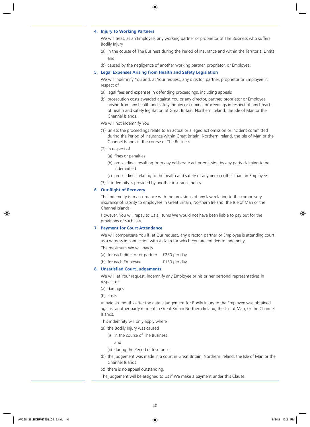#### **4. Injury to Working Partners**

We will treat, as an Employee, any working partner or proprietor of The Business who suffers Bodily Injury

- (a) in the course of The Business during the Period of Insurance and within the Territorial Limits and
- (b) caused by the negligence of another working partner, proprietor, or Employee.

#### **5. Legal Expenses Arising from Health and Safety Legislation**

We will indemnify You and, at Your request, any director, partner, proprietor or Employee in respect of

- (a) legal fees and expenses in defending proceedings, including appeals
- (b) prosecution costs awarded against You or any director, partner, proprietor or Employee arising from any health and safety inquiry or criminal proceedings in respect of any breach of health and safety legislation of Great Britain, Northern Ireland, the Isle of Man or the Channel Islands.
- We will not indemnify You
- (1) unless the proceedings relate to an actual or alleged act omission or incident committed during the Period of Insurance within Great Britain, Northern Ireland, the Isle of Man or the Channel Islands in the course of The Business
- (2) in respect of
	- (a) fines or penalties
	- (b) proceedings resulting from any deliberate act or omission by any party claiming to be indemnified
	- (c) proceedings relating to the health and safety of any person other than an Employee
- (3) if indemnity is provided by another insurance policy.

#### **6. Our Right of Recovery**

The indemnity is in accordance with the provisions of any law relating to the compulsory insurance of liability to employees in Great Britain, Northern Ireland, the Isle of Man or the Channel Islands.

However, You will repay to Us all sums We would not have been liable to pay but for the provisions of such law.

#### **7. Payment for Court Attendance**

We will compensate You if, at Our request, any director, partner or Employee is attending court as a witness in connection with a claim for which You are entitled to indemnity.

The maximum We will pay is

- (a) for each director or partner £250 per day
- (b) for each Employee **E150** per day.

#### **8. Unsatisfied Court Judgements**

We will, at Your request, indemnify any Employee or his or her personal representatives in respect of

(a) damages

(b) costs

unpaid six months after the date a judgement for Bodily Injury to the Employee was obtained against another party resident in Great Britain Northern Ireland, the Isle of Man, or the Channel Islands.

This indemnity will only apply where

(a) the Bodily Injury was caused

(i) in the course of The Business

and

- (ii) during the Period of Insurance
- (b) the judgement was made in a court in Great Britain, Northern Ireland, the Isle of Man or the Channel Islands
- (c) there is no appeal outstanding.

The judgement will be assigned to Us if We make a payment under this Clause.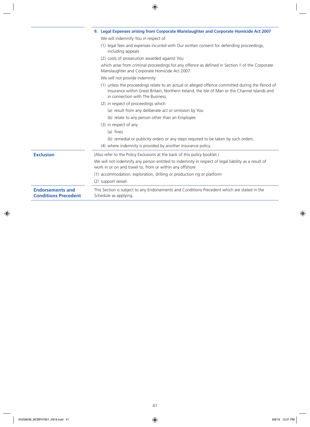|                                                        | 9. Legal Expenses arising from Corporate Manslaughter and Corporate Homicide Act 2007                                                                                                                                                |
|--------------------------------------------------------|--------------------------------------------------------------------------------------------------------------------------------------------------------------------------------------------------------------------------------------|
|                                                        | We will indemnify You in respect of                                                                                                                                                                                                  |
|                                                        | (1) legal fees and expenses incurred with Our written consent for defending proceedings,<br>including appeals                                                                                                                        |
|                                                        | (2) costs of prosecution awarded against You                                                                                                                                                                                         |
|                                                        | which arise from criminal proceedings for any offence as defined in Section 1 of the Corporate<br>Manslaughter and Corporate Homicide Act 2007.                                                                                      |
|                                                        | We will not provide indemnity                                                                                                                                                                                                        |
|                                                        | (1) unless the proceedings relate to an actual or alleged offence committed during the Period of<br>Insurance within Great Britain, Northern Ireland, the Isle of Man or the Channel Islands and<br>in connection with The Business. |
|                                                        | (2) in respect of proceedings which                                                                                                                                                                                                  |
|                                                        | (a) result from any deliberate act or omission by You                                                                                                                                                                                |
|                                                        | (b) relate to any person other than an Employee.                                                                                                                                                                                     |
|                                                        | (3) in respect of any                                                                                                                                                                                                                |
|                                                        | (a) fines                                                                                                                                                                                                                            |
|                                                        | (b) remedial or publicity orders or any steps required to be taken by such orders.                                                                                                                                                   |
|                                                        | (4) where indemnity is provided by another insurance policy.                                                                                                                                                                         |
| <b>Exclusion</b>                                       | (Also refer to the Policy Exclusions at the back of this policy booklet.)                                                                                                                                                            |
|                                                        | We will not indemnify any person entitled to indemnity in respect of legal liability as a result of<br>work in or on and travel to, from or within any offshore                                                                      |
|                                                        | (1) accommodation, exploration, drilling or production rig or platform                                                                                                                                                               |
|                                                        | (2) support vessel.                                                                                                                                                                                                                  |
| <b>Endorsements and</b><br><b>Conditions Precedent</b> | This Section is subject to any Endorsements and Conditions Precedent which are stated in the<br>Schedule as applying.                                                                                                                |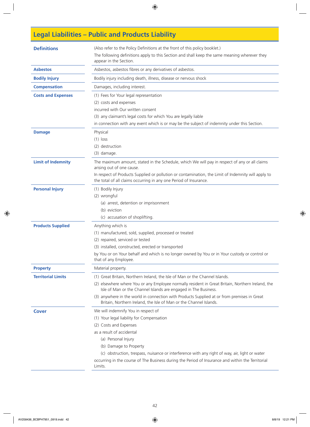# **Legal Liabilities – Public and Products Liability**

| <b>Definitions</b>        | (Also refer to the Policy Definitions at the front of this policy booklet.)<br>The following definitions apply to this Section and shall keep the same meaning wherever they<br>appear in the Section. |  |  |
|---------------------------|--------------------------------------------------------------------------------------------------------------------------------------------------------------------------------------------------------|--|--|
| <b>Asbestos</b>           | Asbestos, asbestos fibres or any derivatives of asbestos.                                                                                                                                              |  |  |
| <b>Bodily Injury</b>      | Bodily injury including death, illness, disease or nervous shock                                                                                                                                       |  |  |
| <b>Compensation</b>       | Damages, including interest.                                                                                                                                                                           |  |  |
| <b>Costs and Expenses</b> | (1) Fees for Your legal representation                                                                                                                                                                 |  |  |
|                           | (2) costs and expenses                                                                                                                                                                                 |  |  |
|                           | incurred with Our written consent                                                                                                                                                                      |  |  |
|                           | (3) any claimant's legal costs for which You are legally liable                                                                                                                                        |  |  |
|                           | in connection with any event which is or may be the subject of indemnity under this Section.                                                                                                           |  |  |
| <b>Damage</b>             | Physical                                                                                                                                                                                               |  |  |
|                           | $(1)$ loss                                                                                                                                                                                             |  |  |
|                           | (2) destruction                                                                                                                                                                                        |  |  |
|                           | (3) damage.                                                                                                                                                                                            |  |  |
| <b>Limit of Indemnity</b> | The maximum amount, stated in the Schedule, which We will pay in respect of any or all claims<br>arising out of one cause.                                                                             |  |  |
|                           | In respect of Products Supplied or pollution or contamination, the Limit of Indemnity will apply to<br>the total of all claims occurring in any one Period of Insurance.                               |  |  |
| <b>Personal Injury</b>    | (1) Bodily Injury                                                                                                                                                                                      |  |  |
|                           | (2) wrongful                                                                                                                                                                                           |  |  |
|                           | (a) arrest, detention or imprisonment                                                                                                                                                                  |  |  |
|                           | (b) eviction                                                                                                                                                                                           |  |  |
|                           | (c) accusation of shoplifting.                                                                                                                                                                         |  |  |
| <b>Products Supplied</b>  | Anything which is                                                                                                                                                                                      |  |  |
|                           | (1) manufactured, sold, supplied, processed or treated                                                                                                                                                 |  |  |
|                           | (2) repaired, serviced or tested                                                                                                                                                                       |  |  |
|                           | (3) installed, constructed, erected or transported                                                                                                                                                     |  |  |
|                           | by You or on Your behalf and which is no longer owned by You or in Your custody or control or<br>that of any Employee.                                                                                 |  |  |
| <b>Property</b>           | Material property.                                                                                                                                                                                     |  |  |
| <b>Territorial Limits</b> | (1) Great Britain, Northern Ireland, the Isle of Man or the Channel Islands.                                                                                                                           |  |  |
|                           | (2) elsewhere where You or any Employee normally resident in Great Britain, Northern Ireland, the<br>Isle of Man or the Channel Islands are engaged in The Business.                                   |  |  |
|                           | (3) anywhere in the world in connection with Products Supplied at or from premises in Great<br>Britain, Northern Ireland, the Isle of Man or the Channel Islands.                                      |  |  |
| <b>Cover</b>              | We will indemnify You in respect of                                                                                                                                                                    |  |  |
|                           | (1) Your legal liability for Compensation                                                                                                                                                              |  |  |
|                           | (2) Costs and Expenses                                                                                                                                                                                 |  |  |
|                           | as a result of accidental                                                                                                                                                                              |  |  |
|                           | (a) Personal Injury                                                                                                                                                                                    |  |  |
|                           | (b) Damage to Property                                                                                                                                                                                 |  |  |
|                           | (c) obstruction, trespass, nuisance or interference with any right of way, air, light or water                                                                                                         |  |  |
|                           | occurring in the course of The Business during the Period of Insurance and within the Territorial<br>Limits.                                                                                           |  |  |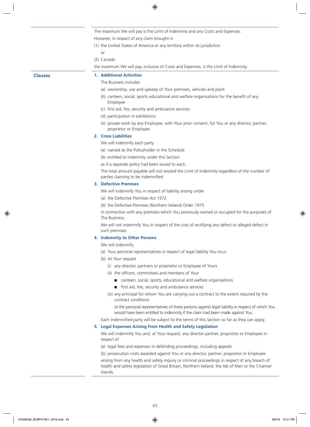The maximum We will pay is the Limit of Indemnity and any Costs and Expenses. However, in respect of any claim brought in

(1) the United States of America or any territory within its jurisdiction

- or
- (2) Canada

the maximum We will pay, inclusive of Costs and Expenses, is the Limit of Indemnity.

#### **Clauses 1. Additional Activities**

The Business includes

- (a) ownership, use and upkeep of Your premises, vehicles and plant
- (b) canteen, social, sports educational and welfare organisations for the benefit of any Employee
- (c) first aid, fire, security and ambulance services
- (d) participation in exhibitions
- (e) private work by any Employee, with Your prior consent, for You or any director, partner, proprietor or Employee.

#### **2. Cross Liabilities**

We will indemnify each party

- (a) named as the Policyholder in the Schedule
- (b) entitled to indemnity under this Section

as if a separate policy had been issued to each.

The total amount payable will not exceed the Limit of Indemnity regardless of the number of parties claiming to be indemnified.

#### **3. Defective Premises**

We will indemnify You in respect of liability arising under

- (a) the Defective Premises Act 1972
- (b) the Defective Premises (Northern Ireland) Order 1975

in connection with any premises which You previously owned or occupied for the purposes of The Business.

We will not indemnify You in respect of the cost of rectifying any defect or alleged defect in such premises.

#### **4. Indemnity to Other Persons**

We will indemnify

- (a) Your personal representatives in respect of legal liability You incur
- (b) At Your request
	- (i) any director, partners or proprietor or Employee of Yours
	- (ii) the officers, committees and members of Your
		- canteen, social, sports, educational and welfare organisations
		- $\blacksquare$  first aid, fire, security and ambulance services
	- (iii) any principal for whom You are carrying out a contract to the extent required by the contract conditions

or the personal representatives of these persons against legal liability in respect of which You would have been entitled to indemnity if the claim had been made against You.

Each indemnified party will be subject to the terms of this Section so far as they can apply.

#### **5. Legal Expenses Arising from Health and Safety Legislation**

We will indemnify You and, at Your request, any director partner, proprietor or Employee in respect of

(a) legal fees and expenses in defending proceedings, including appeals

(b) prosecution costs awarded against You or any director, partner, proprietor or Employee

arising from any health and safety inquiry or criminal proceedings in respect of any breach of health and safety legislation of Great Britain, Northern Ireland, the Isle of Man or the Channel Islands.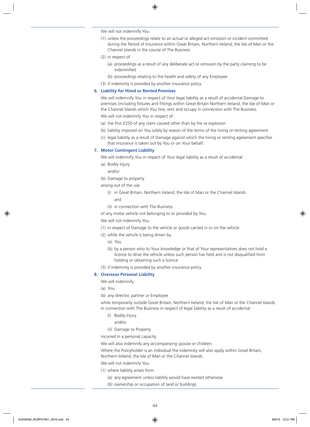We will not indemnify You

- (1) unless the proceedings relate to an actual or alleged act omission or incident committed during the Period of Insurance within Great Britain, Northern Ireland, the Isle of Man or the Channel Islands in the course of The Business
- (2) in respect of
	- (a) proceedings as a result of any deliberate act or omission by the party claiming to be indemnified
	- (b) proceedings relating to the health and safety of any Employee
- (3) if indemnity is provided by another insurance policy.

#### **6. Liability for Hired or Rented Premises**

We will indemnify You in respect of Your legal liability as a result of accidental Damage to premises (including fixtures and fittings within Great Britain Northern Ireland, the Isle of Man or the Channel Islands which You hire, rent and occupy in connection with The Business.

We will not indemnify You in respect of

- (a) the first £250 of any claim caused other than by fire or explosion
- (b) liability imposed on You solely by reason of the terms of the hiring or renting agreement
- (c) legal liability as a result of Damage against which the hiring or renting agreement specifies that insurance is taken out by You or on Your behalf.

#### **7. Motor Contingent Liability**

We will indemnify You in respect of Your legal liability as a result of accidental

- (a) Bodily Injury
	- and/or
- (b) Damage to property
- arising out of the use
	- (i) in Great Britain, Northern Ireland, the Isle of Man or the Channel Islands and
	- (ii) in connection with The Business

of any motor vehicle not belonging to or provided by You.

We will not indemnify You

- (1) in respect of Damage to the vehicle or goods carried in or on the vehicle
- (2) while the vehicle is being driven by
	- (a) You
	- (b) by a person who to Your knowledge or that of Your representatives does not hold a licence to drive the vehicle unless such person has held and is not disqualified from holding or obtaining such a licence
- (3) if indemnity is provided by another insurance policy.

#### **8. Overseas Personal Liability**

We will indemnify

- (a) You
- (b) any director, partner or Employee

while temporarily outside Great Britain, Northern Ireland, the Isle of Man or the Channel Islands in connection with The Business in respect of legal liability as a result of accidental

- (i) Bodily Injury
	- and/or
- (ii) Damage to Property

incurred in a personal capacity.

We will also indemnify any accompanying spouse or children.

Where the Policyholder is an individual the indemnity will also apply within Great Britain, Northern Ireland, the lsIe of Man or the Channel Islands.

We will not indemnify You

- (1) where liability arises from
	- (a) any agreement unless liability would have existed otherwise
	- (b) ownership or occupation of land or buildings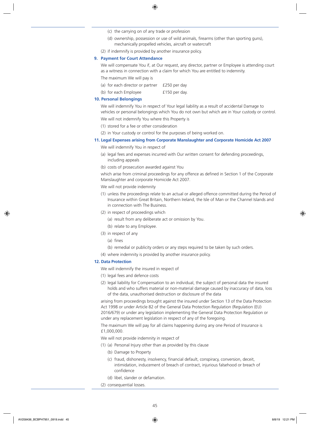- (c) the carrying on of any trade or profession
- (d) ownership, possession or use of wild animals, firearms (other than sporting guns), mechanically propelled vehicles, aircraft or watercraft
- (2) if indemnify is provided by another insurance policy.

#### **9. Payment for Court Attendance**

We will compensate You if, at Our request, any director, partner or Employee is attending court as a witness in connection with a claim for which You are entitled to indemnity.

The maximum We will pay is

- (a) for each director or partner £250 per day
- (b) for each Employee  $f150$  per day.

#### **10. Personal Belongings**

We will indemnify You in respect of Your legal liability as a result of accidental Damage to vehicles or personal belongings which You do not own but which are in Your custody or control.

We will not indemnify You where this Property is

- (1) stored for a fee or other consideration
- (2) in Your custody or control for the purposes of being worked on.

#### **11. Legal Expenses arising from Corporate Manslaughter and Corporate Homicide Act 2007**

We will indemnify You in respect of

- (a) legal fees and expenses incurred with Our written consent for defending proceedings, including appeals
- (b) costs of prosecution awarded against You

which arise from criminal proceedings for any offence as defined in Section 1 of the Corporate Manslaughter and corporate Homicide Act 2007.

We will not provide indemnity

- (1) unless the proceedings relate to an actual or alleged offence committed during the Period of Insurance within Great Britain, Northern Ireland, the Isle of Man or the Channel Islands and in connection with The Business.
- (2) in respect of proceedings which
	- (a) result from any deliberate act or omission by You.
	- (b) relate to any Employee.
- (3) in respect of any
	- (a) fines
	- (b) remedial or publicity orders or any steps required to be taken by such orders.
- (4) where indemnity is provided by another insurance policy.

#### **12. Data Protection**

We will indemnify the insured in respect of

- (1) legal fees and defence costs
- (2) legal liability for Compensation to an individual, the subject of personal data the insured holds and who suffers material or non-material damage caused by inaccuracy of data, loss of the data, unauthorised destruction or disclosure of the data

arising from proceedings brought against the insured under Section 13 of the Data Protection Act 1998 or under Article 82 of the General Data Protection Regulation (Regulation (EU) 2016/679) or under any legislation implementing the General Data Protection Regulation or under any replacement legislation in respect of any of the foregoing.

The maximum We will pay for all claims happening during any one Period of Insurance is £1,000,000.

- We will not provide indemnity in respect of
- (1) (a) Personal Injury other than as provided by this clause
	- (b) Damage to Property
	- (c) fraud, dishonesty, insolvency, financial default, conspiracy, conversion, deceit, intimidation, inducement of breach of contract, injurious falsehood or breach of confidence
	- (d) libel, slander or defamation.
- (2) consequential losses.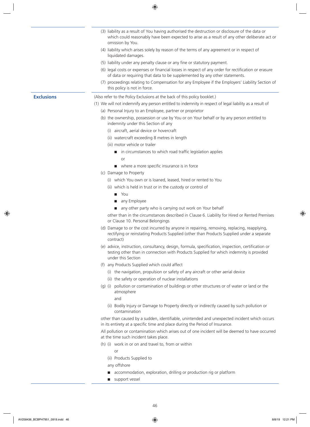- (3) liability as a result of You having authorised the destruction or disclosure of the data or which could reasonably have been expected to arise as a result of any other deliberate act or omission by You.
- (4) liability which arises solely by reason of the terms of any agreement or in respect of liquidated damages.
- (5) liability under any penalty clause or any fine or statutory payment.
- (6) legal costs or expenses or financial losses in respect of any order for rectification or erasure of data or requiring that data to be supplemented by any other statements.
- (7) proceedings relating to Compensation for any Employee if the Employers' Liability Section of this policy is not in force.

- **Exclusions** (Also refer to the Policy Exclusions at the back of this policy booklet.)
	- (1) We will not indemnify any person entitled to indemnity in respect of legal liability as a result of
		- (a) Personal Injury to an Employee, partner or proprietor
		- (b) the ownership, possession or use by You or on Your behalf or by any person entitled to indemnity under this Section of any
			- (i) aircraft, aerial device or hovercraft
			- (ii) watercraft exceeding 8 metres in length
			- (iii) motor vehicle or trailer
				- in circumstances to which road traffic legislation applies or
				- $\blacksquare$  where a more specific insurance is in force
		- (c) Damage to Property
			- (i) which You own or is loaned, leased, hired or rented to You
			- (ii) which is held in trust or in the custody or control of
				- n You
				- any Employee
				- n any other party who is carrying out work on Your behalf

other than in the circumstances described in Clause 6. Liability for Hired or Rented Premises or Clause 10. Personal Belongings

- (d) Damage to or the cost incurred by anyone in repairing, removing, replacing, reapplying, rectifying or reinstating Products Supplied (other than Products Supplied under a separate contract)
- (e) advice, instruction, consultancy, design, formula, specification, inspection, certification or testing other than in connection with Products Supplied for which indemnity is provided under this Section
- (f) any Products Supplied which could affect
	- (i) the navigation, propulsion or safety of any aircraft or other aerial device
	- (ii) the safety or operation of nuclear installations
- (g) (i) pollution or contamination of buildings or other structures or of water or land or the atmosphere
	- and
	- (ii) Bodily Injury or Damage to Property directly or indirectly caused by such pollution or contamination

other than caused by a sudden, identifiable, unintended and unexpected incident which occurs in its entirety at a specific time and place during the Period of Insurance.

All pollution or contamination which arises out of one incident will be deemed to have occurred at the time such incident takes place.

- (h) (i) work in or on and travel to, from or within
	- or
	- (ii) Products Supplied to

any offshore

- accommodation, exploration, drilling or production rig or platform
- $\Box$  support vessel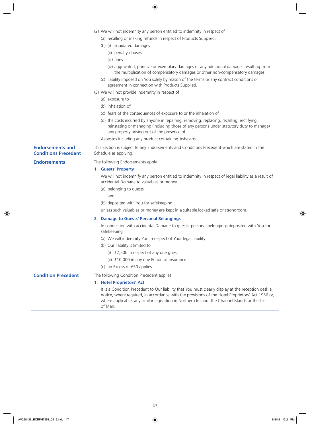|                                                        | (2) We will not indemnity any person entitled to indemnity in respect of                                                                                                                                                                                                                                            |  |  |
|--------------------------------------------------------|---------------------------------------------------------------------------------------------------------------------------------------------------------------------------------------------------------------------------------------------------------------------------------------------------------------------|--|--|
|                                                        | (a) recalling or making refunds in respect of Products Supplied.                                                                                                                                                                                                                                                    |  |  |
|                                                        | (b) (i) liquidated damages                                                                                                                                                                                                                                                                                          |  |  |
|                                                        | (ii) penalty clauses                                                                                                                                                                                                                                                                                                |  |  |
|                                                        | (iii) fines                                                                                                                                                                                                                                                                                                         |  |  |
|                                                        | (iv) aggravated, punitive or exemplary damages or any additional damages resulting from<br>the multiplication of compensatory damages or other non-compensatory damages.                                                                                                                                            |  |  |
|                                                        | (c) liability imposed on You solely by reason of the terms or any contract conditions or<br>agreement in connection with Products Supplied.                                                                                                                                                                         |  |  |
|                                                        | (3) We will not provide indemnity in respect of                                                                                                                                                                                                                                                                     |  |  |
|                                                        | (a) exposure to                                                                                                                                                                                                                                                                                                     |  |  |
|                                                        | (b) inhalation of                                                                                                                                                                                                                                                                                                   |  |  |
|                                                        | (c) fears of the consequences of exposure to or the inhalation of                                                                                                                                                                                                                                                   |  |  |
|                                                        | (d) the costs incurred by anyone in repairing, removing, replacing, recalling, rectifying,<br>reinstating or managing (including those of any persons under statutory duty to manage)<br>any property arising out of the presence of                                                                                |  |  |
|                                                        | Asbestos including any product containing Asbestos.                                                                                                                                                                                                                                                                 |  |  |
| <b>Endorsements and</b><br><b>Conditions Precedent</b> | This Section is subject to any Endorsements and Conditions Precedent which are stated in the<br>Schedule as applying.                                                                                                                                                                                               |  |  |
| <b>Endorsements</b>                                    | The following Endorsements apply.                                                                                                                                                                                                                                                                                   |  |  |
|                                                        | 1. Guests' Property                                                                                                                                                                                                                                                                                                 |  |  |
|                                                        | We will not indemnify any person entitled to indemnity in respect of legal liability as a result of<br>accidental Damage to valuables or money                                                                                                                                                                      |  |  |
|                                                        | (a) belonging to guests                                                                                                                                                                                                                                                                                             |  |  |
|                                                        | and                                                                                                                                                                                                                                                                                                                 |  |  |
|                                                        | (b) deposited with You for safekeeping                                                                                                                                                                                                                                                                              |  |  |
|                                                        | unless such valuables or money are kept in a suitable locked safe or strongroom.                                                                                                                                                                                                                                    |  |  |
|                                                        | 2. Damage to Guests' Personal Belongings                                                                                                                                                                                                                                                                            |  |  |
|                                                        | In connection with accidental Damage to guests' personal belongings deposited with You for<br>safekeeping                                                                                                                                                                                                           |  |  |
|                                                        | (a) We will indemnify You in respect of Your legal liability                                                                                                                                                                                                                                                        |  |  |
|                                                        | (b) Our liability is limited to                                                                                                                                                                                                                                                                                     |  |  |
|                                                        | (i) £2,500 in respect of any one guest                                                                                                                                                                                                                                                                              |  |  |
|                                                        | (ii) £10,000 in any one Period of Insurance                                                                                                                                                                                                                                                                         |  |  |
|                                                        | (c) an Excess of £50 applies.                                                                                                                                                                                                                                                                                       |  |  |
| <b>Condition Precedent</b>                             | The following Condition Precedent applies.                                                                                                                                                                                                                                                                          |  |  |
|                                                        | 1. Hotel Proprietors' Act                                                                                                                                                                                                                                                                                           |  |  |
|                                                        | It is a Condition Precedent to Our liability that You must clearly display at the reception desk a<br>notice, where required, in accordance with the provisions of the Hotel Proprietors' Act 1956 or,<br>where applicable, any similar legislation in Northern Ireland, the Channel Islands or the Isle<br>of Man. |  |  |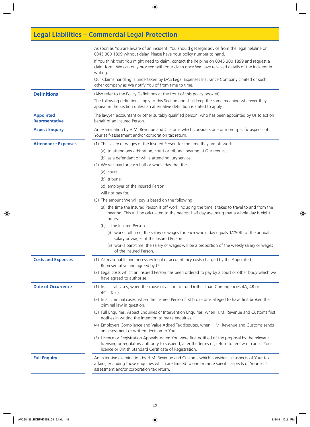# **Legal Liabilities – Commercial Legal Protection**

|                                           | As soon as You are aware of an incident, You should get legal advice from the legal helpline on<br>0345 300 1899 without delay. Please have Your policy number to hand.<br>If You think that You might need to claim, contact the helpline on 0345 300 1899 and request a<br>claim form. We can only proceed with Your claim once We have received details of the incident in<br>writing. |  |
|-------------------------------------------|-------------------------------------------------------------------------------------------------------------------------------------------------------------------------------------------------------------------------------------------------------------------------------------------------------------------------------------------------------------------------------------------|--|
|                                           | Our Claims handling is undertaken by DAS Legal Expenses Insurance Company Limited or such<br>other company as We notify You of from time to time.                                                                                                                                                                                                                                         |  |
| <b>Definitions</b>                        | (Also refer to the Policy Definitions at the front of this policy booklet).                                                                                                                                                                                                                                                                                                               |  |
|                                           | The following definitions apply to this Section and shall keep the same meaning wherever they<br>appear in the Section unless an alternative definition is stated to apply.                                                                                                                                                                                                               |  |
| <b>Appointed</b><br><b>Representative</b> | The lawyer, accountant or other suitably qualified person, who has been appointed by Us to act on<br>behalf of an Insured Person.                                                                                                                                                                                                                                                         |  |
| <b>Aspect Enquiry</b>                     | An examination by H.M. Revenue and Customs which considers one or more specific aspects of<br>Your self-assessment and/or corporation tax return.                                                                                                                                                                                                                                         |  |
| <b>Attendance Expenses</b>                | (1) The salary or wages of the Insured Person for the time they are off work                                                                                                                                                                                                                                                                                                              |  |
|                                           | (a) to attend any arbitration, court or tribunal hearing at Our request                                                                                                                                                                                                                                                                                                                   |  |
|                                           | (b) as a defendant or while attending jury service.                                                                                                                                                                                                                                                                                                                                       |  |
|                                           | (2) We will pay for each half or whole day that the                                                                                                                                                                                                                                                                                                                                       |  |
|                                           | (a) court                                                                                                                                                                                                                                                                                                                                                                                 |  |
|                                           | (b) tribunal                                                                                                                                                                                                                                                                                                                                                                              |  |
|                                           | (c) employer of the Insured Person                                                                                                                                                                                                                                                                                                                                                        |  |
|                                           | will not pay for.                                                                                                                                                                                                                                                                                                                                                                         |  |
|                                           | (3) The amount We will pay is based on the following                                                                                                                                                                                                                                                                                                                                      |  |
|                                           | (a) the time the Insured Person is off work including the time it takes to travel to and from the<br>hearing. This will be calculated to the nearest half day assuming that a whole day is eight<br>hours.                                                                                                                                                                                |  |
|                                           | (b) if the Insured Person                                                                                                                                                                                                                                                                                                                                                                 |  |
|                                           | (i) works full time, the salary or wages for each whole day equals 1/250th of the annual<br>salary or wages of the Insured Person.                                                                                                                                                                                                                                                        |  |
|                                           | (ii) works part-time, the salary or wages will be a proportion of the weekly salary or wages<br>of the Insured Person.                                                                                                                                                                                                                                                                    |  |
| <b>Costs and Expenses</b>                 | (1) All reasonable and necessary legal or accountancy costs charged by the Appointed<br>Representative and agreed by Us.                                                                                                                                                                                                                                                                  |  |
|                                           | (2) Legal costs which an Insured Person has been ordered to pay by a court or other body which we<br>have agreed to authorise.                                                                                                                                                                                                                                                            |  |
| <b>Date of Occurrence</b>                 | (1) In all civil cases, when the cause of action accrued (other than Contingencies 4A, 4B or<br>$4C - Tax.$ )                                                                                                                                                                                                                                                                             |  |
|                                           | (2) In all criminal cases, when the Insured Person first broke or is alleged to have first broken the<br>criminal law in question.                                                                                                                                                                                                                                                        |  |
|                                           | (3) Full Enquiries, Aspect Enquiries or Intervention Enquiries, when H.M. Revenue and Customs first<br>notifies in writing the intention to make enquiries.                                                                                                                                                                                                                               |  |
|                                           | (4) Employers Compliance and Value Added Tax disputes, when H.M. Revenue and Customs sends<br>an assessment or written decision to You.                                                                                                                                                                                                                                                   |  |
|                                           | (5) Licence or Registration Appeals, when You were first notified of the proposal by the relevant<br>licensing or regulatory authority to suspend, alter the terms of, refuse to renew or cancel Your<br>licence or British Standard Certificate of Registration.                                                                                                                         |  |
| <b>Full Enquiry</b>                       | An extensive examination by H.M. Revenue and Customs which considers all aspects of Your tax<br>affairs, excluding those enquiries which are limited to one or more specific aspects of Your self-<br>assessment and/or corporation tax return.                                                                                                                                           |  |
|                                           |                                                                                                                                                                                                                                                                                                                                                                                           |  |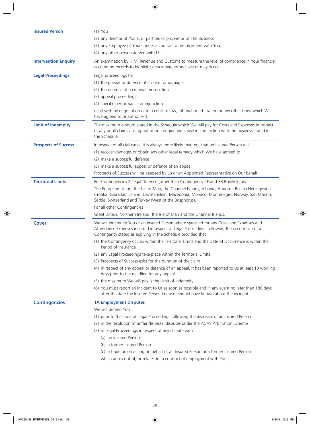| <b>Insured Person</b>       | $(1)$ You                                                                                                                                                                                                                                                    |  |  |
|-----------------------------|--------------------------------------------------------------------------------------------------------------------------------------------------------------------------------------------------------------------------------------------------------------|--|--|
|                             | (2) any director of Yours, or partner, or proprietor of The Business                                                                                                                                                                                         |  |  |
|                             | (3) any Employee of Yours under a contract of employment with You.                                                                                                                                                                                           |  |  |
|                             | (4) any other person agreed with Us.                                                                                                                                                                                                                         |  |  |
| <b>Intervention Enquiry</b> | An examination by H.M. Revenue and Customs to measure the level of compliance in Your financial<br>accounting records to highlight area where errors have or may occur.                                                                                      |  |  |
| <b>Legal Proceedings</b>    | Legal proceedings for                                                                                                                                                                                                                                        |  |  |
|                             | (1) the pursuit or defence of a claim for damages                                                                                                                                                                                                            |  |  |
|                             | (2) the defence of a criminal prosecution                                                                                                                                                                                                                    |  |  |
|                             | (3) appeal proceedings                                                                                                                                                                                                                                       |  |  |
|                             | (4) specific performance or injunction                                                                                                                                                                                                                       |  |  |
|                             | dealt with by negotiation or in a court of law, tribunal or arbitration or any other body which We<br>have agreed to or authorised.                                                                                                                          |  |  |
| <b>Limit of Indemnity</b>   | The maximum amount stated in the Schedule which We will pay for Costs and Expenses in respect<br>of any or all claims arising out of one originating cause in connection with the business stated in<br>the Schedule.                                        |  |  |
| <b>Prospects of Success</b> | In respect of all civil cases, it is always more likely than not that an Insured Person will                                                                                                                                                                 |  |  |
|                             | (1) recover damages or obtain any other legal remedy which We have agreed to                                                                                                                                                                                 |  |  |
|                             | (2) make a successful defence                                                                                                                                                                                                                                |  |  |
|                             | (3) make a successful appeal or defence of an appeal.                                                                                                                                                                                                        |  |  |
|                             | Prospects of Success will be assessed by Us or an Appointed Representative on Our behalf.                                                                                                                                                                    |  |  |
| <b>Territorial Limits</b>   | For Contingencies 2 Legal Defence (other than Contingency 2E and 3B Bodily Injury                                                                                                                                                                            |  |  |
|                             | The European Union, the Isle of Man, the Channel Islands, Albania, Andorra, Bosnia Herzegovina,<br>Croatia, Gibraltar, Iceland, Liechtenstein, Macedonia, Monaco, Montenegro, Norway, San Marino,<br>Serbia, Switzerland and Turkey (West of the Bosphorus). |  |  |
|                             | For all other Contingencies                                                                                                                                                                                                                                  |  |  |
|                             | Great Britain, Northern Ireland, the Isle of Man and the Channel Islands.                                                                                                                                                                                    |  |  |
| Cover                       | We will indemnify You or an Insured Person where specified for any Costs and Expenses and<br>Attendance Expenses incurred in respect of Legal Proceedings following the occurrence of a<br>Contingency stated as applying in the Schedule provided that      |  |  |
|                             | (1) the Contingency occurs within the Territorial Limits and the Date of Occurrence is within the<br>Period of Insurance                                                                                                                                     |  |  |
|                             | (2) any Legal Proceedings take place within the Territorial Limits                                                                                                                                                                                           |  |  |
|                             | (3) Prospects of Success exist for the duration of the claim                                                                                                                                                                                                 |  |  |
|                             | (4) in respect of any appeal or defence of an appeal, it has been reported to Us at least 10 working<br>days prior to the deadline for any appeal                                                                                                            |  |  |
|                             | (5) the maximum We will pay is the Limit of Indemnity                                                                                                                                                                                                        |  |  |
|                             | (6) You must report an incident to Us as soon as possible and in any event no later than 180 days<br>after the date the Insured Person knew or should have known about the incident.                                                                         |  |  |
| <b>Contingencies</b>        | <b>1A Employment Disputes</b>                                                                                                                                                                                                                                |  |  |
|                             | We will defend You                                                                                                                                                                                                                                           |  |  |
|                             | (1) prior to the issue of Legal Proceedings following the dismissal of an Insured Person                                                                                                                                                                     |  |  |
|                             | (2) in the resolution of unfair dismissal disputes under the ACAS Arbitration Scheme                                                                                                                                                                         |  |  |
|                             | (3) in Legal Proceedings in respect of any dispute with                                                                                                                                                                                                      |  |  |
|                             | (a) an Insured Person                                                                                                                                                                                                                                        |  |  |
|                             | (b) a former Insured Person                                                                                                                                                                                                                                  |  |  |
|                             | (c) a trade union acting on behalf of an Insured Person or a former Insured Person                                                                                                                                                                           |  |  |
|                             | which arises out of, or relates to, a contract of employment with You                                                                                                                                                                                        |  |  |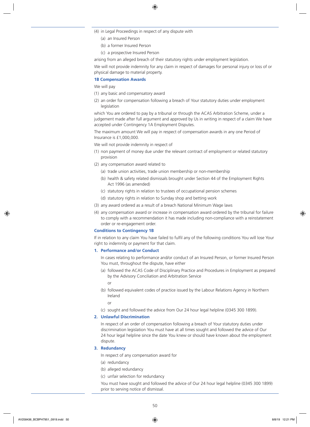- (4) in Legal Proceedings in respect of any dispute with
	- (a) an Insured Person
	- (b) a former Insured Person
	- (c) a prospective Insured Person

arising from an alleged breach of their statutory rights under employment legislation.

We will not provide indemnity for any claim in respect of damages for personal injury or loss of or physical damage to material property.

#### **1B Compensation Awards**

We will pay

- (1) any basic and compensatory award
- (2) an order for compensation following a breach of Your statutory duties under employment legislation

which You are ordered to pay by a tribunal or through the ACAS Arbitration Scheme, under a judgement made after full argument and approved by Us in writing in respect of a claim We have accepted under Contingency 1A Employment Disputes.

The maximum amount We will pay in respect of compensation awards in any one Period of Insurance is £1,000,000.

We will not provide indemnity in respect of

- (1) non payment of money due under the relevant contract of employment or related statutory provision
- (2) any compensation award related to
	- (a) trade union activities, trade union membership or non-membership
	- (b) health & safety related dismissals brought under Section 44 of the Employment Rights Act 1996 (as amended)
	- (c) statutory rights in relation to trustees of occupational pension schemes
	- (d) statutory rights in relation to Sunday shop and betting work
- (3) any award ordered as a result of a breach National Minimum Wage laws
- (4) any compensation award or increase in compensation award ordered by the tribunal for failure to comply with a recommendation it has made including non-compliance with a reinstatement order or re-engagement order.

#### **Conditions to Contingency 1B**

If in relation to any claim You have failed to fulfil any of the following conditions You will lose Your right to indemnity or payment for that claim.

#### **1. Performance and/or Conduct**

In cases relating to performance and/or conduct of an Insured Person, or former Insured Person You must, throughout the dispute, have either

(a) followed the ACAS Code of Disciplinary Practice and Procedures in Employment as prepared by the Advisory Conciliation and Arbitration Service

or

(b) followed equivalent codes of practice issued by the Labour Relations Agency in Northern Ireland

or

(c) sought and followed the advice from Our 24 hour legal helpline (0345 300 1899).

### **2. Unlawful Discrimination**

In respect of an order of compensation following a breach of Your statutory duties under discrimination legislation You must have at all times sought and followed the advice of Our 24 hour legal helpline since the date You knew or should have known about the employment dispute.

### **3. Redundancy**

In respect of any compensation award for

- (a) redundancy
- (b) alleged redundancy
- (c) unfair selection for redundancy

You must have sought and followed the advice of Our 24 hour legal helpline (0345 300 1899) prior to serving notice of dismissal.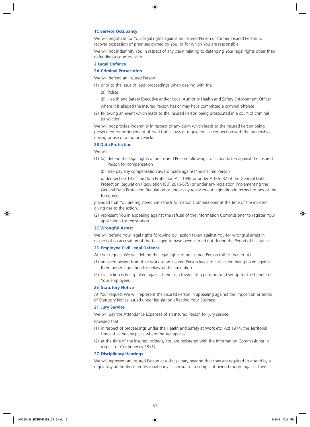#### **1C Service Occupancy**

We will negotiate for Your legal rights against an Insured Person or former Insured Person to recover possession of premises owned by You, or for which You are responsible.

We will not indemnify You in respect of any claim relating to defending Your legal rights other than defending a counter claim.

#### **2 Legal Defence**

#### **2A Criminal Prosecution**

- We will defend an Insured Person
- (1) prior to the issue of legal proceedings when dealing with the
	- (a) Police
	- (b) Health and Safety Executive and/or Local Authority Health and Safety Enforcement Officer
	- where it is alleged the Insured Person has or may have committed a criminal offence
- (2) following an event which leads to the Insured Person being prosecuted in a court of criminal jurisdiction.

We will not provide indemnity in respect of any claim which leads to the Insured Person being prosecuted for infringement of road traffic laws or regulations in connection with the ownership, driving or use of a motor vehicle.

#### **2B Data Protection**

We will

- (1) (a) defend the legal rights of an Insured Person following civil action taken against the Insured Person for compensation
	- (b) also pay any compensation award made against the Insured Person

under Section 13 of the Data Protection Act 1998 or under Article 82 of the General Data Protection Regulation (Regulation (EU) 2016/679) or under any legislation implementing the General Data Protection Regulation or under any replacement legislation in respect of any of the foregoing,

provided that You are registered with the Information Commissioner at the time of the incident giving rise to the action.

(2) represent You in appealing against the refusal of the Information Commissioner to register Your application for registration.

#### **2C Wrongful Arrest**

We will defend Your legal rights following civil action taken against You for wrongful arrest in respect of an accusation of theft alleged to have been carried out during the Period of Insurance.

#### **2D Employee Civil Legal Defence**

At Your request We will defend the legal rights of an Insured Person (other than You) if

- (1) an event arising from their work as an Insured Person leads to civil action being taken against them under legislation for unlawful discrimination
- (2) civil action is being taken against them as a trustee of a pension fund set up for the benefit of Your employees.

#### **2E Statutory Notice**

At Your request We will represent the Insured Person in appealing against the imposition or terms of Statutory Notice issued under legislation affecting Your Business.

#### **2F Jury Service**

We will pay the Attendance Expenses of an Insured Person for jury service.

#### Provided that

- (1) in respect of proceedings under the Health and Safety at Work etc. Act 1974, the Territorial Limits shall be any place where the Act applies
- (2) at the time of the insured incident, You are registered with the Information Commissioner in respect of Contingency 2B (1).

#### **2G Disciplinary Hearings**

We will represent an Insured Person at a disciplinary hearing that they are required to attend by a regulatory authority or professional body as a result of a complaint being brought against them.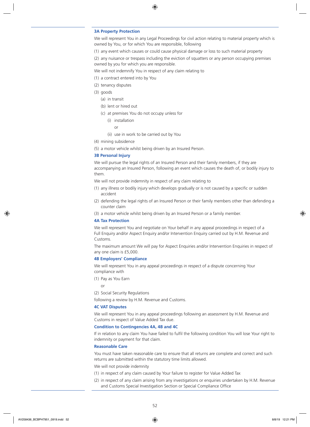#### **3A Property Protection**

We will represent You in any Legal Proceedings for civil action relating to material property which is owned by You, or for which You are responsible, following

(1) any event which causes or could cause physical damage or loss to such material property

(2) any nuisance or trespass including the eviction of squatters or any person occupying premises owned by you for which you are responsible.

We will not indemnify You in respect of any claim relating to

- (1) a contract entered into by You
- (2) tenancy disputes
- (3) goods
	- (a) in transit
	- (b) lent or hired out
	- (c) at premises You do not occupy unless for
		- (i) installation
			- $\cap$ r
		- (ii) use in work to be carried out by You
- (4) mining subsidence
- (5) a motor vehicle whilst being driven by an Insured Person.

#### **3B Personal Injury**

We will pursue the legal rights of an Insured Person and their family members, if they are accompanying an Insured Person, following an event which causes the death of, or bodily injury to them.

We will not provide indemnity in respect of any claim relating to

- (1) any illness or bodily injury which develops gradually or is not caused by a specific or sudden accident
- (2) defending the legal rights of an Insured Person or their family members other than defending a counter claim
- (3) a motor vehicle whilst being driven by an Insured Person or a family member.

#### **4A Tax Protection**

We will represent You and negotiate on Your behalf in any appeal proceedings in respect of a Full Enquiry and/or Aspect Enquiry and/or Intervention Enquiry carried out by H.M. Revenue and Customs.

The maximum amount We will pay for Aspect Enquiries and/or Intervention Enquiries in respect of any one claim is £5,000.

#### **4B Employers' Compliance**

We will represent You in any appeal proceedings in respect of a dispute concerning Your compliance with

(1) Pay as You Earn

or

(2) Social Security Regulations

following a review by H.M. Revenue and Customs.

### **4C VAT Disputes**

We will represent You in any appeal proceedings following an assessment by H.M. Revenue and Customs in respect of Value Added Tax due.

#### **Condition to Contingencies 4A, 4B and 4C**

If in relation to any claim You have failed to fulfil the following condition You will lose Your right to indemnity or payment for that claim.

#### **Reasonable Care**

You must have taken reasonable care to ensure that all returns are complete and correct and such returns are submitted within the statutory time limits allowed.

We will not provide indemnity

- (1) in respect of any claim caused by Your failure to register for Value Added Tax
- (2) in respect of any claim arising from any investigations or enquiries undertaken by H.M. Revenue and Customs Special Investigation Section or Special Compliance Office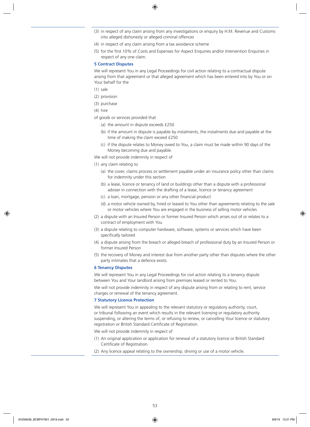- (3) in respect of any claim arising from any investigations or enquiry by H.M. Revenue and Customs into alleged dishonesty or alleged criminal offences
- (4) in respect of any claim arising from a tax avoidance scheme
- (5) for the first 10% of Costs and Expenses for Aspect Enquiries and/or Intervention Enquiries in respect of any one claim.

#### **5 Contract Disputes**

We will represent You in any Legal Proceedings for civil action relating to a contractual dispute arising from that agreement or that alleged agreement which has been entered into by You or on Your behalf for the

- (1) sale
- (2) provision
- (3) purchase
- (4) hire
- of goods or services provided that
	- (a) the amount in dispute exceeds £250
	- (b) if the amount in dispute is payable by instalments, the instalments due and payable at the time of making the claim exceed £250
	- (c) if the dispute relates to Money owed to You, a claim must be made within 90 days of the Money becoming due and payable.

We will not provide indemnity in respect of

- (1) any claim relating to
	- (a) the cover, claims process or settlement payable under an insurance policy other than claims for indemnity under this section
	- (b) a lease, licence or tenancy of land or buildings other than a dispute with a professional adviser in connection with the drafting of a lease, licence or tenancy agreement
	- (c) a loan, mortgage, pension or any other financial product
	- (d) a motor vehicle owned by, hired or leased to You other than agreements relating to the sale or motor vehicles where You are engaged in the business of selling motor vehicles
- (2) a dispute with an Insured Person or former Insured Person which arises out of or relates to a contract of employment with You
- (3) a dispute relating to computer hardware, software, systems or services which have been specifically tailored
- (4) a dispute arising from the breach or alleged breach of professional duty by an Insured Person or former Insured Person
- (5) the recovery of Money and interest due from another party other than disputes where the other party intimates that a defence exists.

#### **6 Tenancy Disputes**

We will represent You in any Legal Proceedings for civil action relating to a tenancy dispute between You and Your landlord arising from premises leased or rented to You.

We will not provide indemnity in respect of any dispute arising from or relating to rent, service charges or renewal of the tenancy agreement.

#### **7 Statutory Licence Protection**

We will represent You in appealing to the relevant statutory or regulatory authority, court, or tribunal following an event which results in the relevant licensing or regulatory authority suspending, or altering the terms of, or refusing to renew, or cancelling Your licence or statutory registration or British Standard Certificate of Registration.

We will not provide indemnity in respect of

- (1) An original application or application for renewal of a statutory licence or British Standard Certificate of Registration.
- (2) Any licence appeal relating to the ownership, driving or use of a motor vehicle.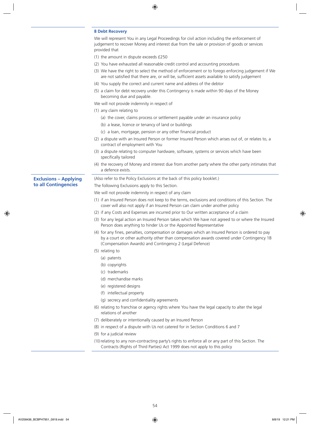#### **8 Debt Recovery**

| We will represent You in any Legal Proceedings for civil action including the enforcement of |
|----------------------------------------------------------------------------------------------|
| judgement to recover Money and interest due from the sale or provision of goods or services  |
| provided that                                                                                |

- (1) the amount in dispute exceeds £250
- (2) You have exhausted all reasonable credit control and accounting procedures
- (3) We have the right to select the method of enforcement or to forego enforcing judgement if We are not satisfied that there are, or will be, sufficient assets available to satisfy judgement
- (4) You supply the correct and current name and address of the debtor
- (5) a claim for debt recovery under this Contingency is made within 90 days of the Money becoming due and payable.

We will not provide indemnity in respect of

- (1) any claim relating to
	- (a) the cover, claims process or settlement payable under an insurance policy
	- (b) a lease, licence or tenancy of land or buildings
	- (c) a loan, mortgage, pension or any other financial product
- (2) a dispute with an Insured Person or former Insured Person which arises out of, or relates to, a contract of employment with You
- (3) a dispute relating to computer hardware, software, systems or services which have been specifically tailored
- (4) the recovery of Money and interest due from another party where the other party intimates that a defence exists.

(Also refer to the Policy Exclusions at the back of this policy booklet.)

The following Exclusions apply to this Section.

We will not provide indemnity in respect of any claim

- (1) if an Insured Person does not keep to the terms, exclusions and conditions of this Section. The cover will also not apply if an Insured Person can claim under another policy
- (2) if any Costs and Expenses are incurred prior to Our written acceptance of a claim
- (3) for any legal action an Insured Person takes which We have not agreed to or where the Insured Person does anything to hinder Us or the Appointed Representative
- (4) for any fines, penalties, compensation or damages which an Insured Person is ordered to pay by a court or other authority other than compensation awards covered under Contingency 1B (Compensation Awards) and Contingency 2 (Legal Defence)
- (5) relating to

**Exclusions – Applying to all Contingencies**

- (a) patents
- (b) copyrights
- (c) trademarks
- (d) merchandise marks
- (e) registered designs
- (f) intellectual property
- (g) secrecy and confidentiality agreements
- (6) relating to franchise or agency rights where You have the legal capacity to alter the legal relations of another
- (7) deliberately or intentionally caused by an Insured Person
- (8) in respect of a dispute with Us not catered for in Section Conditions 6 and 7
- (9) for a judicial review
- (10) relating to any non-contracting party's rights to enforce all or any part of this Section. The Contracts (Rights of Third Parties) Act 1999 does not apply to this policy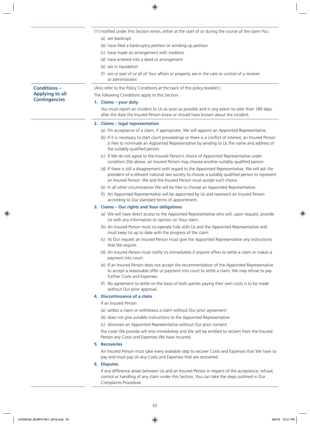- (11) notified under this Section when, either at the start of or during the course of the claim You
	- (a) are bankrupt
	- (b) have filed a bankruptcy petition or winding-up petition
	- (c) have made an arrangement with creditors
	- (d) have entered into a deed or arrangement
	- (e) are in liquidation
	- (f) are or part of or all of Your affairs or property are in the care or control of a receiver or administrator.

(Also refer to the Policy Conditions at the back of this policy booklet.) The following Conditions apply to this Section.

#### **1. Claims – your duty**

You must report an incident to Us as soon as possible and in any event no later than 180 days after the date the Insured Person knew or should have known about the incident.

#### **2. Claims – legal representation**

- (a) On acceptance of a claim, if appropriate, We will appoint an Appointed Representative.
- (b) If it is necessary to start court proceedings or there is a conflict of interest, an Insured Person is free to nominate an Appointed Representative by sending to Us the name and address of the suitably qualified person.
- (c) If We do not agree to the Insured Person's choice of Appointed Representative under condition 2(b) above, an Insured Person may choose another suitably qualified person.
- (d) If there is still a disagreement with regard to the Appointed Representative, We will ask the president of a relevant national law society to choose a suitably qualified person to represent an Insured Person. We and the Insured Person must accept such choice.
- (e) In all other circumstances We will be free to choose an Appointed Representative.
- (f) An Appointed Representative will be appointed by Us and represent an Insured Person according to Our standard terms of appointment.

#### **3. Claims – Our rights and Your obligations**

- (a) We will have direct access to the Appointed Representative who will, upon request, provide Us with any information or opinion on Your claim.
- (b) An Insured Person must co-operate fully with Us and the Appointed Representative and must keep Us up to date with the progress of the claim.
- (c) At Our request an Insured Person must give the Appointed Representative any instructions that We require.
- (d) An Insured Person must notify Us immediately if anyone offers to settle a claim or makes a payment into court.
- (e) If an Insured Person does not accept the recommendation of the Appointed Representative to accept a reasonable offer or payment into court to settle a claim, We may refuse to pay further Costs and Expenses.
- (f) No agreement to settle on the basis of both parties paying their own costs is to be made without Our prior approval.

### **4. Discontinuance of a claim**

If an Insured Person

- (a) settles a claim or withdraws a claim without Our prior agreement
- (b) does not give suitable instructions to the Appointed Representative
- (c) dismisses an Appointed Representative without Our prior consent

the cover We provide will end immediately and We will be entitled to reclaim from the Insured Person any Costs and Expenses We have incurred.

#### **5. Recoveries**

An Insured Person must take every available step to recover Costs and Expenses that We have to pay and must pay Us any Costs and Expenses that are recovered.

#### **6. Disputes**

If any difference arises between Us and an Insured Person in respect of the acceptance, refusal, control or handling of any claim under this Section, You can take the steps outlined in Our Complaints Procedure.

### **Conditions – Applying to all Contingencies**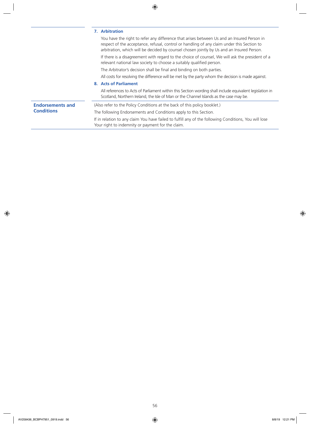|                                              | 7. Arbitration                                                                                                                                                                                                                                                                        |  |  |
|----------------------------------------------|---------------------------------------------------------------------------------------------------------------------------------------------------------------------------------------------------------------------------------------------------------------------------------------|--|--|
|                                              | You have the right to refer any difference that arises between Us and an Insured Person in<br>respect of the acceptance, refusal, control or handling of any claim under this Section to<br>arbitration, which will be decided by counsel chosen jointly by Us and an Insured Person. |  |  |
|                                              | If there is a disagreement with regard to the choice of counsel, We will ask the president of a<br>relevant national law society to choose a suitably qualified person.                                                                                                               |  |  |
|                                              | The Arbitrator's decision shall be final and binding on both parties.                                                                                                                                                                                                                 |  |  |
|                                              | All costs for resolving the difference will be met by the party whom the decision is made against.                                                                                                                                                                                    |  |  |
|                                              | 8. Acts of Parliament                                                                                                                                                                                                                                                                 |  |  |
|                                              | All references to Acts of Parliament within this Section wording shall include equivalent legislation in<br>Scotland, Northern Ireland, the Isle of Man or the Channel Islands as the case may be.                                                                                    |  |  |
| <b>Endorsements and</b><br><b>Conditions</b> | (Also refer to the Policy Conditions at the back of this policy booklet.)                                                                                                                                                                                                             |  |  |
|                                              | The following Endorsements and Conditions apply to this Section.                                                                                                                                                                                                                      |  |  |
|                                              | If in relation to any claim You have failed to fulfill any of the following Conditions, You will lose<br>Your right to indemnity or payment for the claim.                                                                                                                            |  |  |
|                                              |                                                                                                                                                                                                                                                                                       |  |  |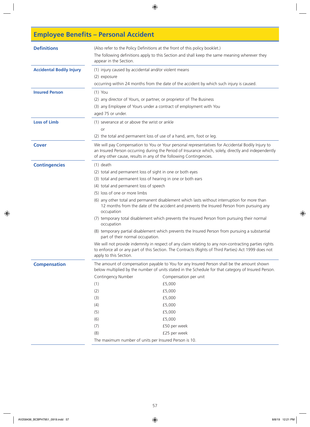# **Employee Benefits – Personal Accident**

| <b>Definitions</b>              | (Also refer to the Policy Definitions at the front of this policy booklet.)<br>The following definitions apply to this Section and shall keep the same meaning wherever they<br>appear in the Section.                                                                                                                                                                                                                                                                                                                                                                                                                                                                                                                                                                                                                                                                                                                        |                                                                                                                                                                                                                                                                                                                        |  |
|---------------------------------|-------------------------------------------------------------------------------------------------------------------------------------------------------------------------------------------------------------------------------------------------------------------------------------------------------------------------------------------------------------------------------------------------------------------------------------------------------------------------------------------------------------------------------------------------------------------------------------------------------------------------------------------------------------------------------------------------------------------------------------------------------------------------------------------------------------------------------------------------------------------------------------------------------------------------------|------------------------------------------------------------------------------------------------------------------------------------------------------------------------------------------------------------------------------------------------------------------------------------------------------------------------|--|
| <b>Accidental Bodily Injury</b> | (1) injury caused by accidental and/or violent means<br>(2) exposure<br>occurring within 24 months from the date of the accident by which such injury is caused.                                                                                                                                                                                                                                                                                                                                                                                                                                                                                                                                                                                                                                                                                                                                                              |                                                                                                                                                                                                                                                                                                                        |  |
| <b>Insured Person</b>           | $(1)$ You<br>(2) any director of Yours, or partner, or proprietor of The Business<br>(3) any Employee of Yours under a contract of employment with You<br>aged 75 or under.                                                                                                                                                                                                                                                                                                                                                                                                                                                                                                                                                                                                                                                                                                                                                   |                                                                                                                                                                                                                                                                                                                        |  |
| <b>Loss of Limb</b>             | (1) severance at or above the wrist or ankle<br>or<br>(2) the total and permanent loss of use of a hand, arm, foot or leg.                                                                                                                                                                                                                                                                                                                                                                                                                                                                                                                                                                                                                                                                                                                                                                                                    |                                                                                                                                                                                                                                                                                                                        |  |
| <b>Cover</b>                    | We will pay Compensation to You or Your personal representatives for Accidental Bodily Injury to<br>an Insured Person occurring during the Period of Insurance which, solely, directly and independently<br>of any other cause, results in any of the following Contingencies.                                                                                                                                                                                                                                                                                                                                                                                                                                                                                                                                                                                                                                                |                                                                                                                                                                                                                                                                                                                        |  |
| <b>Contingencies</b>            | $(1)$ death<br>(2) total and permanent loss of sight in one or both eyes<br>(3) total and permanent loss of hearing in one or both ears<br>(4) total and permanent loss of speech<br>(5) loss of one or more limbs<br>(6) any other total and permanent disablement which lasts without interruption for more than<br>12 months from the date of the accident and prevents the Insured Person from pursuing any<br>occupation<br>(7) temporary total disablement which prevents the Insured Person from pursuing their normal<br>occupation<br>(8) temporary partial disablement which prevents the Insured Person from pursuing a substantial<br>part of their normal occupation.<br>We will not provide indemnity in respect of any claim relating to any non-contracting parties rights<br>to enforce all or any part of this Section. The Contracts (Rights of Third Parties) Act 1999 does not<br>apply to this Section. |                                                                                                                                                                                                                                                                                                                        |  |
| <b>Compensation</b>             | Contingency Number<br>(1)<br>(2)<br>(3)<br>(4)<br>(5)<br>(6)<br>(7)<br>(8)<br>The maximum number of units per Insured Person is 10.                                                                                                                                                                                                                                                                                                                                                                                                                                                                                                                                                                                                                                                                                                                                                                                           | The amount of compensation payable to You for any Insured Person shall be the amount shown<br>below multiplied by the number of units stated in the Schedule for that category of Insured Person.<br>Compensation per unit<br>£5,000<br>£5,000<br>£5,000<br>£5,000<br>£5,000<br>£5,000<br>£50 per week<br>£25 per week |  |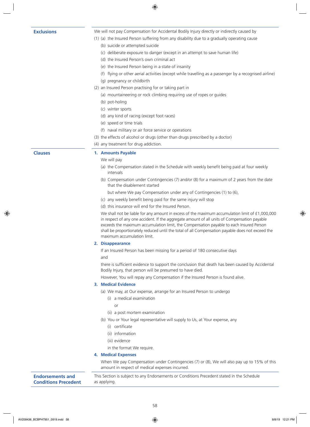**Exclusions** We will not pay Compensation for Accidental Bodily Injury directly or indirectly caused by

- (1) (a) the Insured Person suffering from any disability due to a gradually operating cause
	- (b) suicide or attempted suicide
	- (c) deliberate exposure to danger (except in an attempt to save human life)
	- (d) the Insured Person's own criminal act
	- (e) the Insured Person being in a state of insanity
	- (f) flying or other aerial activities (except while travelling as a passenger by a recognised airline)
	- (g) pregnancy or childbirth
- (2) an Insured Person practising for or taking part in
	- (a) mountaineering or rock climbing requiring use of ropes or guides
	- (b) pot-holing
	- (c) winter sports
	- (d) any kind of racing (except foot races)
	- (e) speed or time trials
	- (f) naval military or air force service or operations
- (3) the effects of alcohol or drugs (other than drugs prescribed by a doctor)
- (4) any treatment for drug addiction.

#### **Clauses 1. Amounts Payable**

#### We will pay

- (a) the Compensation stated in the Schedule with weekly benefit being paid at four weekly intervals
- (b) Compensation under Contingencies (7) and/or (8) for a maximum of 2 years from the date that the disablement started
	- but where We pay Compensation under any of Contingencies (1) to (6),
- (c) any weekly benefit being paid for the same injury will stop
- (d) this insurance will end for the Insured Person.

We shall not be liable for any amount in excess of the maximum accumulation limit of £1,000,000 in respect of any one accident. If the aggregate amount of all units of Compensation payable exceeds the maximum accumulation limit, the Compensation payable to each Insured Person shall be proportionately reduced until the total of all Compensation payable does not exceed the maximum accumulation limit.

#### **2. Disappearance**

If an Insured Person has been missing for a period of 180 consecutive days and

there is sufficient evidence to support the conclusion that death has been caused by Accidental Bodily Injury, that person will be presumed to have died.

However, You will repay any Compensation if the Insured Person is found alive.

#### **3. Medical Evidence**

(a) We may, at Our expense, arrange for an Insured Person to undergo

- (i) a medical examination
	- or
- (ii) a post mortem examination
- (b) You or Your legal representative will supply to Us, at Your expense, any
	- (i) certificate
	- (ii) information
	- (iii) evidence
	- in the format We require.

#### **4. Medical Expenses**

When We pay Compensation under Contingencies (7) or (8), We will also pay up to 15% of this amount in respect of medical expenses incurred.

#### **Endorsements and Conditions Precedent**

This Section is subject to any Endorsements or Conditions Precedent stated in the Schedule as applying.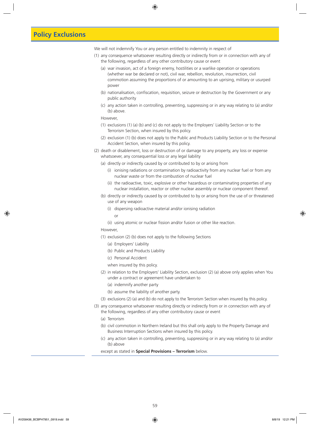## **Policy Exclusions**

We will not indemnify You or any person entitled to indemnity in respect of

- (1) any consequence whatsoever resulting directly or indirectly from or in connection with any of the following, regardless of any other contributory cause or event
	- (a) war invasion, act of a foreign enemy, hostilities or a warlike operation or operations (whether war be declared or not), civil war, rebellion, revolution, insurrection, civil commotion assuming the proportions of or amounting to an uprising, military or usurped power
	- (b) nationalisation, confiscation, requisition, seizure or destruction by the Government or any public authority
	- (c) any action taken in controlling, preventing, suppressing or in any way relating to (a) and/or (b) above.

#### However,

- (1) exclusions (1) (a) (b) and (c) do not apply to the Employers' Liability Section or to the Terrorism Section, when insured by this policy.
- (2) exclusion (1) (b) does not apply to the Public and Products Liability Section or to the Personal Accident Section, when insured by this policy.
- (2) death or disablement, loss or destruction of or damage to any property, any loss or expense whatsoever, any consequential loss or any legal liability
	- (a) directly or indirectly caused by or contributed to by or arising from
		- (i) ionising radiations or contamination by radioactivity from any nuclear fuel or from any nuclear waste or from the combustion of nuclear fuel
		- (ii) the radioactive, toxic, explosive or other hazardous or contaminating properties of any nuclear installation, reactor or other nuclear assembly or nuclear component thereof.
	- (b) directly or indirectly caused by or contributed to by or arising from the use of or threatened use of any weapon
		- (i) dispersing radioactive material and/or ionising radiation
			- or
		- (ii) using atomic or nuclear fission and/or fusion or other like reaction.
	- However,
	- (1) exclusion (2) (b) does not apply to the following Sections
		- (a) Employers' Liability
		- (b) Public and Products Liability
		- (c) Personal Accident
		- when insured by this policy.
	- (2) in relation to the Employers' Liability Section, exclusion (2) (a) above only applies when You under a contract or agreement have undertaken to
		- (a) indemnify another party
		- (b) assume the liability of another party.
	- (3) exclusions (2) (a) and (b) do not apply to the Terrorism Section when insured by this policy.
- (3) any consequence whatsoever resulting directly or indirectly from or in connection with any of the following, regardless of any other contributory cause or event
	- (a) Terrorism
	- (b) civil commotion in Northern Ireland but this shall only apply to the Property Damage and Business Interruption Sections when insured by this policy.
	- (c) any action taken in controlling, preventing, suppressing or in any way relating to (a) and/or (b) above

except as stated in **Special Provisions – Terrorism** below.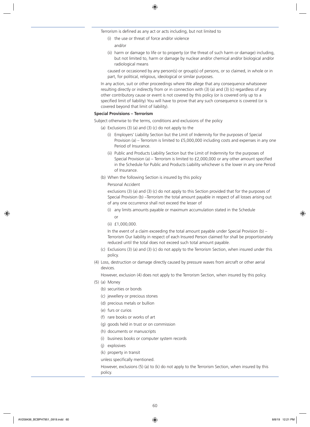Terrorism is defined as any act or acts including, but not limited to

- (i) the use or threat of force and/or violence
	- and/or
- (ii) harm or damage to life or to property (or the threat of such harm or damage) including, but not limited to, harm or damage by nuclear and/or chemical and/or biological and/or radiological means

caused or occasioned by any person(s) or group(s) of persons, or so claimed, in whole or in part, for political, religious, ideological or similar purposes.

In any action, suit or other proceedings where We allege that any consequence whatsoever resulting directly or indirectly from or in connection with (3) (a) and (3) (c) regardless of any other contributory cause or event is not covered by this policy (or is covered only up to a specified limit of liability) You will have to prove that any such consequence is covered (or is covered beyond that limit of liability).

#### **Special Provisions – Terrorism**

- Subject otherwise to the terms, conditions and exclusions of the policy
	- (a) Exclusions  $(3)$  (a) and  $(3)$  (c) do not apply to the
		- (i) Employers' Liability Section but the Limit of Indemnity for the purposes of Special Provision (a) – Terrorism is limited to £5,000,000 including costs and expenses in any one Period of Insurance.
		- (ii) Public and Products Liability Section but the Limit of Indemnity for the purposes of Special Provision (a) – Terrorism is limited to £2,000,000 or any other amount specified in the Schedule for Public and Products Liability whichever is the lower in any one Period of Insurance.
	- (b) When the following Section is insured by this policy

#### Personal Accident

exclusions (3) (a) and (3) (c) do not apply to this Section provided that for the purposes of Special Provision (b) –Terrorism the total amount payable in respect of all losses arising out of any one occurrence shall not exceed the lesser of

- (i) any limits amounts payable or maximum accumulation stated in the Schedule or
- (ii) £1,000,000.

In the event of a claim exceeding the total amount payable under Special Provision (b) – Terrorism Our liability in respect of each Insured Person claimed for shall be proportionately reduced until the total does not exceed such total amount payable.

- (c) Exclusions (3) (a) and (3) (c) do not apply to the Terrorism Section, when insured under this policy.
- (4) Loss, destruction or damage directly caused by pressure waves from aircraft or other aerial devices.

However, exclusion (4) does not apply to the Terrorism Section, when insured by this policy.

- (5) (a) Money
	- (b) securities or bonds
	- (c) jewellery or precious stones
	- (d) precious metals or bullion
	- (e) furs or curios
	- (f) rare books or works of art
	- (g) goods held in trust or on commission
	- (h) documents or manuscripts
	- (i) business books or computer system records
	- (j) explosives
	- (k) property in transit

unless specifically mentioned.

However, exclusions (5) (a) to (k) do not apply to the Terrorism Section, when insured by this policy.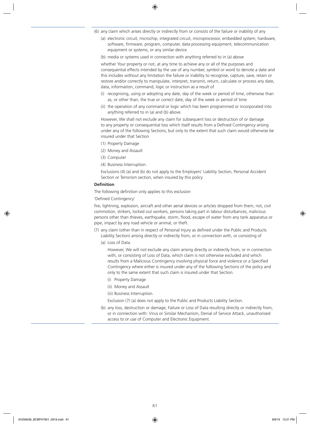- (6) any claim which arises directly or indirectly from or consists of the failure or inability of any
	- (a) electronic circuit, microchip, integrated circuit, microprocessor, embedded system, hardware, software, firmware, program, computer, data processing equipment, telecommunication equipment or systems, or any similar device
	- (b) media or systems used in connection with anything referred to in (a) above

whether Your property or not, at any time to achieve any or all of the purposes and consequential effects intended by the use of any number, symbol or word to denote a date and this includes without any limitation the failure or inability to recognise, capture, save, retain or restore and/or correctly to manipulate, interpret, transmit, return, calculate or process any date, data, information, command, logic or instruction as a result of

- (i) recognising, using or adopting any date, day of the week or period of time, otherwise than as, or other than, the true or correct date, day of the week or period of time
- (ii) the operation of any command or logic which has been programmed or incorporated into anything referred to in (a) and (b) above.

However, We shall not exclude any claim for subsequent loss or destruction of or damage to any property or consequential loss which itself results from a Defined Contingency arising under any of the following Sections, but only to the extent that such claim would otherwise be insured under that Section

- (1) Property Damage
- (2) Money and Assault
- (3) Computer
- (4) Business Interruption.

Exclusions (4) (a) and (b) do not apply to the Employers' Liability Section, Personal Accident Section or Terrorism section, when insured by this policy

#### **Definition**

The following definition only applies to this exclusion

'Defined Contingency'

fire, lightning, explosion, aircraft and other aerial devices or articles dropped from them, riot, civil commotion, strikers, locked out workers, persons taking part in labour disturbances, malicious persons other than thieves, earthquake, storm, flood, escape of water from any tank apparatus or pipe, impact by any road vehicle or animal, or theft.

- (7) any claim (other than in respect of Personal Injury as defined under the Public and Products Liability Section) arising directly or indirectly from, or in connection with, or consisting of
	- (a) Loss of Data.

However, We will not exclude any claim arising directly or indirectly from, or in connection with, or consisting of Loss of Data, which claim is not otherwise excluded and which results from a Malicious Contingency involving physical force and violence or a Specified Contingency where either is insured under any of the following Sections of the policy and only to the same extent that such claim is insured under that Section.

- (i) Property Damage
- (ii) Money and Assault

(iii) Business Interruption.

Exclusion (7) (a) does not apply to the Public and Products Liability Section.

(b) any loss, destruction or damage, Failure or Loss of Data resulting directly or indirectly from, or in connection with: Virus or Similar Mechanism, Denial of Service Attack, unauthorised access to or use of Computer and Electronic Equipment.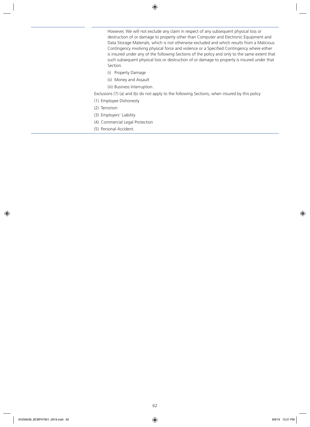However, We will not exclude any claim in respect of any subsequent physical loss or destruction of or damage to property other than Computer and Electronic Equipment and Data Storage Materials, which is not otherwise excluded and which results from a Malicious Contingency involving physical force and violence or a Specified Contingency where either is insured under any of the following Sections of the policy and only to the same extent that such subsequent physical loss or destruction of or damage to property is insured under that Section.

- (i) Property Damage
- (ii) Money and Assault
- (iii) Business Interruption.

Exclusions (7) (a) and (b) do not apply to the following Sections, when insured by this policy

- (1) Employee Dishonesty
- (2) Terrorism
- (3) Employers' Liability
- (4) Commercial Legal Protection
- (5) Personal Accident.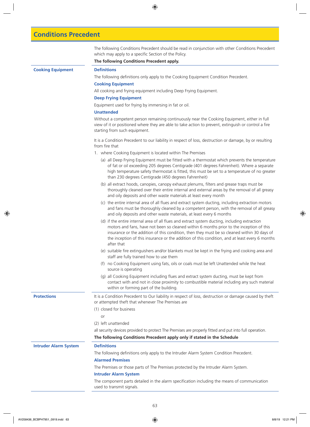## **Conditions Precedent**

The following Conditions Precedent should be read in conjunction with other Conditions Precedent which may apply to a specific Section of the Policy.

#### **The following Conditions Precedent apply.**

### **Cooking Equipment Definitions**

The following definitions only apply to the Cooking Equipment Condition Precedent.

#### **Cooking Equipment**

All cooking and frying equipment including Deep Frying Equipment.

#### **Deep Frying Equipment**

Equipment used for frying by immersing in fat or oil.

#### **Unattended**

Without a competent person remaining continuously near the Cooking Equipment, either in full view of it or positioned where they are able to take action to prevent, extinguish or control a fire starting from such equipment.

It is a Condition Precedent to our liability in respect of loss, destruction or damage, by or resulting from fire that

- 1. where Cooking Equipment is located within The Premises
	- (a) all Deep Frying Equipment must be fitted with a thermostat which prevents the temperature of fat or oil exceeding 205 degrees Centigrade (401 degrees Fahrenheit). Where a separate high temperature safety thermostat is fitted, this must be set to a temperature of no greater than 230 degrees Centigrade (450 degrees Fahrenheit)
	- (b) all extract hoods, canopies, canopy exhaust plenums, filters and grease traps must be thoroughly cleaned over their entire internal and external areas by the removal of all greasy and oily deposits and other waste materials at least every month
	- (c) the entire internal area of all flues and extract system ducting, including extraction motors and fans must be thoroughly cleaned by a competent person, with the removal of all greasy and oily deposits and other waste materials, at least every 6 months
	- (d) if the entire internal area of all flues and extract system ducting, including extraction motors and fans, have not been so cleaned within 6 months prior to the inception of this insurance or the addition of this condition, then they must be so cleaned within 30 days of the inception of this insurance or the addition of this condition, and at least every 6 months after that
	- (e) suitable fire extinguishers and/or blankets must be kept in the frying and cooking area and staff are fully trained how to use them
	- (f) no Cooking Equipment using fats, oils or coals must be left Unattended while the heat source is operating
	- (g) all Cooking Equipment including flues and extract system ducting, must be kept from contact with and not in close proximity to combustible material including any such material within or forming part of the building.

**Protections** It is a Condition Precedent to Our liability in respect of loss, destruction or damage caused by theft or attempted theft that whenever The Premises are

- (1) closed for business
	- or
- (2) left unattended

all security devices provided to protect The Premises are properly fitted and put into full operation.

## **The following Conditions Precedent apply only if stated in the Schedule**

#### **Intruder Alarm System Definitions**

The following definitions only apply to the Intruder Alarm System Condition Precedent.

### **Alarmed Premises**

The Premises or those parts of The Premises protected by the Intruder Alarm System.

#### **Intruder Alarm System**

The component parts detailed in the alarm specification including the means of communication used to transmit signals.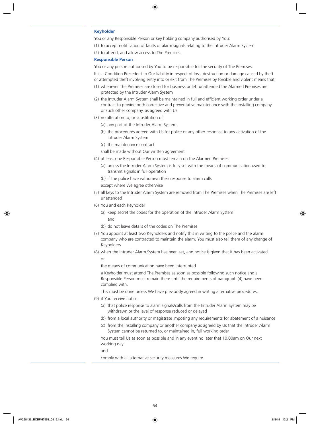#### **Keyholder**

You or any Responsible Person or key holding company authorised by You:

- (1) to accept notification of faults or alarm signals relating to the Intruder Alarm System
- (2) to attend, and allow access to The Premises.

#### **Responsible Person**

You or any person authorised by You to be responsible for the security of The Premises.

It is a Condition Precedent to Our liability in respect of loss, destruction or damage caused by theft or attempted theft involving entry into or exit from The Premises by forcible and violent means that

- (1) whenever The Premises are closed for business or left unattended the Alarmed Premises are protected by the Intruder Alarm System
- (2) the Intruder Alarm System shall be maintained in full and efficient working order under a contract to provide both corrective and preventative maintenance with the installing company or such other company, as agreed with Us
- (3) no alteration to, or substitution of
	- (a) any part of the Intruder Alarm System
	- (b) the procedures agreed with Us for police or any other response to any activation of the Intruder Alarm System
	- (c) the maintenance contract

shall be made without Our written agreement

- (4) at least one Responsible Person must remain on the Alarmed Premises
	- (a) unless the Intruder Alarm System is fully set with the means of communication used to transmit signals in full operation
	- (b) if the police have withdrawn their response to alarm calls

except where We agree otherwise

- (5) all keys to the Intruder Alarm System are removed from The Premises when The Premises are left unattended
- (6) You and each Keyholder
	- (a) keep secret the codes for the operation of the Intruder Alarm System

and

- (b) do not leave details of the codes on The Premises
- (7) You appoint at least two Keyholders and notify this in writing to the police and the alarm company who are contracted to maintain the alarm. You must also tell them of any change of Keyholders
- (8) when the Intruder Alarm System has been set, and notice is given that it has been activated or

the means of communication have been interrupted

a Keyholder must attend The Premises as soon as possible following such notice and a Responsible Person must remain there until the requirements of paragraph (4) have been complied with.

This must be done unless We have previously agreed in writing alternative procedures.

- (9) if You receive notice
	- (a) that police response to alarm signals/calls from the Intruder Alarm System may be withdrawn or the level of response reduced or delayed
	- (b) from a local authority or magistrate imposing any requirements for abatement of a nuisance
	- (c) from the installing company or another company as agreed by Us that the Intruder Alarm System cannot be returned to, or maintained in, full working order

You must tell Us as soon as possible and in any event no later that 10.00am on Our next working day

and

comply with all alternative security measures We require.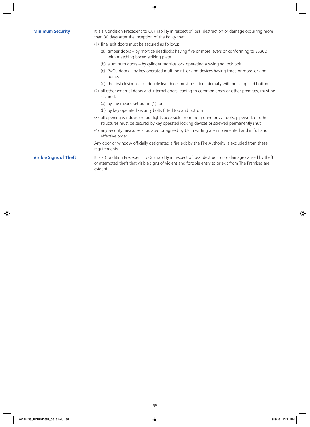| <b>Minimum Security</b>       | It is a Condition Precedent to Our liability in respect of loss, destruction or damage occurring more<br>than 30 days after the inception of the Policy that                                                               |
|-------------------------------|----------------------------------------------------------------------------------------------------------------------------------------------------------------------------------------------------------------------------|
|                               | (1) final exit doors must be secured as follows:                                                                                                                                                                           |
|                               | (a) timber doors – by mortice deadlocks having five or more levers or conforming to BS3621<br>with matching boxed striking plate                                                                                           |
|                               | (b) aluminum doors – by cylinder mortice lock operating a swinging lock bolt                                                                                                                                               |
|                               | (c) PVCu doors – by key operated multi-point locking devices having three or more locking<br>points                                                                                                                        |
|                               | (d) the first closing leaf of double leaf doors must be fitted internally with bolts top and bottom                                                                                                                        |
|                               | (2) all other external doors and internal doors leading to common areas or other premises, must be<br>secured:                                                                                                             |
|                               | (a) by the means set out in $(1)$ , or                                                                                                                                                                                     |
|                               | (b) by key operated security bolts fitted top and bottom                                                                                                                                                                   |
|                               | (3) all opening windows or roof lights accessible from the ground or via roofs, pipework or other<br>structures must be secured by key operated locking devices or screwed permanently shut                                |
|                               | (4) any security measures stipulated or agreed by Us in writing are implemented and in full and<br>effective order.                                                                                                        |
|                               | Any door or window officially designated a fire exit by the Fire Authority is excluded from these<br>requirements.                                                                                                         |
| <b>Visible Signs of Theft</b> | It is a Condition Precedent to Our liability in respect of loss, destruction or damage caused by theft<br>or attempted theft that visible signs of violent and forcible entry to or exit from The Premises are<br>evident. |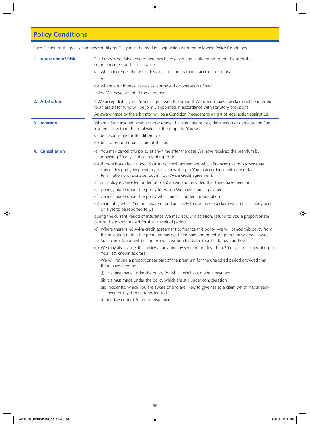# **Policy Conditions**

Each Section of the policy contains conditions. They must be read in conjunction with the following Policy Conditions.

| 1. Alteration of Risk  | The Policy is voidable where there has been any material alteration to the risk after the<br>commencement of this insurance                                                                                                                                                            |
|------------------------|----------------------------------------------------------------------------------------------------------------------------------------------------------------------------------------------------------------------------------------------------------------------------------------|
|                        | (a) which increases the risk of loss, destruction, damage, accident or injury                                                                                                                                                                                                          |
|                        | or                                                                                                                                                                                                                                                                                     |
|                        | (b) where Your interest ceases except by will or operation of law                                                                                                                                                                                                                      |
|                        | unless We have accepted the alteration.                                                                                                                                                                                                                                                |
| 2. Arbitration         | If We accept liability but You disagree with the amount We offer to pay, the claim will be referred<br>to an arbitrator who will be jointly appointed in accordance with statutory provisions.                                                                                         |
|                        | An award made by the arbitrator will be a Condition Precedent to a right of legal action against Us.                                                                                                                                                                                   |
| 3. Average             | Where a Sum Insured is subject to average, if at the time of loss, destruction or damage, the Sum<br>Insured is less than the total value of the property, You will                                                                                                                    |
|                        | (a) be responsible for the difference                                                                                                                                                                                                                                                  |
|                        | (b) bear a proportionate share of the loss.                                                                                                                                                                                                                                            |
| <b>4. Cancellation</b> | (a) You may cancel this policy at any time after the date We have received the premium by<br>providing 30 days notice in writing to Us                                                                                                                                                 |
|                        | (b) If there is a default under Your Aviva credit agreement which finances this policy, We may<br>cancel this policy by providing notice in writing to You in accordance with the default<br>termination provisions set out in Your Aviva credit agreement.                            |
|                        | If Your policy is cancelled under (a) or (b) above and provided that there have been no:                                                                                                                                                                                               |
|                        | claim(s) made under the policy for which We have made a payment<br>(1)                                                                                                                                                                                                                 |
|                        | (ii) claim(s) made under the policy which are still under consideration                                                                                                                                                                                                                |
|                        | (iii) incident(s) which You are aware of and are likely to give rise to a claim which has already been<br>or is yet to be reported to Us                                                                                                                                               |
|                        | during the current Period of Insurance We may, at Our discretion, refund to You a proportionate<br>part of the premium paid for the unexpired period                                                                                                                                   |
|                        | (c) Where there is no Aviva credit agreement to finance this policy, We will cancel this policy from<br>the inception date if the premium has not been paid and no return premium will be allowed.<br>Such cancellation will be confirmed in writing by Us to Your last known address. |
|                        | (d) We may also cancel this policy at any time by sending not less than 30 days notice in writing to<br>Your last known address.                                                                                                                                                       |
|                        | We will refund a proportionate part of the premium for the unexpired period provided that<br>there have been no:                                                                                                                                                                       |
|                        | (i) claim(s) made under the policy for which We have made a payment                                                                                                                                                                                                                    |
|                        | (ii) claim(s) made under the policy which are still under consideration                                                                                                                                                                                                                |
|                        | (iii) incident(s) which You are aware of and are likely to give rise to a claim which has already<br>been or is yet to be reported to Us                                                                                                                                               |
|                        | during the current Period of Insurance.                                                                                                                                                                                                                                                |
|                        |                                                                                                                                                                                                                                                                                        |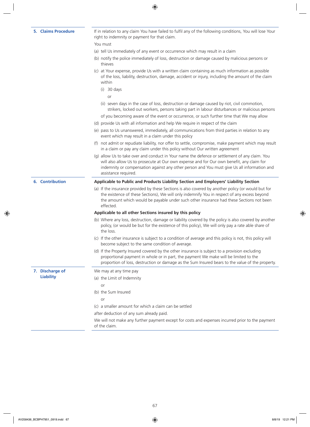**7. Discharge of Liability**

**5. Claims Procedure** If in relation to any claim You have failed to fulfil any of the following conditions, You will lose Your right to indemnity or payment for that claim.

- You must
- (a) tell Us immediately of any event or occurrence which may result in a claim
- (b) notify the police immediately of loss, destruction or damage caused by malicious persons or thieves
- (c) at Your expense, provide Us with a written claim containing as much information as possible of the loss, liability, destruction, damage, accident or injury, including the amount of the claim within
	- (i) 30 days

or

- (ii) seven days in the case of loss, destruction or damage caused by riot, civil commotion, strikers, locked out workers, persons taking part in labour disturbances or malicious persons
- of you becoming aware of the event or occurrence, or such further time that We may allow
- (d) provide Us with all information and help We require in respect of the claim
- (e) pass to Us unanswered, immediately, all communications from third parties in relation to any event which may result in a claim under this policy
- (f) not admit or repudiate liability, nor offer to settle, compromise, make payment which may result in a claim or pay any claim under this policy without Our written agreement
- (g) allow Us to take over and conduct in Your name the defence or settlement of any claim. You will also allow Us to prosecute at Our own expense and for Our own benefit, any claim for indemnity or compensation against any other person and You must give Us all information and assistance required.

#### **6. Contribution Applicable to Public and Products Liability Section and Employers' Liability Section**

(a) If the insurance provided by these Sections is also covered by another policy (or would but for the existence of these Sections), We will only indemnify You in respect of any excess beyond the amount which would be payable under such other insurance had these Sections not been effected.

#### **Applicable to all other Sections insured by this policy**

- (b) Where any loss, destruction, damage or liability covered by the policy is also covered by another policy, (or would be but for the existence of this policy), We will only pay a rate able share of the loss.
- (c) If the other insurance is subject to a condition of average and this policy is not, this policy will become subject to the same condition of average.
- (d) If the Property Insured covered by the other insurance is subject to a provision excluding proportional payment in whole or in part, the payment We make will be limited to the proportion of loss, destruction or damage as the Sum Insured bears to the value of the property.

We may at any time pay

(a) the Limit of Indemnity

or

- (b) the Sum Insured
	- $\alpha$ r
- (c) a smaller amount for which a claim can be settled

after deduction of any sum already paid.

We will not make any further payment except for costs and expenses incurred prior to the payment of the claim.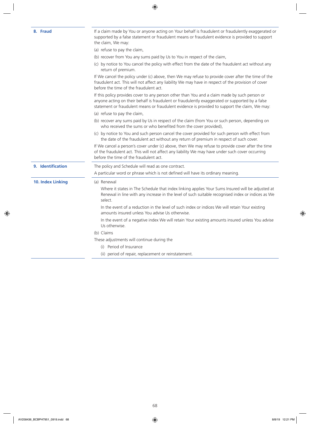| 8. Fraud          | If a claim made by You or anyone acting on Your behalf is fraudulent or fraudulently exaggerated or<br>supported by a false statement or fraudulent means or fraudulent evidence is provided to support<br>the claim, We may:                                                                      |
|-------------------|----------------------------------------------------------------------------------------------------------------------------------------------------------------------------------------------------------------------------------------------------------------------------------------------------|
|                   | (a) refuse to pay the claim,                                                                                                                                                                                                                                                                       |
|                   | (b) recover from You any sums paid by Us to You in respect of the claim,                                                                                                                                                                                                                           |
|                   | (c) by notice to You cancel the policy with effect from the date of the fraudulent act without any<br>return of premium.                                                                                                                                                                           |
|                   | If We cancel the policy under (c) above, then We may refuse to provide cover after the time of the<br>fraudulent act. This will not affect any liability We may have in respect of the provision of cover<br>before the time of the fraudulent act.                                                |
|                   | If this policy provides cover to any person other than You and a claim made by such person or<br>anyone acting on their behalf is fraudulent or fraudulently exaggerated or supported by a false<br>statement or fraudulent means or fraudulent evidence is provided to support the claim, We may: |
|                   | (a) refuse to pay the claim,                                                                                                                                                                                                                                                                       |
|                   | (b) recover any sums paid by Us in respect of the claim (from You or such person, depending on<br>who received the sums or who benefited from the cover provided),                                                                                                                                 |
|                   | (c) by notice to You and such person cancel the cover provided for such person with effect from<br>the date of the fraudulent act without any return of premium in respect of such cover.                                                                                                          |
|                   | If We cancel a person's cover under (c) above, then We may refuse to provide cover after the time<br>of the fraudulent act. This will not affect any liability We may have under such cover occurring<br>before the time of the fraudulent act.                                                    |
| 9. Identification | The policy and Schedule will read as one contract.                                                                                                                                                                                                                                                 |
|                   | A particular word or phrase which is not defined will have its ordinary meaning.                                                                                                                                                                                                                   |
| 10. Index Linking | (a) Renewal                                                                                                                                                                                                                                                                                        |
|                   | Where it states in The Schedule that index linking applies Your Sums Insured will be adjusted at<br>Renewal in line with any increase in the level of such suitable recognised index or indices as We<br>select.                                                                                   |
|                   | In the event of a reduction in the level of such index or indices We will retain Your existing<br>amounts insured unless You advise Us otherwise.                                                                                                                                                  |
|                   | In the event of a negative index We will retain Your existing amounts insured unless You advise<br>Us otherwise.                                                                                                                                                                                   |
|                   | (b) Claims                                                                                                                                                                                                                                                                                         |
|                   | These adjustments will continue during the                                                                                                                                                                                                                                                         |
|                   | (i) Period of Insurance                                                                                                                                                                                                                                                                            |
|                   | (ii) period of repair, replacement or reinstatement.                                                                                                                                                                                                                                               |
|                   |                                                                                                                                                                                                                                                                                                    |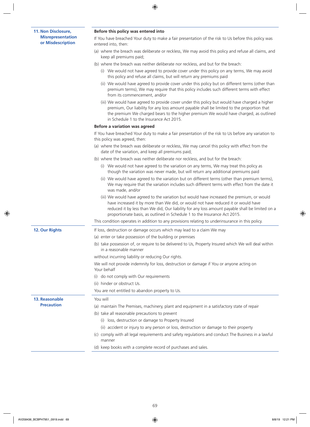### **11. Non Disclosure, Misrepresentation or Misdescription**

### **Before this policy was entered into**

If You have breached Your duty to make a fair presentation of the risk to Us before this policy was entered into, then:

- (a) where the breach was deliberate or reckless, We may avoid this policy and refuse all claims, and keep all premiums paid;
- (b) where the breach was neither deliberate nor reckless, and but for the breach:
	- (i) We would not have agreed to provide cover under this policy on any terms, We may avoid this policy and refuse all claims, but will return any premiums paid
	- (ii) We would have agreed to provide cover under this policy but on different terms (other than premium terms), We may require that this policy includes such different terms with effect from its commencement, and/or
	- (iii) We would have agreed to provide cover under this policy but would have charged a higher premium, Our liability for any loss amount payable shall be limited to the proportion that the premium We charged bears to the higher premium We would have charged, as outlined in Schedule 1 to the Insurance Act 2015.

#### **Before a variation was agreed**

If You have breached Your duty to make a fair presentation of the risk to Us before any variation to this policy was agreed, then:

- (a) where the breach was deliberate or reckless, We may cancel this policy with effect from the date of the variation, and keep all premiums paid;
- (b) where the breach was neither deliberate nor reckless, and but for the breach:
	- (i) We would not have agreed to the variation on any terms, We may treat this policy as though the variation was never made, but will return any additional premiums paid
	- (ii) We would have agreed to the variation but on different terms (other than premium terms), We may require that the variation includes such different terms with effect from the date it was made, and/or
	- (iii) We would have agreed to the variation but would have increased the premium, or would have increased it by more than We did, or would not have reduced it or would have reduced it by less than We did, Our liability for any loss amount payable shall be limited on a proportionate basis, as outlined in Schedule 1 to the Insurance Act 2015.

This condition operates in addition to any provisions relating to underinsurance in this policy.

**12. Our Rights** If loss, destruction or damage occurs which may lead to a claim We may

**13. Reasonable Precaution**

(a) enter or take possession of the building or premises

(b) take possession of, or require to be delivered to Us, Property Insured which We will deal within in a reasonable manner

without incurring liability or reducing Our rights.

We will not provide indemnity for loss, destruction or damage if You or anyone acting on Your behalf

- (i) do not comply with Our requirements
- (ii) hinder or obstruct Us.

You will

You are not entitled to abandon property to Us.

- (a) maintain The Premises, machinery, plant and equipment in a satisfactory state of repair
- (b) take all reasonable precautions to prevent
	- (i) loss, destruction or damage to Property Insured
	- (ii) accident or injury to any person or loss, destruction or damage to their property
- (c) comply with all legal requirements and safety regulations and conduct The Business in a lawful manner
- (d) keep books with a complete record of purchases and sales.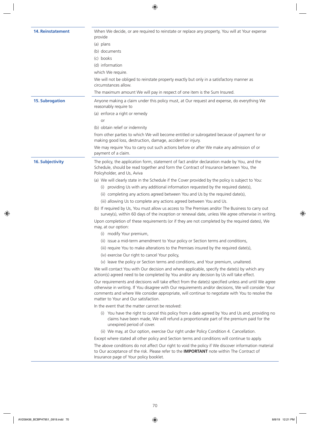| <b>14. Reinstatement</b> | When We decide, or are required to reinstate or replace any property, You will at Your expense<br>provide<br>(a) plans<br>(b) documents<br>(c) books<br>(d) information<br>which We require.<br>We will not be obliged to reinstate property exactly but only in a satisfactory manner as<br>circumstances allow.<br>The maximum amount We will pay in respect of one item is the Sum Insured.                                                                                                                                                                                                                                                                                                                                                                                                                                                                                                                                                                                                                                                                                                                                                                                                                                                                                                                                                                                                                                                                                                                                                                                                                                                                                                                                                                                                                                                                                                                                                                                                                                                                                                                                                                                                                                                                                                                                                                                                                                                                                                                                          |
|--------------------------|-----------------------------------------------------------------------------------------------------------------------------------------------------------------------------------------------------------------------------------------------------------------------------------------------------------------------------------------------------------------------------------------------------------------------------------------------------------------------------------------------------------------------------------------------------------------------------------------------------------------------------------------------------------------------------------------------------------------------------------------------------------------------------------------------------------------------------------------------------------------------------------------------------------------------------------------------------------------------------------------------------------------------------------------------------------------------------------------------------------------------------------------------------------------------------------------------------------------------------------------------------------------------------------------------------------------------------------------------------------------------------------------------------------------------------------------------------------------------------------------------------------------------------------------------------------------------------------------------------------------------------------------------------------------------------------------------------------------------------------------------------------------------------------------------------------------------------------------------------------------------------------------------------------------------------------------------------------------------------------------------------------------------------------------------------------------------------------------------------------------------------------------------------------------------------------------------------------------------------------------------------------------------------------------------------------------------------------------------------------------------------------------------------------------------------------------------------------------------------------------------------------------------------------------|
| <b>15. Subrogation</b>   | Anyone making a claim under this policy must, at Our request and expense, do everything We<br>reasonably require to<br>(a) enforce a right or remedy<br>or<br>(b) obtain relief or indemnity<br>from other parties to which We will become entitled or subrogated because of payment for or<br>making good loss, destruction, damage, accident or injury.<br>We may require You to carry out such actions before or after We make any admission of or<br>payment of a claim.                                                                                                                                                                                                                                                                                                                                                                                                                                                                                                                                                                                                                                                                                                                                                                                                                                                                                                                                                                                                                                                                                                                                                                                                                                                                                                                                                                                                                                                                                                                                                                                                                                                                                                                                                                                                                                                                                                                                                                                                                                                            |
| <b>16. Subjectivity</b>  | The policy, the application form, statement of fact and/or declaration made by You, and the<br>Schedule, should be read together and form the Contract of Insurance between You, the<br>Policyholder, and Us, Aviva<br>(a) We will clearly state in the Schedule if the Cover provided by the policy is subject to You:<br>(i) providing Us with any additional information requested by the required date(s),<br>(ii) completing any actions agreed between You and Us by the required date(s),<br>(iii) allowing Us to complete any actions agreed between You and Us.<br>(b) If required by Us, You must allow us access to The Premises and/or The Business to carry out<br>survey(s), within 60 days of the inception or renewal date, unless We agree otherwise in writing.<br>Upon completion of these requirements (or if they are not completed by the required dates), We<br>may, at our option:<br>(i) modify Your premium,<br>(ii) issue a mid-term amendment to Your policy or Section terms and conditions,<br>(iii) require You to make alterations to the Premises insured by the required date(s),<br>(iv) exercise Our right to cancel Your policy,<br>(v) leave the policy or Section terms and conditions, and Your premium, unaltered.<br>We will contact You with Our decision and where applicable, specify the date(s) by which any<br>action(s) agreed need to be completed by You and/or any decision by Us will take effect.<br>Our requirements and decisions will take effect from the date(s) specified unless and until We agree<br>otherwise in writing. If You disagree with Our requirements and/or decisions, We will consider Your<br>comments and where We consider appropriate, will continue to negotiate with You to resolve the<br>matter to Your and Our satisfaction.<br>In the event that the matter cannot be resolved:<br>(i) You have the right to cancel this policy from a date agreed by You and Us and, providing no<br>claims have been made, We will refund a proportionate part of the premium paid for the<br>unexpired period of cover.<br>(ii) We may, at Our option, exercise Our right under Policy Condition 4. Cancellation.<br>Except where stated all other policy and Section terms and conditions will continue to apply.<br>The above conditions do not affect Our right to void the policy if We discover information material<br>to Our acceptance of the risk. Please refer to the IMPORTANT note within The Contract of<br>Insurance page of Your policy booklet. |